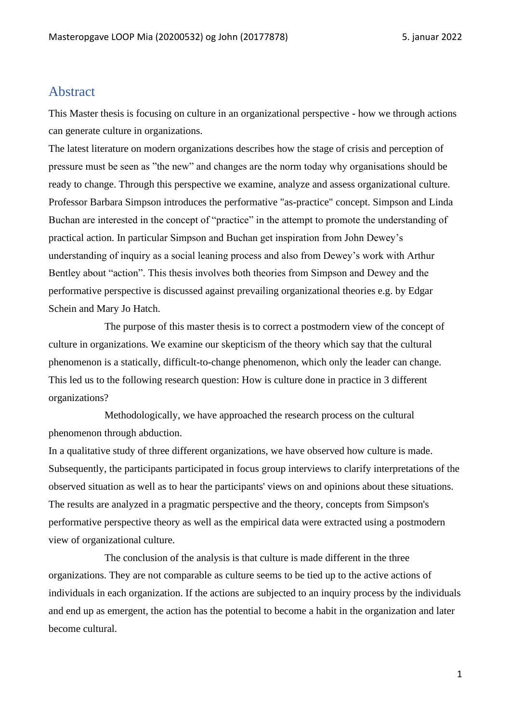## <span id="page-0-0"></span>Abstract

This Master thesis is focusing on culture in an organizational perspective - how we through actions can generate culture in organizations.

The latest literature on modern organizations describes how the stage of crisis and perception of pressure must be seen as "the new" and changes are the norm today why organisations should be ready to change. Through this perspective we examine, analyze and assess organizational culture. Professor Barbara Simpson introduces the performative "as-practice" concept. Simpson and Linda Buchan are interested in the concept of "practice" in the attempt to promote the understanding of practical action. In particular Simpson and Buchan get inspiration from John Dewey's understanding of inquiry as a social leaning process and also from Dewey's work with Arthur Bentley about "action". This thesis involves both theories from Simpson and Dewey and the performative perspective is discussed against prevailing organizational theories e.g. by Edgar Schein and Mary Jo Hatch.

The purpose of this master thesis is to correct a postmodern view of the concept of culture in organizations. We examine our skepticism of the theory which say that the cultural phenomenon is a statically, difficult-to-change phenomenon, which only the leader can change. This led us to the following research question: How is culture done in practice in 3 different organizations?

Methodologically, we have approached the research process on the cultural phenomenon through abduction.

In a qualitative study of three different organizations, we have observed how culture is made. Subsequently, the participants participated in focus group interviews to clarify interpretations of the observed situation as well as to hear the participants' views on and opinions about these situations. The results are analyzed in a pragmatic perspective and the theory, concepts from Simpson's performative perspective theory as well as the empirical data were extracted using a postmodern view of organizational culture.

The conclusion of the analysis is that culture is made different in the three organizations. They are not comparable as culture seems to be tied up to the active actions of individuals in each organization. If the actions are subjected to an inquiry process by the individuals and end up as emergent, the action has the potential to become a habit in the organization and later become cultural.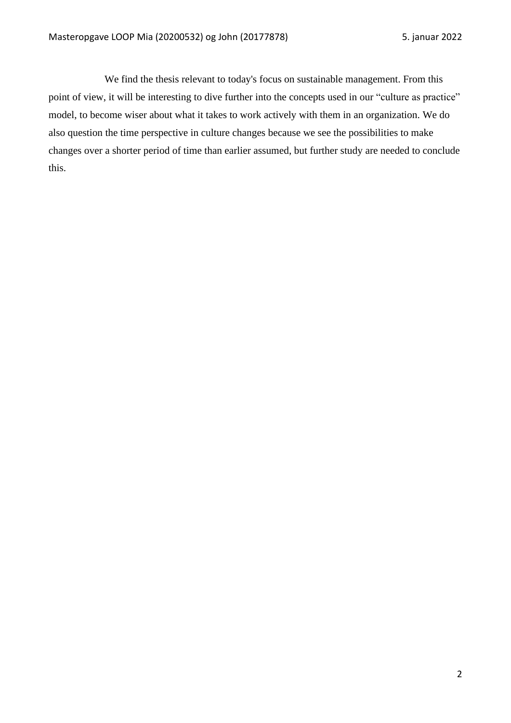We find the thesis relevant to today's focus on sustainable management. From this point of view, it will be interesting to dive further into the concepts used in our "culture as practice" model, to become wiser about what it takes to work actively with them in an organization. We do also question the time perspective in culture changes because we see the possibilities to make changes over a shorter period of time than earlier assumed, but further study are needed to conclude this.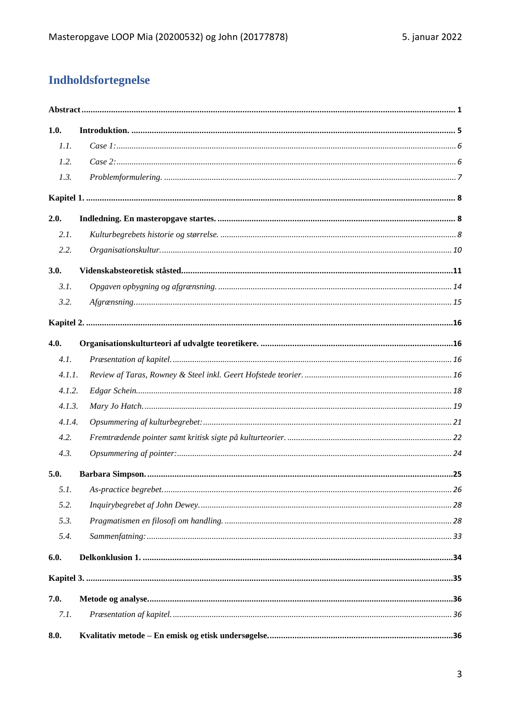# **Indholdsfortegnelse**

| 1.0.   |  |
|--------|--|
| 1.1.   |  |
| 1.2.   |  |
| 1.3.   |  |
|        |  |
| 2.0.   |  |
| 2.1.   |  |
| 2.2.   |  |
| 3.0.   |  |
| 3.1.   |  |
| 3.2.   |  |
|        |  |
| 4.0.   |  |
| 4.1.   |  |
| 4.1.1. |  |
| 4.1.2. |  |
| 4.1.3. |  |
| 4.1.4. |  |
| 4.2.   |  |
| 4.3.   |  |
| 5.0.   |  |
|        |  |
| 5.2.   |  |
| 5.3.   |  |
| 5.4.   |  |
| 6.0.   |  |
|        |  |
| 7.0.   |  |
| 7.1.   |  |
| 8.0.   |  |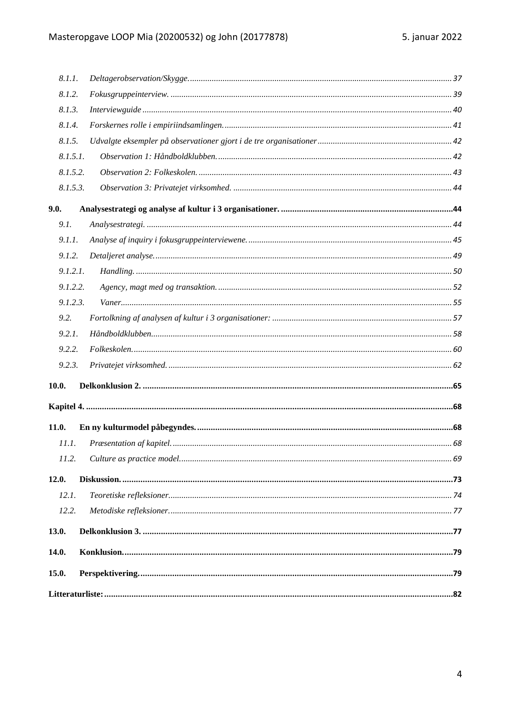| 8.1.1.   |          |  |
|----------|----------|--|
| 8.1.2.   |          |  |
| 8.1.3.   |          |  |
| 8.1.4.   |          |  |
| 8.1.5.   |          |  |
|          | 8.1.5.1. |  |
| 8.1.5.2. |          |  |
|          | 8.1.5.3. |  |
| 9.0.     |          |  |
| 9.1.     |          |  |
| 9.1.1.   |          |  |
| 9.1.2.   |          |  |
|          | 9.1.2.1. |  |
|          | 9.1.2.2. |  |
|          | 9.1.2.3. |  |
| 9.2.     |          |  |
| 9.2.1.   |          |  |
| 9.2.2.   |          |  |
| 9.2.3.   |          |  |
| 10.0.    |          |  |
|          |          |  |
| 11.0.    |          |  |
| 11.1.    |          |  |
|          |          |  |
| 12.0.    |          |  |
| 12.1.    |          |  |
| 12.2.    |          |  |
| 13.0.    |          |  |
| 14.0.    |          |  |
| 15.0.    |          |  |
|          |          |  |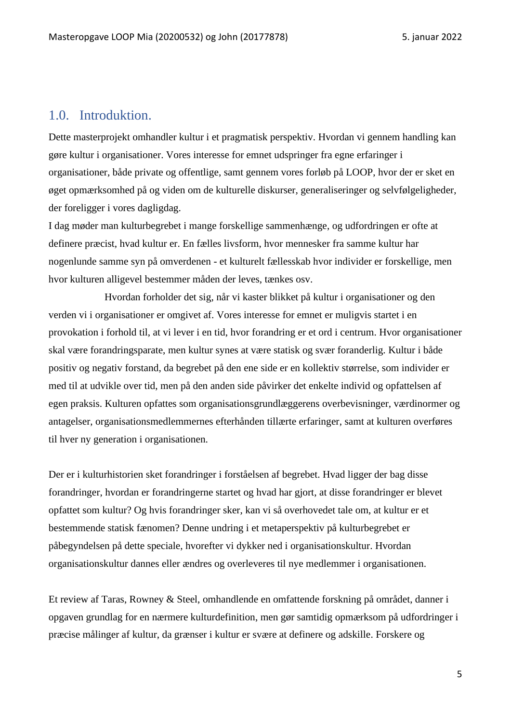### <span id="page-4-0"></span>1.0. Introduktion.

Dette masterprojekt omhandler kultur i et pragmatisk perspektiv. Hvordan vi gennem handling kan gøre kultur i organisationer. Vores interesse for emnet udspringer fra egne erfaringer i organisationer, både private og offentlige, samt gennem vores forløb på LOOP, hvor der er sket en øget opmærksomhed på og viden om de kulturelle diskurser, generaliseringer og selvfølgeligheder, der foreligger i vores dagligdag.

I dag møder man kulturbegrebet i mange forskellige sammenhænge, og udfordringen er ofte at definere præcist, hvad kultur er. En fælles livsform, hvor mennesker fra samme kultur har nogenlunde samme syn på omverdenen - et kulturelt fællesskab hvor individer er forskellige, men hvor kulturen alligevel bestemmer måden der leves, tænkes osv.

Hvordan forholder det sig, når vi kaster blikket på kultur i organisationer og den verden vi i organisationer er omgivet af. Vores interesse for emnet er muligvis startet i en provokation i forhold til, at vi lever i en tid, hvor forandring er et ord i centrum. Hvor organisationer skal være forandringsparate, men kultur synes at være statisk og svær foranderlig. Kultur i både positiv og negativ forstand, da begrebet på den ene side er en kollektiv størrelse, som individer er med til at udvikle over tid, men på den anden side påvirker det enkelte individ og opfattelsen af egen praksis. Kulturen opfattes som organisationsgrundlæggerens overbevisninger, værdinormer og antagelser, organisationsmedlemmernes efterhånden tillærte erfaringer, samt at kulturen overføres til hver ny generation i organisationen.

Der er i kulturhistorien sket forandringer i forståelsen af begrebet. Hvad ligger der bag disse forandringer, hvordan er forandringerne startet og hvad har gjort, at disse forandringer er blevet opfattet som kultur? Og hvis forandringer sker, kan vi så overhovedet tale om, at kultur er et bestemmende statisk fænomen? Denne undring i et metaperspektiv på kulturbegrebet er påbegyndelsen på dette speciale, hvorefter vi dykker ned i organisationskultur. Hvordan organisationskultur dannes eller ændres og overleveres til nye medlemmer i organisationen.

Et review af Taras, Rowney & Steel, omhandlende en omfattende forskning på området, danner i opgaven grundlag for en nærmere kulturdefinition, men gør samtidig opmærksom på udfordringer i præcise målinger af kultur, da grænser i kultur er svære at definere og adskille. Forskere og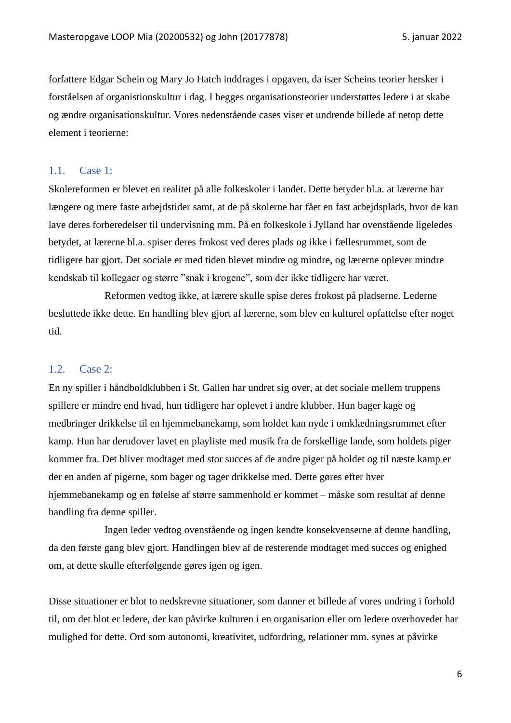forfattere Edgar Schein og Mary Jo Hatch inddrages i opgaven, da især Scheins teorier hersker i forståelsen af organistionskultur i dag. I begges organisationsteorier understøttes ledere i at skabe og ændre organisationskultur. Vores nedenstående cases viser et undrende billede af netop dette element i teorierne:

#### <span id="page-5-0"></span>1.1. Case 1:

Skolereformen er blevet en realitet på alle folkeskoler i landet. Dette betyder bl.a. at lærerne har længere og mere faste arbejdstider samt, at de på skolerne har fået en fast arbejdsplads, hvor de kan lave deres forberedelser til undervisning mm. På en folkeskole i Jylland har ovenstående ligeledes betydet, at lærerne bl.a. spiser deres frokost ved deres plads og ikke i fællesrummet, som de tidligere har gjort. Det sociale er med tiden blevet mindre og mindre, og lærerne oplever mindre kendskab til kollegaer og større "snak i krogene", som der ikke tidligere har været.

Reformen vedtog ikke, at lærere skulle spise deres frokost på pladserne. Lederne besluttede ikke dette. En handling blev gjort af lærerne, som blev en kulturel opfattelse efter noget tid.

#### <span id="page-5-1"></span>1.2. Case 2:

En ny spiller i håndboldklubben i St. Gallen har undret sig over, at det sociale mellem truppens spillere er mindre end hvad, hun tidligere har oplevet i andre klubber. Hun bager kage og medbringer drikkelse til en hjemmebanekamp, som holdet kan nyde i omklædningsrummet efter kamp. Hun har derudover lavet en playliste med musik fra de forskellige lande, som holdets piger kommer fra. Det bliver modtaget med stor succes af de andre piger på holdet og til næste kamp er der en anden af pigerne, som bager og tager drikkelse med. Dette gøres efter hver hjemmebanekamp og en følelse af større sammenhold er kommet – måske som resultat af denne handling fra denne spiller.

Ingen leder vedtog ovenstående og ingen kendte konsekvenserne af denne handling, da den første gang blev gjort. Handlingen blev af de resterende modtaget med succes og enighed om, at dette skulle efterfølgende gøres igen og igen.

Disse situationer er blot to nedskrevne situationer, som danner et billede af vores undring i forhold til, om det blot er ledere, der kan påvirke kulturen i en organisation eller om ledere overhovedet har mulighed for dette. Ord som autonomi, kreativitet, udfordring, relationer mm. synes at påvirke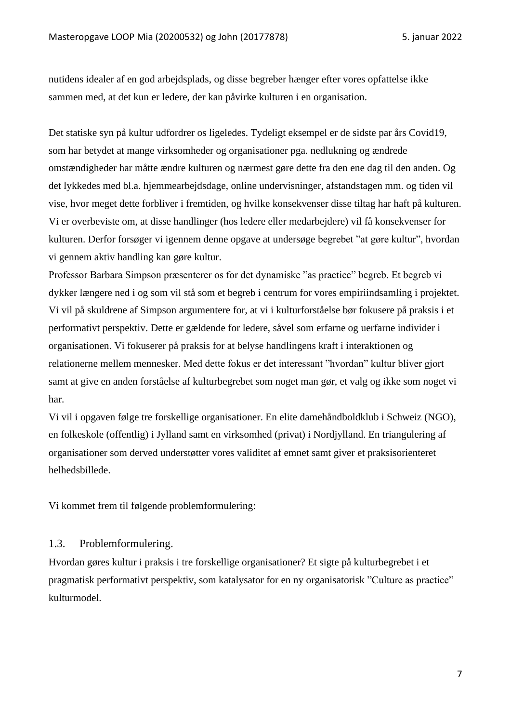nutidens idealer af en god arbejdsplads, og disse begreber hænger efter vores opfattelse ikke sammen med, at det kun er ledere, der kan påvirke kulturen i en organisation.

Det statiske syn på kultur udfordrer os ligeledes. Tydeligt eksempel er de sidste par års Covid19, som har betydet at mange virksomheder og organisationer pga. nedlukning og ændrede omstændigheder har måtte ændre kulturen og nærmest gøre dette fra den ene dag til den anden. Og det lykkedes med bl.a. hjemmearbejdsdage, online undervisninger, afstandstagen mm. og tiden vil vise, hvor meget dette forbliver i fremtiden, og hvilke konsekvenser disse tiltag har haft på kulturen. Vi er overbeviste om, at disse handlinger (hos ledere eller medarbejdere) vil få konsekvenser for kulturen. Derfor forsøger vi igennem denne opgave at undersøge begrebet "at gøre kultur", hvordan vi gennem aktiv handling kan gøre kultur.

Professor Barbara Simpson præsenterer os for det dynamiske "as practice" begreb. Et begreb vi dykker længere ned i og som vil stå som et begreb i centrum for vores empiriindsamling i projektet. Vi vil på skuldrene af Simpson argumentere for, at vi i kulturforståelse bør fokusere på praksis i et performativt perspektiv. Dette er gældende for ledere, såvel som erfarne og uerfarne individer i organisationen. Vi fokuserer på praksis for at belyse handlingens kraft i interaktionen og relationerne mellem mennesker. Med dette fokus er det interessant "hvordan" kultur bliver gjort samt at give en anden forståelse af kulturbegrebet som noget man gør, et valg og ikke som noget vi har.

Vi vil i opgaven følge tre forskellige organisationer. En elite damehåndboldklub i Schweiz (NGO), en folkeskole (offentlig) i Jylland samt en virksomhed (privat) i Nordjylland. En triangulering af organisationer som derved understøtter vores validitet af emnet samt giver et praksisorienteret helhedsbillede.

Vi kommet frem til følgende problemformulering:

#### <span id="page-6-0"></span>1.3. Problemformulering.

Hvordan gøres kultur i praksis i tre forskellige organisationer? Et sigte på kulturbegrebet i et pragmatisk performativt perspektiv, som katalysator for en ny organisatorisk "Culture as practice" kulturmodel.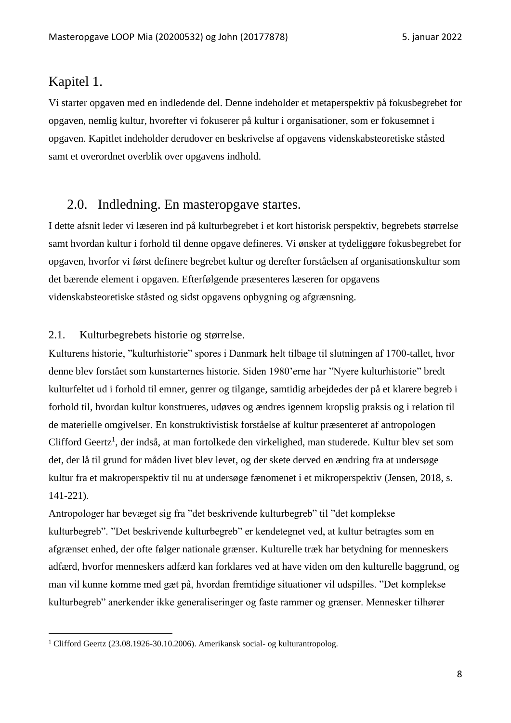### <span id="page-7-0"></span>Kapitel 1.

Vi starter opgaven med en indledende del. Denne indeholder et metaperspektiv på fokusbegrebet for opgaven, nemlig kultur, hvorefter vi fokuserer på kultur i organisationer, som er fokusemnet i opgaven. Kapitlet indeholder derudover en beskrivelse af opgavens videnskabsteoretiske ståsted samt et overordnet overblik over opgavens indhold.

## <span id="page-7-1"></span>2.0. Indledning. En masteropgave startes.

I dette afsnit leder vi læseren ind på kulturbegrebet i et kort historisk perspektiv, begrebets størrelse samt hvordan kultur i forhold til denne opgave defineres. Vi ønsker at tydeliggøre fokusbegrebet for opgaven, hvorfor vi først definere begrebet kultur og derefter forståelsen af organisationskultur som det bærende element i opgaven. Efterfølgende præsenteres læseren for opgavens videnskabsteoretiske ståsted og sidst opgavens opbygning og afgrænsning.

#### <span id="page-7-2"></span>2.1. Kulturbegrebets historie og størrelse.

Kulturens historie, "kulturhistorie" spores i Danmark helt tilbage til slutningen af 1700-tallet, hvor denne blev forstået som kunstarternes historie. Siden 1980'erne har "Nyere kulturhistorie" bredt kulturfeltet ud i forhold til emner, genrer og tilgange, samtidig arbejdedes der på et klarere begreb i forhold til, hvordan kultur konstrueres, udøves og ændres igennem kropslig praksis og i relation til de materielle omgivelser. En konstruktivistisk forståelse af kultur præsenteret af antropologen Clifford Geertz<sup>1</sup>, der indså, at man fortolkede den virkelighed, man studerede. Kultur blev set som det, der lå til grund for måden livet blev levet, og der skete derved en ændring fra at undersøge kultur fra et makroperspektiv til nu at undersøge fænomenet i et mikroperspektiv (Jensen, 2018, s. 141-221).

Antropologer har bevæget sig fra "det beskrivende kulturbegreb" til "det komplekse kulturbegreb". "Det beskrivende kulturbegreb" er kendetegnet ved, at kultur betragtes som en afgrænset enhed, der ofte følger nationale grænser. Kulturelle træk har betydning for menneskers adfærd, hvorfor menneskers adfærd kan forklares ved at have viden om den kulturelle baggrund, og man vil kunne komme med gæt på, hvordan fremtidige situationer vil udspilles. "Det komplekse kulturbegreb" anerkender ikke generaliseringer og faste rammer og grænser. Mennesker tilhører

<sup>1</sup> Clifford Geertz (23.08.1926-30.10.2006). Amerikansk social- og kulturantropolog.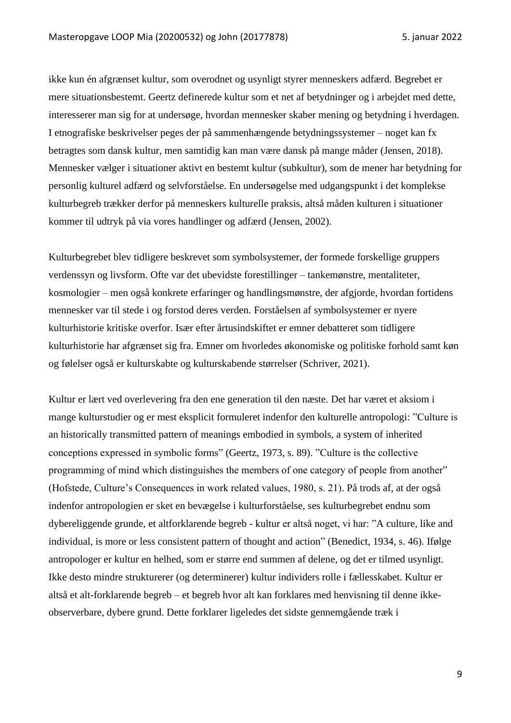ikke kun én afgrænset kultur, som overodnet og usynligt styrer menneskers adfærd. Begrebet er mere situationsbestemt. Geertz definerede kultur som et net af betydninger og i arbejdet med dette, interesserer man sig for at undersøge, hvordan mennesker skaber mening og betydning i hverdagen. I etnografiske beskrivelser peges der på sammenhængende betydningssystemer – noget kan fx betragtes som dansk kultur, men samtidig kan man være dansk på mange måder (Jensen, 2018). Mennesker vælger i situationer aktivt en bestemt kultur (subkultur), som de mener har betydning for personlig kulturel adfærd og selvforståelse. En undersøgelse med udgangspunkt i det komplekse kulturbegreb trækker derfor på menneskers kulturelle praksis, altså måden kulturen i situationer kommer til udtryk på via vores handlinger og adfærd (Jensen, 2002).

Kulturbegrebet blev tidligere beskrevet som symbolsystemer, der formede forskellige gruppers verdenssyn og livsform. Ofte var det ubevidste forestillinger – tankemønstre, mentaliteter, kosmologier – men også konkrete erfaringer og handlingsmønstre, der afgjorde, hvordan fortidens mennesker var til stede i og forstod deres verden. Forståelsen af symbolsystemer er nyere kulturhistorie kritiske overfor. Især efter årtusindskiftet er emner debatteret som tidligere kulturhistorie har afgrænset sig fra. Emner om hvorledes økonomiske og politiske forhold samt køn og følelser også er kulturskabte og kulturskabende størrelser (Schriver, 2021).

Kultur er lært ved overlevering fra den ene generation til den næste. Det har været et aksiom i mange kulturstudier og er mest eksplicit formuleret indenfor den kulturelle antropologi: "Culture is an historically transmitted pattern of meanings embodied in symbols, a system of inherited conceptions expressed in symbolic forms" (Geertz, 1973, s. 89). "Culture is the collective programming of mind which distinguishes the members of one category of people from another" (Hofstede, Culture's Consequences in work related values, 1980, s. 21). På trods af, at der også indenfor antropologien er sket en bevægelse i kulturforståelse, ses kulturbegrebet endnu som dybereliggende grunde, et altforklarende begreb - kultur er altså noget, vi har: "A culture, like and individual, is more or less consistent pattern of thought and action" (Benedict, 1934, s. 46). Ifølge antropologer er kultur en helhed, som er større end summen af delene, og det er tilmed usynligt. Ikke desto mindre strukturerer (og determinerer) kultur individers rolle i fællesskabet. Kultur er altså et alt-forklarende begreb – et begreb hvor alt kan forklares med henvisning til denne ikkeobserverbare, dybere grund. Dette forklarer ligeledes det sidste gennemgående træk i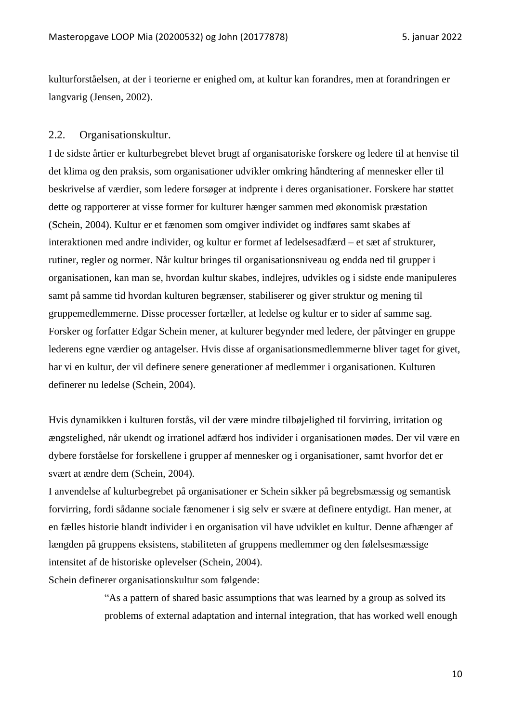kulturforståelsen, at der i teorierne er enighed om, at kultur kan forandres, men at forandringen er langvarig (Jensen, 2002).

#### <span id="page-9-0"></span>2.2. Organisationskultur.

I de sidste årtier er kulturbegrebet blevet brugt af organisatoriske forskere og ledere til at henvise til det klima og den praksis, som organisationer udvikler omkring håndtering af mennesker eller til beskrivelse af værdier, som ledere forsøger at indprente i deres organisationer. Forskere har støttet dette og rapporterer at visse former for kulturer hænger sammen med økonomisk præstation (Schein, 2004). Kultur er et fænomen som omgiver individet og indføres samt skabes af interaktionen med andre individer, og kultur er formet af ledelsesadfærd – et sæt af strukturer, rutiner, regler og normer. Når kultur bringes til organisationsniveau og endda ned til grupper i organisationen, kan man se, hvordan kultur skabes, indlejres, udvikles og i sidste ende manipuleres samt på samme tid hvordan kulturen begrænser, stabiliserer og giver struktur og mening til gruppemedlemmerne. Disse processer fortæller, at ledelse og kultur er to sider af samme sag. Forsker og forfatter Edgar Schein mener, at kulturer begynder med ledere, der påtvinger en gruppe lederens egne værdier og antagelser. Hvis disse af organisationsmedlemmerne bliver taget for givet, har vi en kultur, der vil definere senere generationer af medlemmer i organisationen. Kulturen definerer nu ledelse (Schein, 2004).

Hvis dynamikken i kulturen forstås, vil der være mindre tilbøjelighed til forvirring, irritation og ængstelighed, når ukendt og irrationel adfærd hos individer i organisationen mødes. Der vil være en dybere forståelse for forskellene i grupper af mennesker og i organisationer, samt hvorfor det er svært at ændre dem (Schein, 2004).

I anvendelse af kulturbegrebet på organisationer er Schein sikker på begrebsmæssig og semantisk forvirring, fordi sådanne sociale fænomener i sig selv er svære at definere entydigt. Han mener, at en fælles historie blandt individer i en organisation vil have udviklet en kultur. Denne afhænger af længden på gruppens eksistens, stabiliteten af gruppens medlemmer og den følelsesmæssige intensitet af de historiske oplevelser (Schein, 2004).

Schein definerer organisationskultur som følgende:

"As a pattern of shared basic assumptions that was learned by a group as solved its problems of external adaptation and internal integration, that has worked well enough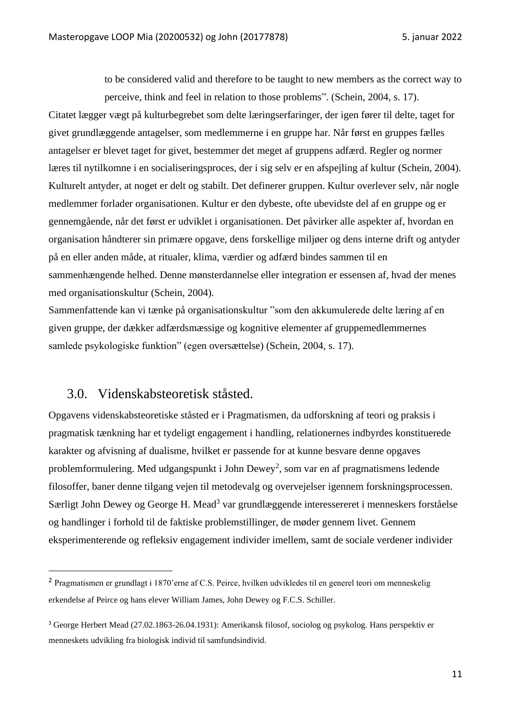to be considered valid and therefore to be taught to new members as the correct way to perceive, think and feel in relation to those problems". (Schein, 2004, s. 17).

Citatet lægger vægt på kulturbegrebet som delte læringserfaringer, der igen fører til delte, taget for givet grundlæggende antagelser, som medlemmerne i en gruppe har. Når først en gruppes fælles antagelser er blevet taget for givet, bestemmer det meget af gruppens adfærd. Regler og normer læres til nytilkomne i en socialiseringsproces, der i sig selv er en afspejling af kultur (Schein, 2004). Kulturelt antyder, at noget er delt og stabilt. Det definerer gruppen. Kultur overlever selv, når nogle medlemmer forlader organisationen. Kultur er den dybeste, ofte ubevidste del af en gruppe og er gennemgående, når det først er udviklet i organisationen. Det påvirker alle aspekter af, hvordan en organisation håndterer sin primære opgave, dens forskellige miljøer og dens interne drift og antyder på en eller anden måde, at ritualer, klima, værdier og adfærd bindes sammen til en sammenhængende helhed. Denne mønsterdannelse eller integration er essensen af, hvad der menes med organisationskultur (Schein, 2004).

Sammenfattende kan vi tænke på organisationskultur "som den akkumulerede delte læring af en given gruppe, der dækker adfærdsmæssige og kognitive elementer af gruppemedlemmernes samlede psykologiske funktion" (egen oversættelse) (Schein, 2004, s. 17).

## <span id="page-10-0"></span>3.0. Videnskabsteoretisk ståsted.

Opgavens videnskabsteoretiske ståsted er i Pragmatismen, da udforskning af teori og praksis i pragmatisk tænkning har et tydeligt engagement i handling, relationernes indbyrdes konstituerede karakter og afvisning af dualisme, hvilket er passende for at kunne besvare denne opgaves problemformulering. Med udgangspunkt i John Dewey<sup>2</sup>, som var en af pragmatismens ledende filosoffer, baner denne tilgang vejen til metodevalg og overvejelser igennem forskningsprocessen. Særligt John Dewey og George H. Mead<sup>3</sup> var grundlæggende interessereret i menneskers forståelse og handlinger i forhold til de faktiske problemstillinger, de møder gennem livet. Gennem eksperimenterende og refleksiv engagement individer imellem, samt de sociale verdener individer

<sup>2</sup> Pragmatismen er grundlagt i 1870'erne af C.S. Peirce, hvilken udvikledes til en generel teori om menneskelig erkendelse af Peirce og hans elever William James, John Dewey og F.C.S. Schiller.

<sup>3</sup> George Herbert Mead (27.02.1863-26.04.1931): Amerikansk filosof, sociolog og psykolog. Hans perspektiv er menneskets udvikling fra biologisk individ til samfundsindivid.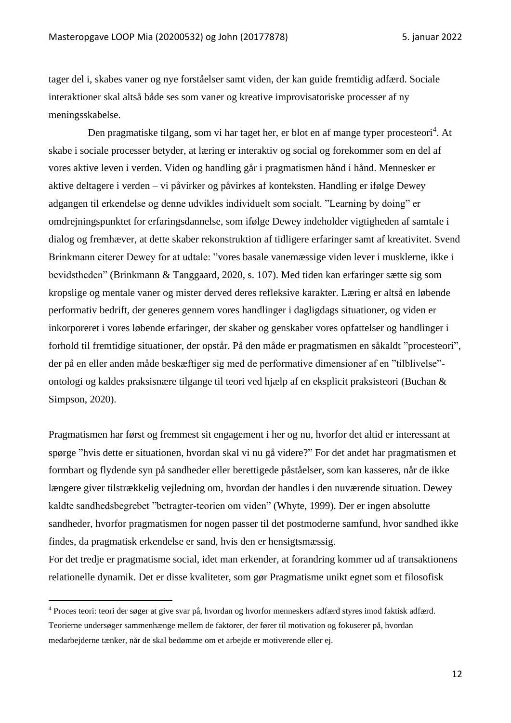tager del i, skabes vaner og nye forståelser samt viden, der kan guide fremtidig adfærd. Sociale interaktioner skal altså både ses som vaner og kreative improvisatoriske processer af ny meningsskabelse.

Den pragmatiske tilgang, som vi har taget her, er blot en af mange typer procesteori<sup>4</sup>. At skabe i sociale processer betyder, at læring er interaktiv og social og forekommer som en del af vores aktive leven i verden. Viden og handling går i pragmatismen hånd i hånd. Mennesker er aktive deltagere i verden – vi påvirker og påvirkes af konteksten. Handling er ifølge Dewey adgangen til erkendelse og denne udvikles individuelt som socialt. "Learning by doing" er omdrejningspunktet for erfaringsdannelse, som ifølge Dewey indeholder vigtigheden af samtale i dialog og fremhæver, at dette skaber rekonstruktion af tidligere erfaringer samt af kreativitet. Svend Brinkmann citerer Dewey for at udtale: "vores basale vanemæssige viden lever i musklerne, ikke i bevidstheden" (Brinkmann & Tanggaard, 2020, s. 107). Med tiden kan erfaringer sætte sig som kropslige og mentale vaner og mister derved deres refleksive karakter. Læring er altså en løbende performativ bedrift, der generes gennem vores handlinger i dagligdags situationer, og viden er inkorporeret i vores løbende erfaringer, der skaber og genskaber vores opfattelser og handlinger i forhold til fremtidige situationer, der opstår. På den måde er pragmatismen en såkaldt "procesteori", der på en eller anden måde beskæftiger sig med de performative dimensioner af en "tilblivelse" ontologi og kaldes praksisnære tilgange til teori ved hjælp af en eksplicit praksisteori (Buchan & Simpson, 2020).

Pragmatismen har først og fremmest sit engagement i her og nu, hvorfor det altid er interessant at spørge "hvis dette er situationen, hvordan skal vi nu gå videre?" For det andet har pragmatismen et formbart og flydende syn på sandheder eller berettigede påståelser, som kan kasseres, når de ikke længere giver tilstrækkelig vejledning om, hvordan der handles i den nuværende situation. Dewey kaldte sandhedsbegrebet "betragter-teorien om viden" (Whyte, 1999). Der er ingen absolutte sandheder, hvorfor pragmatismen for nogen passer til det postmoderne samfund, hvor sandhed ikke findes, da pragmatisk erkendelse er sand, hvis den er hensigtsmæssig.

For det tredje er pragmatisme social, idet man erkender, at forandring kommer ud af transaktionens relationelle dynamik. Det er disse kvaliteter, som gør Pragmatisme unikt egnet som et filosofisk

<sup>4</sup> Proces teori: teori der søger at give svar på, hvordan og hvorfor menneskers adfærd styres imod faktisk adfærd. Teorierne undersøger sammenhænge mellem de faktorer, der fører til motivation og fokuserer på, hvordan medarbejderne tænker, når de skal bedømme om et arbejde er motiverende eller ej.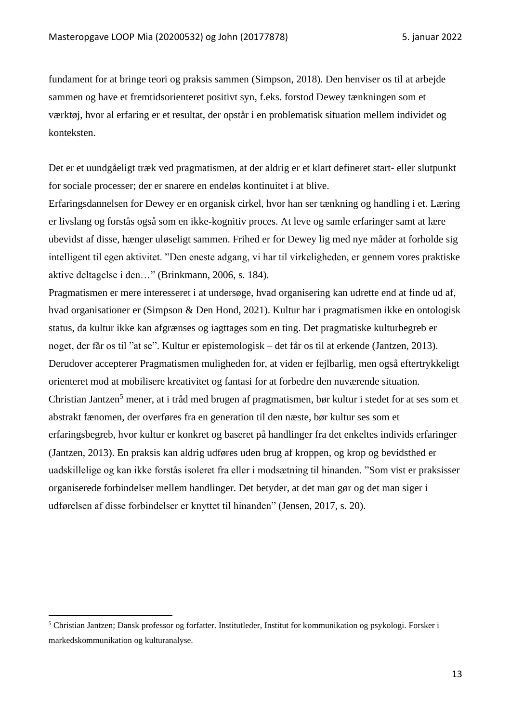fundament for at bringe teori og praksis sammen (Simpson, 2018). Den henviser os til at arbejde sammen og have et fremtidsorienteret positivt syn, f.eks. forstod Dewey tænkningen som et værktøj, hvor al erfaring er et resultat, der opstår i en problematisk situation mellem individet og konteksten.

Det er et uundgåeligt træk ved pragmatismen, at der aldrig er et klart defineret start- eller slutpunkt for sociale processer; der er snarere en endeløs kontinuitet i at blive.

Erfaringsdannelsen for Dewey er en organisk cirkel, hvor han ser tænkning og handling i et. Læring er livslang og forstås også som en ikke-kognitiv proces. At leve og samle erfaringer samt at lære ubevidst af disse, hænger uløseligt sammen. Frihed er for Dewey lig med nye måder at forholde sig intelligent til egen aktivitet. "Den eneste adgang, vi har til virkeligheden, er gennem vores praktiske aktive deltagelse i den…" (Brinkmann, 2006, s. 184).

Pragmatismen er mere interesseret i at undersøge, hvad organisering kan udrette end at finde ud af, hvad organisationer er (Simpson & Den Hond, 2021). Kultur har i pragmatismen ikke en ontologisk status, da kultur ikke kan afgrænses og iagttages som en ting. Det pragmatiske kulturbegreb er noget, der får os til "at se". Kultur er epistemologisk – det får os til at erkende (Jantzen, 2013). Derudover accepterer Pragmatismen muligheden for, at viden er fejlbarlig, men også eftertrykkeligt orienteret mod at mobilisere kreativitet og fantasi for at forbedre den nuværende situation. Christian Jantzen<sup>5</sup> mener, at i tråd med brugen af pragmatismen, bør kultur i stedet for at ses som et abstrakt fænomen, der overføres fra en generation til den næste, bør kultur ses som et erfaringsbegreb, hvor kultur er konkret og baseret på handlinger fra det enkeltes individs erfaringer (Jantzen, 2013). En praksis kan aldrig udføres uden brug af kroppen, og krop og bevidsthed er uadskillelige og kan ikke forstås isoleret fra eller i modsætning til hinanden. "Som vist er praksisser organiserede forbindelser mellem handlinger. Det betyder, at det man gør og det man siger i udførelsen af disse forbindelser er knyttet til hinanden" (Jensen, 2017, s. 20).

<sup>5</sup> Christian Jantzen; Dansk professor og forfatter. Institutleder, Institut for kommunikation og psykologi. Forsker i markedskommunikation og kulturanalyse.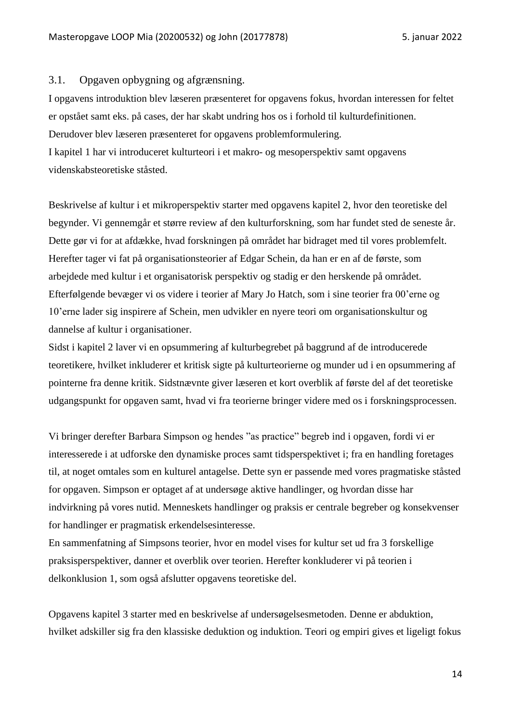#### <span id="page-13-0"></span>3.1. Opgaven opbygning og afgrænsning.

I opgavens introduktion blev læseren præsenteret for opgavens fokus, hvordan interessen for feltet er opstået samt eks. på cases, der har skabt undring hos os i forhold til kulturdefinitionen. Derudover blev læseren præsenteret for opgavens problemformulering. I kapitel 1 har vi introduceret kulturteori i et makro- og mesoperspektiv samt opgavens videnskabsteoretiske ståsted.

Beskrivelse af kultur i et mikroperspektiv starter med opgavens kapitel 2, hvor den teoretiske del begynder. Vi gennemgår et større review af den kulturforskning, som har fundet sted de seneste år. Dette gør vi for at afdække, hvad forskningen på området har bidraget med til vores problemfelt. Herefter tager vi fat på organisationsteorier af Edgar Schein, da han er en af de første, som arbejdede med kultur i et organisatorisk perspektiv og stadig er den herskende på området. Efterfølgende bevæger vi os videre i teorier af Mary Jo Hatch, som i sine teorier fra 00'erne og 10'erne lader sig inspirere af Schein, men udvikler en nyere teori om organisationskultur og dannelse af kultur i organisationer.

Sidst i kapitel 2 laver vi en opsummering af kulturbegrebet på baggrund af de introducerede teoretikere, hvilket inkluderer et kritisk sigte på kulturteorierne og munder ud i en opsummering af pointerne fra denne kritik. Sidstnævnte giver læseren et kort overblik af første del af det teoretiske udgangspunkt for opgaven samt, hvad vi fra teorierne bringer videre med os i forskningsprocessen.

Vi bringer derefter Barbara Simpson og hendes "as practice" begreb ind i opgaven, fordi vi er interesserede i at udforske den dynamiske proces samt tidsperspektivet i; fra en handling foretages til, at noget omtales som en kulturel antagelse. Dette syn er passende med vores pragmatiske ståsted for opgaven. Simpson er optaget af at undersøge aktive handlinger, og hvordan disse har indvirkning på vores nutid. Menneskets handlinger og praksis er centrale begreber og konsekvenser for handlinger er pragmatisk erkendelsesinteresse.

En sammenfatning af Simpsons teorier, hvor en model vises for kultur set ud fra 3 forskellige praksisperspektiver, danner et overblik over teorien. Herefter konkluderer vi på teorien i delkonklusion 1, som også afslutter opgavens teoretiske del.

Opgavens kapitel 3 starter med en beskrivelse af undersøgelsesmetoden. Denne er abduktion, hvilket adskiller sig fra den klassiske deduktion og induktion. Teori og empiri gives et ligeligt fokus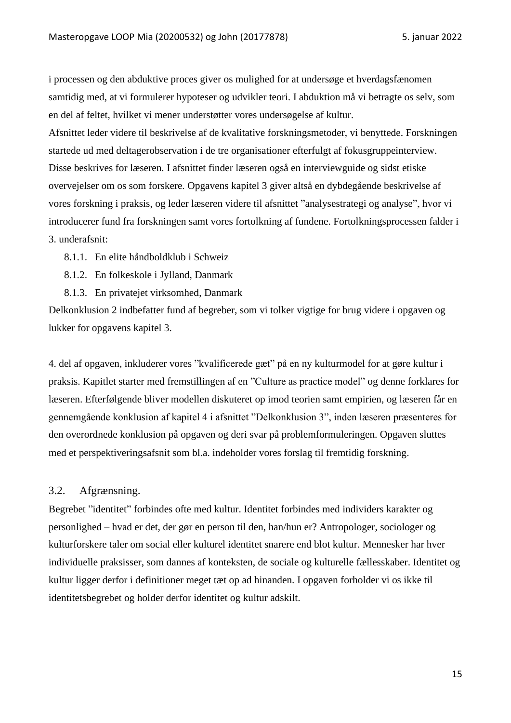i processen og den abduktive proces giver os mulighed for at undersøge et hverdagsfænomen samtidig med, at vi formulerer hypoteser og udvikler teori. I abduktion må vi betragte os selv, som en del af feltet, hvilket vi mener understøtter vores undersøgelse af kultur.

Afsnittet leder videre til beskrivelse af de kvalitative forskningsmetoder, vi benyttede. Forskningen startede ud med deltagerobservation i de tre organisationer efterfulgt af fokusgruppeinterview. Disse beskrives for læseren. I afsnittet finder læseren også en interviewguide og sidst etiske overvejelser om os som forskere. Opgavens kapitel 3 giver altså en dybdegående beskrivelse af vores forskning i praksis, og leder læseren videre til afsnittet "analysestrategi og analyse", hvor vi introducerer fund fra forskningen samt vores fortolkning af fundene. Fortolkningsprocessen falder i 3. underafsnit:

- 8.1.1. En elite håndboldklub i Schweiz
- 8.1.2. En folkeskole i Jylland, Danmark
- 8.1.3. En privatejet virksomhed, Danmark

Delkonklusion 2 indbefatter fund af begreber, som vi tolker vigtige for brug videre i opgaven og lukker for opgavens kapitel 3.

4. del af opgaven, inkluderer vores "kvalificerede gæt" på en ny kulturmodel for at gøre kultur i praksis. Kapitlet starter med fremstillingen af en "Culture as practice model" og denne forklares for læseren. Efterfølgende bliver modellen diskuteret op imod teorien samt empirien, og læseren får en gennemgående konklusion af kapitel 4 i afsnittet "Delkonklusion 3", inden læseren præsenteres for den overordnede konklusion på opgaven og deri svar på problemformuleringen. Opgaven sluttes med et perspektiveringsafsnit som bl.a. indeholder vores forslag til fremtidig forskning.

#### <span id="page-14-0"></span>3.2. Afgrænsning.

Begrebet "identitet" forbindes ofte med kultur. Identitet forbindes med individers karakter og personlighed – hvad er det, der gør en person til den, han/hun er? Antropologer, sociologer og kulturforskere taler om social eller kulturel identitet snarere end blot kultur. Mennesker har hver individuelle praksisser, som dannes af konteksten, de sociale og kulturelle fællesskaber. Identitet og kultur ligger derfor i definitioner meget tæt op ad hinanden. I opgaven forholder vi os ikke til identitetsbegrebet og holder derfor identitet og kultur adskilt.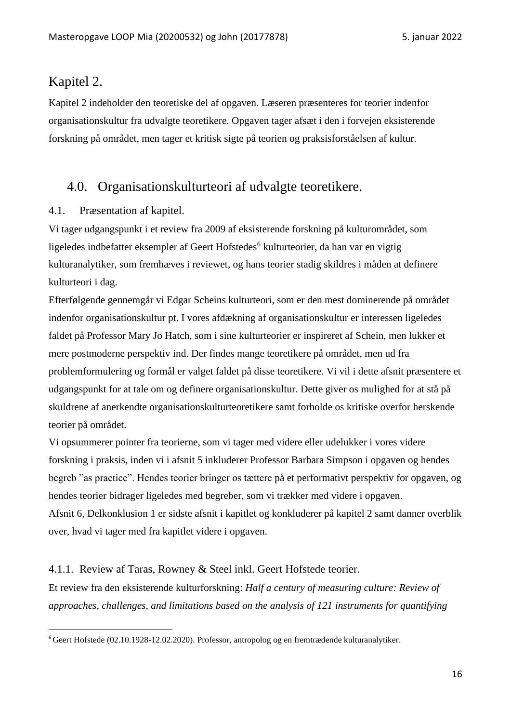### <span id="page-15-0"></span>Kapitel 2.

Kapitel 2 indeholder den teoretiske del af opgaven. Læseren præsenteres for teorier indenfor organisationskultur fra udvalgte teoretikere. Opgaven tager afsæt i den i forvejen eksisterende forskning på området, men tager et kritisk sigte på teorien og praksisforståelsen af kultur.

### <span id="page-15-1"></span>4.0. Organisationskulturteori af udvalgte teoretikere.

#### <span id="page-15-2"></span>4.1. Præsentation af kapitel.

Vi tager udgangspunkt i et review fra 2009 af eksisterende forskning på kulturområdet, som ligeledes indbefatter eksempler af Geert Hofstedes<sup>6</sup> kulturteorier, da han var en vigtig kulturanalytiker, som fremhæves i reviewet, og hans teorier stadig skildres i måden at definere kulturteori i dag.

Efterfølgende gennemgår vi Edgar Scheins kulturteori, som er den mest dominerende på området indenfor organisationskultur pt. I vores afdækning af organisationskultur er interessen ligeledes faldet på Professor Mary Jo Hatch, som i sine kulturteorier er inspireret af Schein, men lukker et mere postmoderne perspektiv ind. Der findes mange teoretikere på området, men ud fra problemformulering og formål er valget faldet på disse teoretikere. Vi vil i dette afsnit præsentere et udgangspunkt for at tale om og definere organisationskultur. Dette giver os mulighed for at stå på skuldrene af anerkendte organisationskulturteoretikere samt forholde os kritiske overfor herskende teorier på området.

Vi opsummerer pointer fra teorierne, som vi tager med videre eller udelukker i vores videre forskning i praksis, inden vi i afsnit 5 inkluderer Professor Barbara Simpson i opgaven og hendes begreb "as practice". Hendes teorier bringer os tættere på et performativt perspektiv for opgaven, og hendes teorier bidrager ligeledes med begreber, som vi trækker med videre i opgaven. Afsnit 6, Delkonklusion 1 er sidste afsnit i kapitlet og konkluderer på kapitel 2 samt danner overblik over, hvad vi tager med fra kapitlet videre i opgaven.

### <span id="page-15-3"></span>4.1.1. Review af Taras, Rowney & Steel inkl. Geert Hofstede teorier.

Et review fra den eksisterende kulturforskning: *Half a century of measuring culture: Review of approaches, challenges, and limitations based on the analysis of 121 instruments for quantifying* 

<sup>6</sup>Geert Hofstede (02.10.1928-12.02.2020). Professor, antropolog og en fremtrædende kulturanalytiker.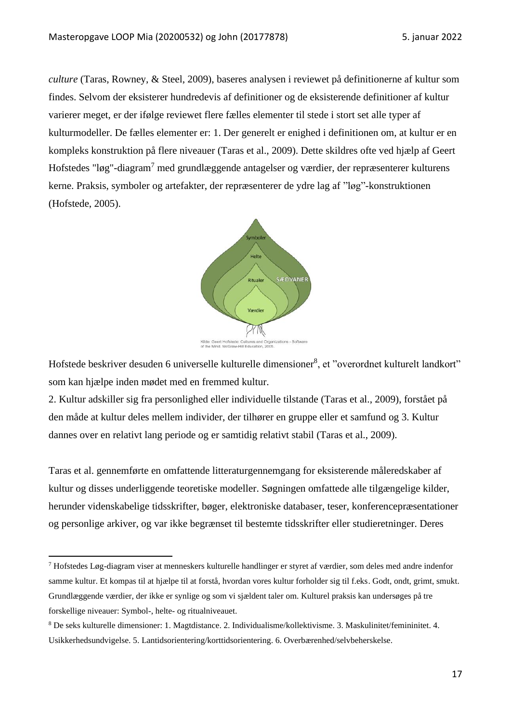*culture* (Taras, Rowney, & Steel, 2009), baseres analysen i reviewet på definitionerne af kultur som findes. Selvom der eksisterer hundredevis af definitioner og de eksisterende definitioner af kultur varierer meget, er der ifølge reviewet flere fælles elementer til stede i stort set alle typer af kulturmodeller. De fælles elementer er: 1. Der generelt er enighed i definitionen om, at kultur er en kompleks konstruktion på flere niveauer (Taras et al., 2009). Dette skildres ofte ved hjælp af Geert Hofstedes "løg"-diagram<sup>7</sup> med grundlæggende antagelser og værdier, der repræsenterer kulturens kerne. Praksis, symboler og artefakter, der repræsenterer de ydre lag af "løg"-konstruktionen (Hofstede, 2005).



Hofstede beskriver desuden 6 universelle kulturelle dimensioner<sup>8</sup>, et "overordnet kulturelt landkort" som kan hjælpe inden mødet med en fremmed kultur.

2. Kultur adskiller sig fra personlighed eller individuelle tilstande (Taras et al., 2009), forstået på den måde at kultur deles mellem individer, der tilhører en gruppe eller et samfund og 3. Kultur dannes over en relativt lang periode og er samtidig relativt stabil (Taras et al., 2009).

Taras et al. gennemførte en omfattende litteraturgennemgang for eksisterende måleredskaber af kultur og disses underliggende teoretiske modeller. Søgningen omfattede alle tilgængelige kilder, herunder videnskabelige tidsskrifter, bøger, elektroniske databaser, teser, konferencepræsentationer og personlige arkiver, og var ikke begrænset til bestemte tidsskrifter eller studieretninger. Deres

<sup>7</sup> Hofstedes Løg-diagram viser at menneskers kulturelle handlinger er styret af værdier, som deles med andre indenfor samme kultur. Et kompas til at hjælpe til at forstå, hvordan vores kultur forholder sig til f.eks. Godt, ondt, grimt, smukt. Grundlæggende værdier, der ikke er synlige og som vi sjældent taler om. Kulturel praksis kan undersøges på tre forskellige niveauer: Symbol-, helte- og ritualniveauet.

<sup>8</sup> De seks kulturelle dimensioner: 1. Magtdistance. 2. Individualisme/kollektivisme. 3. Maskulinitet/femininitet. 4. Usikkerhedsundvigelse. 5. Lantidsorientering/korttidsorientering. 6. Overbærenhed/selvbeherskelse.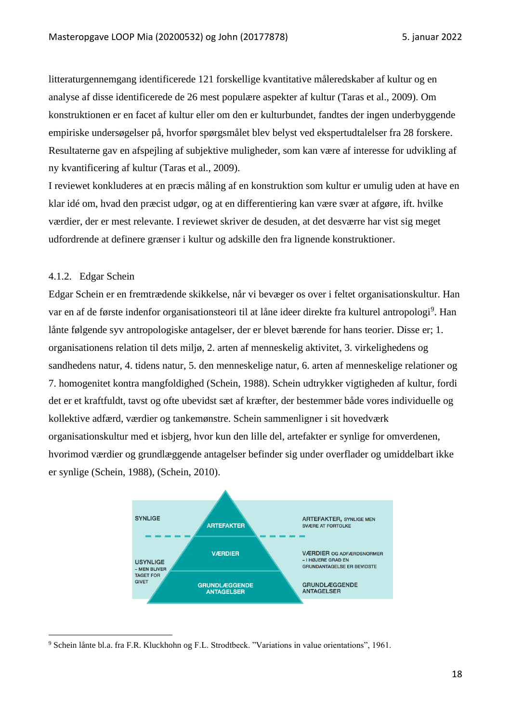litteraturgennemgang identificerede 121 forskellige kvantitative måleredskaber af kultur og en analyse af disse identificerede de 26 mest populære aspekter af kultur (Taras et al., 2009). Om konstruktionen er en facet af kultur eller om den er kulturbundet, fandtes der ingen underbyggende empiriske undersøgelser på, hvorfor spørgsmålet blev belyst ved ekspertudtalelser fra 28 forskere. Resultaterne gav en afspejling af subjektive muligheder, som kan være af interesse for udvikling af ny kvantificering af kultur (Taras et al., 2009).

I reviewet konkluderes at en præcis måling af en konstruktion som kultur er umulig uden at have en klar idé om, hvad den præcist udgør, og at en differentiering kan være svær at afgøre, ift. hvilke værdier, der er mest relevante. I reviewet skriver de desuden, at det desværre har vist sig meget udfordrende at definere grænser i kultur og adskille den fra lignende konstruktioner.

#### <span id="page-17-0"></span>4.1.2. Edgar Schein

Edgar Schein er en fremtrædende skikkelse, når vi bevæger os over i feltet organisationskultur. Han var en af de første indenfor organisationsteori til at låne ideer direkte fra kulturel antropologi<sup>9</sup>. Han lånte følgende syv antropologiske antagelser, der er blevet bærende for hans teorier. Disse er; 1. organisationens relation til dets miljø, 2. arten af menneskelig aktivitet, 3. virkelighedens og sandhedens natur, 4. tidens natur, 5. den menneskelige natur, 6. arten af menneskelige relationer og 7. homogenitet kontra mangfoldighed (Schein, 1988). Schein udtrykker vigtigheden af kultur, fordi det er et kraftfuldt, tavst og ofte ubevidst sæt af kræfter, der bestemmer både vores individuelle og kollektive adfærd, værdier og tankemønstre. Schein sammenligner i sit hovedværk organisationskultur med et isbjerg, hvor kun den lille del, artefakter er synlige for omverdenen, hvorimod værdier og grundlæggende antagelser befinder sig under overflader og umiddelbart ikke er synlige (Schein, 1988), (Schein, 2010).



<sup>9</sup> Schein lånte bl.a. fra F.R. Kluckhohn og F.L. Strodtbeck. "Variations in value orientations", 1961.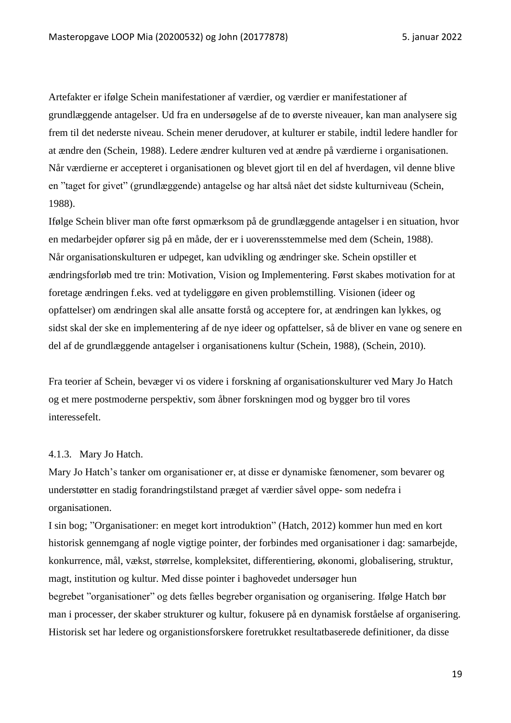Artefakter er ifølge Schein manifestationer af værdier, og værdier er manifestationer af grundlæggende antagelser. Ud fra en undersøgelse af de to øverste niveauer, kan man analysere sig frem til det nederste niveau. Schein mener derudover, at kulturer er stabile, indtil ledere handler for at ændre den (Schein, 1988). Ledere ændrer kulturen ved at ændre på værdierne i organisationen. Når værdierne er accepteret i organisationen og blevet gjort til en del af hverdagen, vil denne blive en "taget for givet" (grundlæggende) antagelse og har altså nået det sidste kulturniveau (Schein, 1988).

Ifølge Schein bliver man ofte først opmærksom på de grundlæggende antagelser i en situation, hvor en medarbejder opfører sig på en måde, der er i uoverensstemmelse med dem (Schein, 1988). Når organisationskulturen er udpeget, kan udvikling og ændringer ske. Schein opstiller et ændringsforløb med tre trin: Motivation, Vision og Implementering. Først skabes motivation for at foretage ændringen f.eks. ved at tydeliggøre en given problemstilling. Visionen (ideer og opfattelser) om ændringen skal alle ansatte forstå og acceptere for, at ændringen kan lykkes, og sidst skal der ske en implementering af de nye ideer og opfattelser, så de bliver en vane og senere en del af de grundlæggende antagelser i organisationens kultur (Schein, 1988), (Schein, 2010).

Fra teorier af Schein, bevæger vi os videre i forskning af organisationskulturer ved Mary Jo Hatch og et mere postmoderne perspektiv, som åbner forskningen mod og bygger bro til vores interessefelt.

#### <span id="page-18-0"></span>4.1.3. Mary Jo Hatch.

Mary Jo Hatch's tanker om organisationer er, at disse er dynamiske fænomener, som bevarer og understøtter en stadig forandringstilstand præget af værdier såvel oppe- som nedefra i organisationen.

I sin bog; "Organisationer: en meget kort introduktion" (Hatch, 2012) kommer hun med en kort historisk gennemgang af nogle vigtige pointer, der forbindes med organisationer i dag: samarbejde, konkurrence, mål, vækst, størrelse, kompleksitet, differentiering, økonomi, globalisering, struktur, magt, institution og kultur. Med disse pointer i baghovedet undersøger hun begrebet "organisationer" og dets fælles begreber organisation og organisering. Ifølge Hatch bør man i processer, der skaber strukturer og kultur, fokusere på en dynamisk forståelse af organisering. Historisk set har ledere og organistionsforskere foretrukket resultatbaserede definitioner, da disse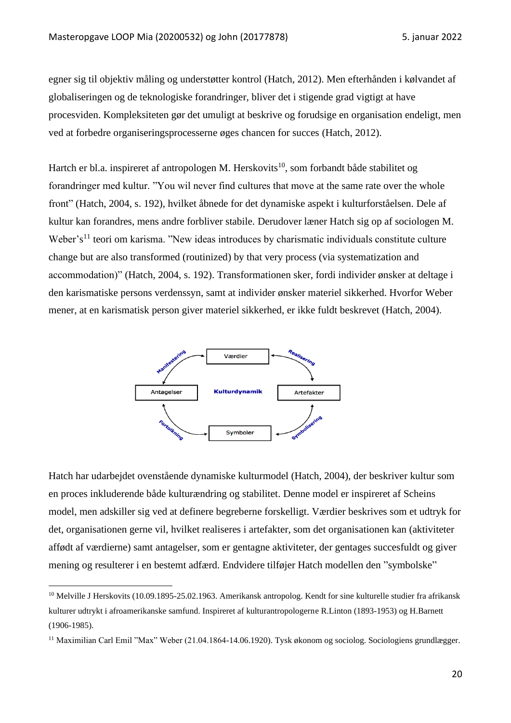egner sig til objektiv måling og understøtter kontrol (Hatch, 2012). Men efterhånden i kølvandet af globaliseringen og de teknologiske forandringer, bliver det i stigende grad vigtigt at have procesviden. Kompleksiteten gør det umuligt at beskrive og forudsige en organisation endeligt, men ved at forbedre organiseringsprocesserne øges chancen for succes (Hatch, 2012).

Hartch er bl.a. inspireret af antropologen M. Herskovits<sup>10</sup>, som forbandt både stabilitet og forandringer med kultur. "You wil never find cultures that move at the same rate over the whole front" (Hatch, 2004, s. 192), hvilket åbnede for det dynamiske aspekt i kulturforståelsen. Dele af kultur kan forandres, mens andre forbliver stabile. Derudover læner Hatch sig op af sociologen M. Weber's<sup>11</sup> teori om karisma. "New ideas introduces by charismatic individuals constitute culture change but are also transformed (routinized) by that very process (via systematization and accommodation)" (Hatch, 2004, s. 192). Transformationen sker, fordi individer ønsker at deltage i den karismatiske persons verdenssyn, samt at individer ønsker materiel sikkerhed. Hvorfor Weber mener, at en karismatisk person giver materiel sikkerhed, er ikke fuldt beskrevet (Hatch, 2004).



Hatch har udarbejdet ovenstående dynamiske kulturmodel (Hatch, 2004), der beskriver kultur som en proces inkluderende både kulturændring og stabilitet. Denne model er inspireret af Scheins model, men adskiller sig ved at definere begreberne forskelligt. Værdier beskrives som et udtryk for det, organisationen gerne vil, hvilket realiseres i artefakter, som det organisationen kan (aktiviteter affødt af værdierne) samt antagelser, som er gentagne aktiviteter, der gentages succesfuldt og giver mening og resulterer i en bestemt adfærd. Endvidere tilføjer Hatch modellen den "symbolske"

 $10$  Melville J Herskovits (10.09.1895-25.02.1963. Amerikansk antropolog. Kendt for sine kulturelle studier fra afrikansk kulturer udtrykt i afroamerikanske samfund. Inspireret af kulturantropologerne R.Linton (1893-1953) og H.Barnett (1906-1985).

<sup>11</sup> Maximilian Carl Emil "Max" Weber (21.04.1864-14.06.1920). Tysk økonom og sociolog. Sociologiens grundlægger.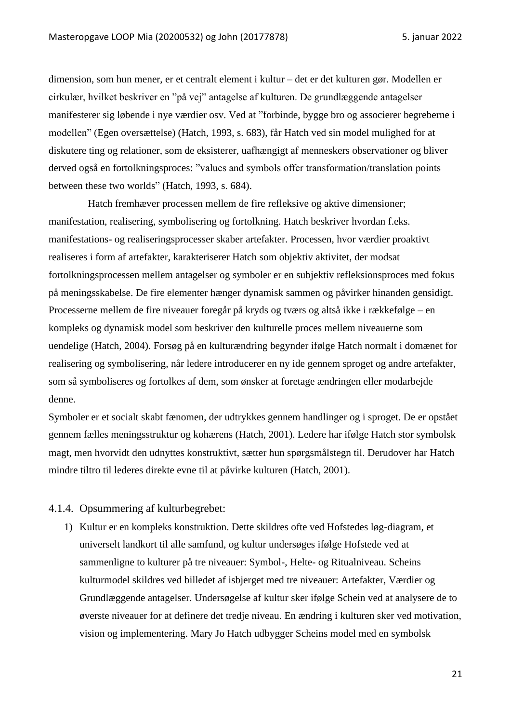dimension, som hun mener, er et centralt element i kultur – det er det kulturen gør. Modellen er cirkulær, hvilket beskriver en "på vej" antagelse af kulturen. De grundlæggende antagelser manifesterer sig løbende i nye værdier osv. Ved at "forbinde, bygge bro og associerer begreberne i modellen" (Egen oversættelse) (Hatch, 1993, s. 683), får Hatch ved sin model mulighed for at diskutere ting og relationer, som de eksisterer, uafhængigt af menneskers observationer og bliver derved også en fortolkningsproces: "values and symbols offer transformation/translation points between these two worlds" (Hatch, 1993, s. 684).

Hatch fremhæver processen mellem de fire refleksive og aktive dimensioner; manifestation, realisering, symbolisering og fortolkning. Hatch beskriver hvordan f.eks. manifestations- og realiseringsprocesser skaber artefakter. Processen, hvor værdier proaktivt realiseres i form af artefakter, karakteriserer Hatch som objektiv aktivitet, der modsat fortolkningsprocessen mellem antagelser og symboler er en subjektiv refleksionsproces med fokus på meningsskabelse. De fire elementer hænger dynamisk sammen og påvirker hinanden gensidigt. Processerne mellem de fire niveauer foregår på kryds og tværs og altså ikke i rækkefølge – en kompleks og dynamisk model som beskriver den kulturelle proces mellem niveauerne som uendelige (Hatch, 2004). Forsøg på en kulturændring begynder ifølge Hatch normalt i domænet for realisering og symbolisering, når ledere introducerer en ny ide gennem sproget og andre artefakter, som så symboliseres og fortolkes af dem, som ønsker at foretage ændringen eller modarbejde denne.

Symboler er et socialt skabt fænomen, der udtrykkes gennem handlinger og i sproget. De er opstået gennem fælles meningsstruktur og kohærens (Hatch, 2001). Ledere har ifølge Hatch stor symbolsk magt, men hvorvidt den udnyttes konstruktivt, sætter hun spørgsmålstegn til. Derudover har Hatch mindre tiltro til lederes direkte evne til at påvirke kulturen (Hatch, 2001).

#### <span id="page-20-0"></span>4.1.4. Opsummering af kulturbegrebet:

1) Kultur er en kompleks konstruktion. Dette skildres ofte ved Hofstedes løg-diagram, et universelt landkort til alle samfund, og kultur undersøges ifølge Hofstede ved at sammenligne to kulturer på tre niveauer: Symbol-, Helte- og Ritualniveau. Scheins kulturmodel skildres ved billedet af isbjerget med tre niveauer: Artefakter, Værdier og Grundlæggende antagelser. Undersøgelse af kultur sker ifølge Schein ved at analysere de to øverste niveauer for at definere det tredje niveau. En ændring i kulturen sker ved motivation, vision og implementering. Mary Jo Hatch udbygger Scheins model med en symbolsk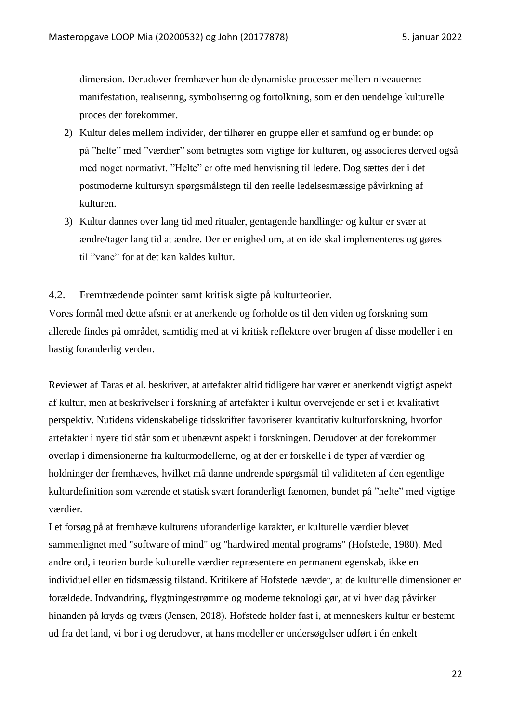dimension. Derudover fremhæver hun de dynamiske processer mellem niveauerne: manifestation, realisering, symbolisering og fortolkning, som er den uendelige kulturelle proces der forekommer.

- 2) Kultur deles mellem individer, der tilhører en gruppe eller et samfund og er bundet op på "helte" med "værdier" som betragtes som vigtige for kulturen, og associeres derved også med noget normativt. "Helte" er ofte med henvisning til ledere. Dog sættes der i det postmoderne kultursyn spørgsmålstegn til den reelle ledelsesmæssige påvirkning af kulturen.
- 3) Kultur dannes over lang tid med ritualer, gentagende handlinger og kultur er svær at ændre/tager lang tid at ændre. Der er enighed om, at en ide skal implementeres og gøres til "vane" for at det kan kaldes kultur.
- <span id="page-21-0"></span>4.2. Fremtrædende pointer samt kritisk sigte på kulturteorier.

Vores formål med dette afsnit er at anerkende og forholde os til den viden og forskning som allerede findes på området, samtidig med at vi kritisk reflektere over brugen af disse modeller i en hastig foranderlig verden.

Reviewet af Taras et al. beskriver, at artefakter altid tidligere har været et anerkendt vigtigt aspekt af kultur, men at beskrivelser i forskning af artefakter i kultur overvejende er set i et kvalitativt perspektiv. Nutidens videnskabelige tidsskrifter favoriserer kvantitativ kulturforskning, hvorfor artefakter i nyere tid står som et ubenævnt aspekt i forskningen. Derudover at der forekommer overlap i dimensionerne fra kulturmodellerne, og at der er forskelle i de typer af værdier og holdninger der fremhæves, hvilket må danne undrende spørgsmål til validiteten af den egentlige kulturdefinition som værende et statisk svært foranderligt fænomen, bundet på "helte" med vigtige værdier.

I et forsøg på at fremhæve kulturens uforanderlige karakter, er kulturelle værdier blevet sammenlignet med "software of mind" og "hardwired mental programs" (Hofstede, 1980). Med andre ord, i teorien burde kulturelle værdier repræsentere en permanent egenskab, ikke en individuel eller en tidsmæssig tilstand. Kritikere af Hofstede hævder, at de kulturelle dimensioner er forældede. Indvandring, flygtningestrømme og moderne teknologi gør, at vi hver dag påvirker hinanden på kryds og tværs (Jensen, 2018). Hofstede holder fast i, at menneskers kultur er bestemt ud fra det land, vi bor i og derudover, at hans modeller er undersøgelser udført i én enkelt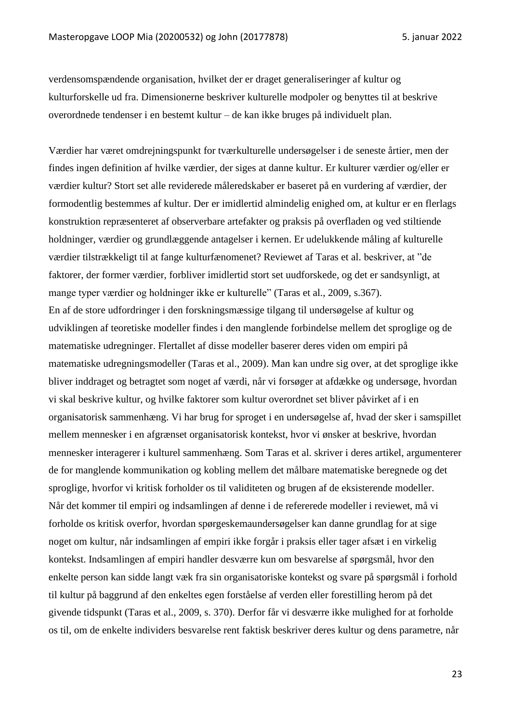verdensomspændende organisation, hvilket der er draget generaliseringer af kultur og kulturforskelle ud fra. Dimensionerne beskriver kulturelle modpoler og benyttes til at beskrive overordnede tendenser i en bestemt kultur – de kan ikke bruges på individuelt plan.

Værdier har været omdrejningspunkt for tværkulturelle undersøgelser i de seneste årtier, men der findes ingen definition af hvilke værdier, der siges at danne kultur. Er kulturer værdier og/eller er værdier kultur? Stort set alle reviderede måleredskaber er baseret på en vurdering af værdier, der formodentlig bestemmes af kultur. Der er imidlertid almindelig enighed om, at kultur er en flerlags konstruktion repræsenteret af observerbare artefakter og praksis på overfladen og ved stiltiende holdninger, værdier og grundlæggende antagelser i kernen. Er udelukkende måling af kulturelle værdier tilstrækkeligt til at fange kulturfænomenet? Reviewet af Taras et al. beskriver, at "de faktorer, der former værdier, forbliver imidlertid stort set uudforskede, og det er sandsynligt, at mange typer værdier og holdninger ikke er kulturelle" (Taras et al., 2009, s.367). En af de store udfordringer i den forskningsmæssige tilgang til undersøgelse af kultur og udviklingen af teoretiske modeller findes i den manglende forbindelse mellem det sproglige og de matematiske udregninger. Flertallet af disse modeller baserer deres viden om empiri på matematiske udregningsmodeller (Taras et al., 2009). Man kan undre sig over, at det sproglige ikke bliver inddraget og betragtet som noget af værdi, når vi forsøger at afdække og undersøge, hvordan vi skal beskrive kultur, og hvilke faktorer som kultur overordnet set bliver påvirket af i en organisatorisk sammenhæng. Vi har brug for sproget i en undersøgelse af, hvad der sker i samspillet mellem mennesker i en afgrænset organisatorisk kontekst, hvor vi ønsker at beskrive, hvordan mennesker interagerer i kulturel sammenhæng. Som Taras et al. skriver i deres artikel, argumenterer de for manglende kommunikation og kobling mellem det målbare matematiske beregnede og det sproglige, hvorfor vi kritisk forholder os til validiteten og brugen af de eksisterende modeller. Når det kommer til empiri og indsamlingen af denne i de refererede modeller i reviewet, må vi forholde os kritisk overfor, hvordan spørgeskemaundersøgelser kan danne grundlag for at sige noget om kultur, når indsamlingen af empiri ikke forgår i praksis eller tager afsæt i en virkelig kontekst. Indsamlingen af empiri handler desværre kun om besvarelse af spørgsmål, hvor den enkelte person kan sidde langt væk fra sin organisatoriske kontekst og svare på spørgsmål i forhold til kultur på baggrund af den enkeltes egen forståelse af verden eller forestilling herom på det givende tidspunkt (Taras et al., 2009, s. 370). Derfor får vi desværre ikke mulighed for at forholde os til, om de enkelte individers besvarelse rent faktisk beskriver deres kultur og dens parametre, når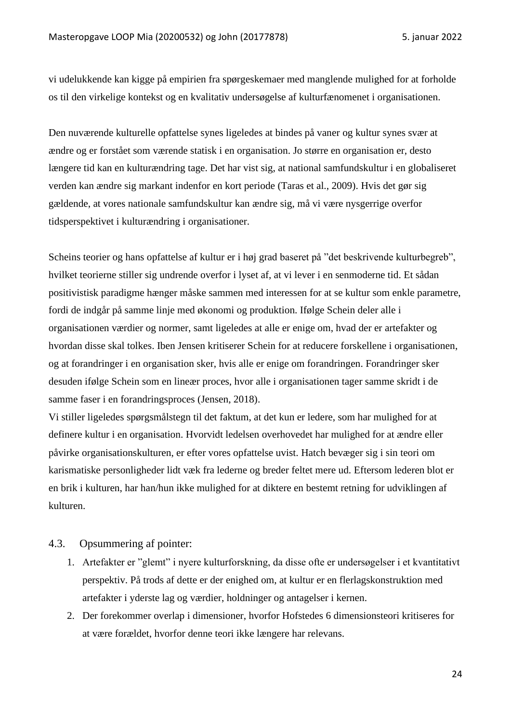vi udelukkende kan kigge på empirien fra spørgeskemaer med manglende mulighed for at forholde os til den virkelige kontekst og en kvalitativ undersøgelse af kulturfænomenet i organisationen.

Den nuværende kulturelle opfattelse synes ligeledes at bindes på vaner og kultur synes svær at ændre og er forstået som værende statisk i en organisation. Jo større en organisation er, desto længere tid kan en kulturændring tage. Det har vist sig, at national samfundskultur i en globaliseret verden kan ændre sig markant indenfor en kort periode (Taras et al., 2009). Hvis det gør sig gældende, at vores nationale samfundskultur kan ændre sig, må vi være nysgerrige overfor tidsperspektivet i kulturændring i organisationer.

Scheins teorier og hans opfattelse af kultur er i høj grad baseret på "det beskrivende kulturbegreb", hvilket teorierne stiller sig undrende overfor i lyset af, at vi lever i en senmoderne tid. Et sådan positivistisk paradigme hænger måske sammen med interessen for at se kultur som enkle parametre, fordi de indgår på samme linje med økonomi og produktion. Ifølge Schein deler alle i organisationen værdier og normer, samt ligeledes at alle er enige om, hvad der er artefakter og hvordan disse skal tolkes. Iben Jensen kritiserer Schein for at reducere forskellene i organisationen, og at forandringer i en organisation sker, hvis alle er enige om forandringen. Forandringer sker desuden ifølge Schein som en lineær proces, hvor alle i organisationen tager samme skridt i de samme faser i en forandringsproces (Jensen, 2018).

Vi stiller ligeledes spørgsmålstegn til det faktum, at det kun er ledere, som har mulighed for at definere kultur i en organisation. Hvorvidt ledelsen overhovedet har mulighed for at ændre eller påvirke organisationskulturen, er efter vores opfattelse uvist. Hatch bevæger sig i sin teori om karismatiske personligheder lidt væk fra lederne og breder feltet mere ud. Eftersom lederen blot er en brik i kulturen, har han/hun ikke mulighed for at diktere en bestemt retning for udviklingen af kulturen.

#### <span id="page-23-0"></span>4.3. Opsummering af pointer:

- 1. Artefakter er "glemt" i nyere kulturforskning, da disse ofte er undersøgelser i et kvantitativt perspektiv. På trods af dette er der enighed om, at kultur er en flerlagskonstruktion med artefakter i yderste lag og værdier, holdninger og antagelser i kernen.
- 2. Der forekommer overlap i dimensioner, hvorfor Hofstedes 6 dimensionsteori kritiseres for at være forældet, hvorfor denne teori ikke længere har relevans.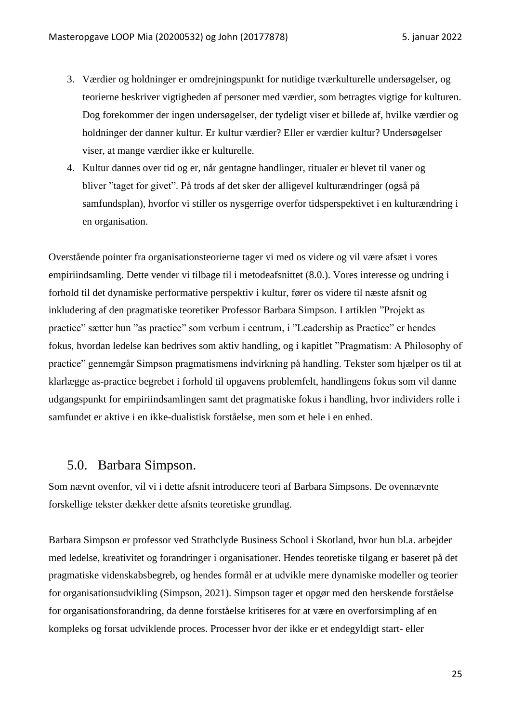- 3. Værdier og holdninger er omdrejningspunkt for nutidige tværkulturelle undersøgelser, og teorierne beskriver vigtigheden af personer med værdier, som betragtes vigtige for kulturen. Dog forekommer der ingen undersøgelser, der tydeligt viser et billede af, hvilke værdier og holdninger der danner kultur. Er kultur værdier? Eller er værdier kultur? Undersøgelser viser, at mange værdier ikke er kulturelle.
- 4. Kultur dannes over tid og er, når gentagne handlinger, ritualer er blevet til vaner og bliver "taget for givet". På trods af det sker der alligevel kulturændringer (også på samfundsplan), hvorfor vi stiller os nysgerrige overfor tidsperspektivet i en kulturændring i en organisation.

Overstående pointer fra organisationsteorierne tager vi med os videre og vil være afsæt i vores empiriindsamling. Dette vender vi tilbage til i metodeafsnittet (8.0.). Vores interesse og undring i forhold til det dynamiske performative perspektiv i kultur, fører os videre til næste afsnit og inkludering af den pragmatiske teoretiker Professor Barbara Simpson. I artiklen "Projekt as practice" sætter hun "as practice" som verbum i centrum, i "Leadership as Practice" er hendes fokus, hvordan ledelse kan bedrives som aktiv handling, og i kapitlet "Pragmatism: A Philosophy of practice" gennemgår Simpson pragmatismens indvirkning på handling. Tekster som hjælper os til at klarlægge as-practice begrebet i forhold til opgavens problemfelt, handlingens fokus som vil danne udgangspunkt for empiriindsamlingen samt det pragmatiske fokus i handling, hvor individers rolle i samfundet er aktive i en ikke-dualistisk forståelse, men som et hele i en enhed.

### <span id="page-24-0"></span>5.0. Barbara Simpson.

Som nævnt ovenfor, vil vi i dette afsnit introducere teori af Barbara Simpsons. De ovennævnte forskellige tekster dækker dette afsnits teoretiske grundlag.

Barbara Simpson er professor ved Strathclyde Business School i Skotland, hvor hun bl.a. arbejder med ledelse, kreativitet og forandringer i organisationer. Hendes teoretiske tilgang er baseret på det pragmatiske videnskabsbegreb, og hendes formål er at udvikle mere dynamiske modeller og teorier for organisationsudvikling (Simpson, 2021). Simpson tager et opgør med den herskende forståelse for organisationsforandring, da denne forståelse kritiseres for at være en overforsimpling af en kompleks og forsat udviklende proces. Processer hvor der ikke er et endegyldigt start- eller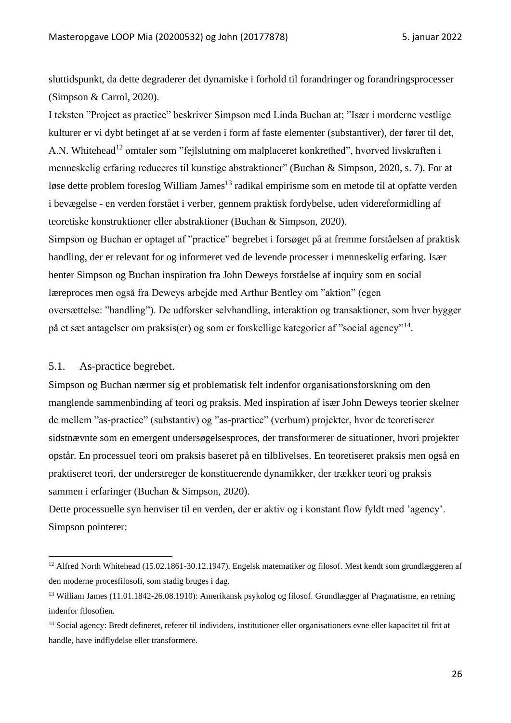sluttidspunkt, da dette degraderer det dynamiske i forhold til forandringer og forandringsprocesser (Simpson & Carrol, 2020).

I teksten "Project as practice" beskriver Simpson med Linda Buchan at; "Især i morderne vestlige kulturer er vi dybt betinget af at se verden i form af faste elementer (substantiver), der fører til det, A.N. Whitehead<sup>12</sup> omtaler som "fejlslutning om malplaceret konkrethed", hvorved livskraften i menneskelig erfaring reduceres til kunstige abstraktioner" (Buchan & Simpson, 2020, s. 7). For at løse dette problem foreslog William James<sup>13</sup> radikal empirisme som en metode til at opfatte verden i bevægelse - en verden forstået i verber, gennem praktisk fordybelse, uden videreformidling af teoretiske konstruktioner eller abstraktioner (Buchan & Simpson, 2020).

Simpson og Buchan er optaget af "practice" begrebet i forsøget på at fremme forståelsen af praktisk handling, der er relevant for og informeret ved de levende processer i menneskelig erfaring. Især henter Simpson og Buchan inspiration fra John Deweys forståelse af inquiry som en social læreproces men også fra Deweys arbejde med Arthur Bentley om "aktion" (egen oversættelse: "handling"). De udforsker selvhandling, interaktion og transaktioner, som hver bygger på et sæt antagelser om praksis(er) og som er forskellige kategorier af "social agency"<sup>14</sup>.

#### <span id="page-25-0"></span>5.1. As-practice begrebet.

Simpson og Buchan nærmer sig et problematisk felt indenfor organisationsforskning om den manglende sammenbinding af teori og praksis. Med inspiration af især John Deweys teorier skelner de mellem "as-practice" (substantiv) og "as-practice" (verbum) projekter, hvor de teoretiserer sidstnævnte som en emergent undersøgelsesproces, der transformerer de situationer, hvori projekter opstår. En processuel teori om praksis baseret på en tilblivelses. En teoretiseret praksis men også en praktiseret teori, der understreger de konstituerende dynamikker, der trækker teori og praksis sammen i erfaringer (Buchan & Simpson, 2020).

Dette processuelle syn henviser til en verden, der er aktiv og i konstant flow fyldt med 'agency'. Simpson pointerer:

<sup>&</sup>lt;sup>12</sup> Alfred North Whitehead (15.02.1861-30.12.1947). Engelsk matematiker og filosof. Mest kendt som grundlæggeren af den moderne procesfilosofi, som stadig bruges i dag.

<sup>13</sup> William James (11.01.1842-26.08.1910): Amerikansk psykolog og filosof. Grundlægger af Pragmatisme, en retning indenfor filosofien.

<sup>14</sup> Social agency: Bredt defineret, referer til individers, institutioner eller organisationers evne eller kapacitet til frit at handle, have indflydelse eller transformere.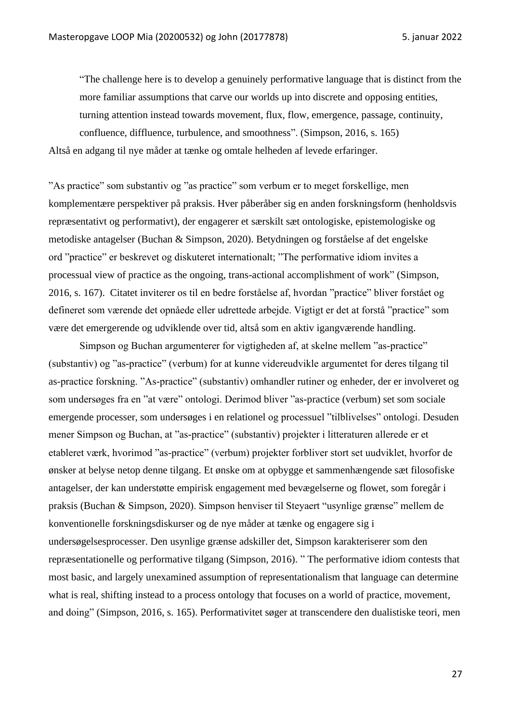"The challenge here is to develop a genuinely performative language that is distinct from the more familiar assumptions that carve our worlds up into discrete and opposing entities, turning attention instead towards movement, flux, flow, emergence, passage, continuity, confluence, diffluence, turbulence, and smoothness". (Simpson, 2016, s. 165) Altså en adgang til nye måder at tænke og omtale helheden af levede erfaringer.

"As practice" som substantiv og "as practice" som verbum er to meget forskellige, men komplementære perspektiver på praksis. Hver påberåber sig en anden forskningsform (henholdsvis repræsentativt og performativt), der engagerer et særskilt sæt ontologiske, epistemologiske og metodiske antagelser (Buchan & Simpson, 2020). Betydningen og forståelse af det engelske ord "practice" er beskrevet og diskuteret internationalt; "The performative idiom invites a processual view of practice as the ongoing, trans-actional accomplishment of work" (Simpson, 2016, s. 167). Citatet inviterer os til en bedre forståelse af, hvordan "practice" bliver forstået og

defineret som værende det opnåede eller udrettede arbejde. Vigtigt er det at forstå "practice" som være det emergerende og udviklende over tid, altså som en aktiv igangværende handling.

Simpson og Buchan argumenterer for vigtigheden af, at skelne mellem "as-practice" (substantiv) og "as-practice" (verbum) for at kunne videreudvikle argumentet for deres tilgang til as-practice forskning. "As-practice" (substantiv) omhandler rutiner og enheder, der er involveret og som undersøges fra en "at være" ontologi. Derimod bliver "as-practice (verbum) set som sociale emergende processer, som undersøges i en relationel og processuel "tilblivelses" ontologi. Desuden mener Simpson og Buchan, at "as-practice" (substantiv) projekter i litteraturen allerede er et etableret værk, hvorimod "as-practice" (verbum) projekter forbliver stort set uudviklet, hvorfor de ønsker at belyse netop denne tilgang. Et ønske om at opbygge et sammenhængende sæt filosofiske antagelser, der kan understøtte empirisk engagement med bevægelserne og flowet, som foregår i praksis (Buchan & Simpson, 2020). Simpson henviser til Steyaert "usynlige grænse" mellem de konventionelle forskningsdiskurser og de nye måder at tænke og engagere sig i undersøgelsesprocesser. Den usynlige grænse adskiller det, Simpson karakteriserer som den repræsentationelle og performative tilgang (Simpson, 2016). " The performative idiom contests that most basic, and largely unexamined assumption of representationalism that language can determine what is real, shifting instead to a process ontology that focuses on a world of practice, movement, and doing" (Simpson, 2016, s. 165). Performativitet søger at transcendere den dualistiske teori, men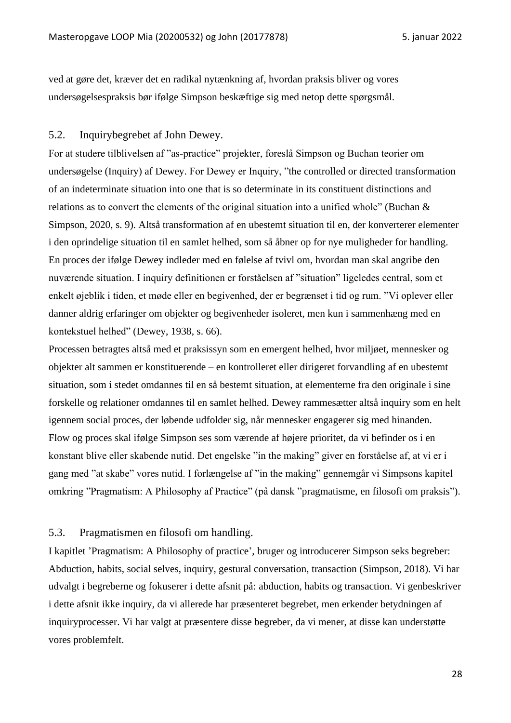ved at gøre det, kræver det en radikal nytænkning af, hvordan praksis bliver og vores undersøgelsespraksis bør ifølge Simpson beskæftige sig med netop dette spørgsmål.

#### <span id="page-27-0"></span>5.2. Inquirybegrebet af John Dewey.

For at studere tilblivelsen af "as-practice" projekter, foreslå Simpson og Buchan teorier om undersøgelse (Inquiry) af Dewey. For Dewey er Inquiry, "the controlled or directed transformation of an indeterminate situation into one that is so determinate in its constituent distinctions and relations as to convert the elements of the original situation into a unified whole" (Buchan & Simpson, 2020, s. 9). Altså transformation af en ubestemt situation til en, der konverterer elementer i den oprindelige situation til en samlet helhed, som så åbner op for nye muligheder for handling. En proces der ifølge Dewey indleder med en følelse af tvivl om, hvordan man skal angribe den nuværende situation. I inquiry definitionen er forståelsen af "situation" ligeledes central, som et enkelt øjeblik i tiden, et møde eller en begivenhed, der er begrænset i tid og rum. "Vi oplever eller danner aldrig erfaringer om objekter og begivenheder isoleret, men kun i sammenhæng med en kontekstuel helhed" (Dewey, 1938, s. 66).

Processen betragtes altså med et praksissyn som en emergent helhed, hvor miljøet, mennesker og objekter alt sammen er konstituerende – en kontrolleret eller dirigeret forvandling af en ubestemt situation, som i stedet omdannes til en så bestemt situation, at elementerne fra den originale i sine forskelle og relationer omdannes til en samlet helhed. Dewey rammesætter altså inquiry som en helt igennem social proces, der løbende udfolder sig, når mennesker engagerer sig med hinanden. Flow og proces skal ifølge Simpson ses som værende af højere prioritet, da vi befinder os i en konstant blive eller skabende nutid. Det engelske "in the making" giver en forståelse af, at vi er i gang med "at skabe" vores nutid. I forlængelse af "in the making" gennemgår vi Simpsons kapitel omkring "Pragmatism: A Philosophy af Practice" (på dansk "pragmatisme, en filosofi om praksis").

#### <span id="page-27-1"></span>5.3. Pragmatismen en filosofi om handling.

I kapitlet 'Pragmatism: A Philosophy of practice', bruger og introducerer Simpson seks begreber: Abduction, habits, social selves, inquiry, gestural conversation, transaction (Simpson, 2018). Vi har udvalgt i begreberne og fokuserer i dette afsnit på: abduction, habits og transaction. Vi genbeskriver i dette afsnit ikke inquiry, da vi allerede har præsenteret begrebet, men erkender betydningen af inquiryprocesser. Vi har valgt at præsentere disse begreber, da vi mener, at disse kan understøtte vores problemfelt.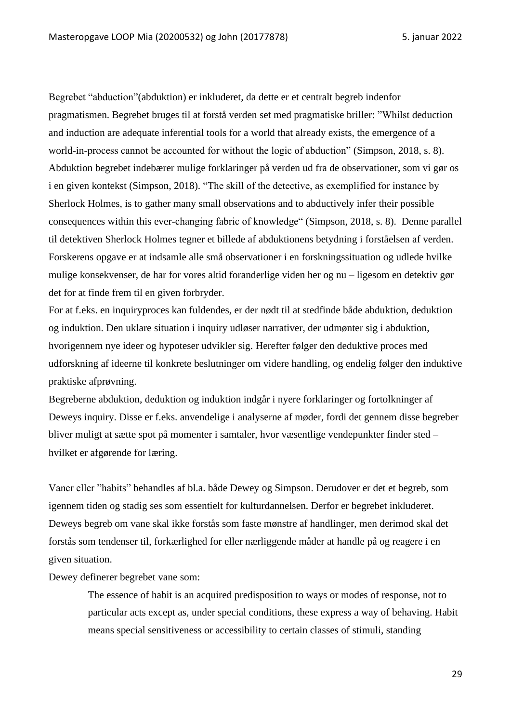Begrebet "abduction"(abduktion) er inkluderet, da dette er et centralt begreb indenfor pragmatismen. Begrebet bruges til at forstå verden set med pragmatiske briller: "Whilst deduction and induction are adequate inferential tools for a world that already exists, the emergence of a world-in-process cannot be accounted for without the logic of abduction" (Simpson, 2018, s. 8). Abduktion begrebet indebærer mulige forklaringer på verden ud fra de observationer, som vi gør os i en given kontekst (Simpson, 2018). "The skill of the detective, as exemplified for instance by Sherlock Holmes, is to gather many small observations and to abductively infer their possible consequences within this ever-changing fabric of knowledge" (Simpson, 2018, s. 8). Denne parallel til detektiven Sherlock Holmes tegner et billede af abduktionens betydning i forståelsen af verden. Forskerens opgave er at indsamle alle små observationer i en forskningssituation og udlede hvilke mulige konsekvenser, de har for vores altid foranderlige viden her og nu – ligesom en detektiv gør det for at finde frem til en given forbryder.

For at f.eks. en inquiryproces kan fuldendes, er der nødt til at stedfinde både abduktion, deduktion og induktion. Den uklare situation i inquiry udløser narrativer, der udmønter sig i abduktion, hvorigennem nye ideer og hypoteser udvikler sig. Herefter følger den deduktive proces med udforskning af ideerne til konkrete beslutninger om videre handling, og endelig følger den induktive praktiske afprøvning.

Begreberne abduktion, deduktion og induktion indgår i nyere forklaringer og fortolkninger af Deweys inquiry. Disse er f.eks. anvendelige i analyserne af møder, fordi det gennem disse begreber bliver muligt at sætte spot på momenter i samtaler, hvor væsentlige vendepunkter finder sted – hvilket er afgørende for læring.

Vaner eller "habits" behandles af bl.a. både Dewey og Simpson. Derudover er det et begreb, som igennem tiden og stadig ses som essentielt for kulturdannelsen. Derfor er begrebet inkluderet. Deweys begreb om vane skal ikke forstås som faste mønstre af handlinger, men derimod skal det forstås som tendenser til, forkærlighed for eller nærliggende måder at handle på og reagere i en given situation.

Dewey definerer begrebet vane som:

The essence of habit is an acquired predisposition to ways or modes of response, not to particular acts except as, under special conditions, these express a way of behaving. Habit means special sensitiveness or accessibility to certain classes of stimuli, standing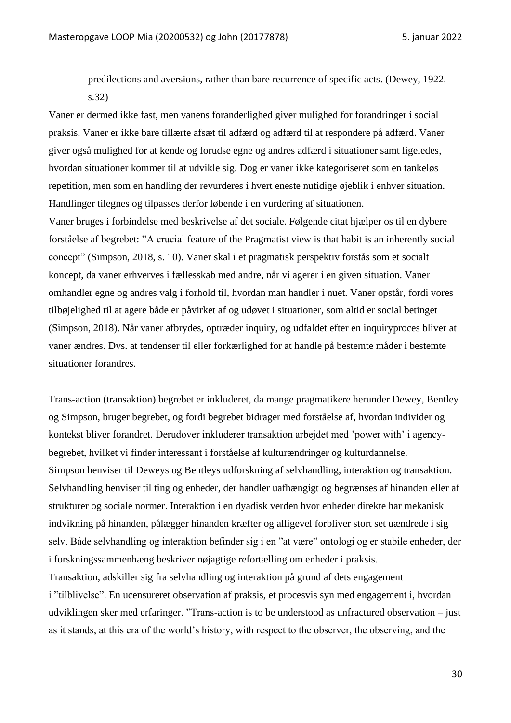predilections and aversions, rather than bare recurrence of specific acts. (Dewey, 1922. s.32)

Vaner er dermed ikke fast, men vanens foranderlighed giver mulighed for forandringer i social praksis. Vaner er ikke bare tillærte afsæt til adfærd og adfærd til at respondere på adfærd. Vaner giver også mulighed for at kende og forudse egne og andres adfærd i situationer samt ligeledes, hvordan situationer kommer til at udvikle sig. Dog er vaner ikke kategoriseret som en tankeløs repetition, men som en handling der revurderes i hvert eneste nutidige øjeblik i enhver situation. Handlinger tilegnes og tilpasses derfor løbende i en vurdering af situationen.

Vaner bruges i forbindelse med beskrivelse af det sociale. Følgende citat hjælper os til en dybere forståelse af begrebet: "A crucial feature of the Pragmatist view is that habit is an inherently social concept" (Simpson, 2018, s. 10). Vaner skal i et pragmatisk perspektiv forstås som et socialt koncept, da vaner erhverves i fællesskab med andre, når vi agerer i en given situation. Vaner omhandler egne og andres valg i forhold til, hvordan man handler i nuet. Vaner opstår, fordi vores tilbøjelighed til at agere både er påvirket af og udøvet i situationer, som altid er social betinget (Simpson, 2018). Når vaner afbrydes, optræder inquiry, og udfaldet efter en inquiryproces bliver at vaner ændres. Dvs. at tendenser til eller forkærlighed for at handle på bestemte måder i bestemte situationer forandres.

Trans-action (transaktion) begrebet er inkluderet, da mange pragmatikere herunder Dewey, Bentley og Simpson, bruger begrebet, og fordi begrebet bidrager med forståelse af, hvordan individer og kontekst bliver forandret. Derudover inkluderer transaktion arbejdet med 'power with' i agencybegrebet, hvilket vi finder interessant i forståelse af kulturændringer og kulturdannelse. Simpson henviser til Deweys og Bentleys udforskning af selvhandling, interaktion og transaktion. Selvhandling henviser til ting og enheder, der handler uafhængigt og begrænses af hinanden eller af strukturer og sociale normer. Interaktion i en dyadisk verden hvor enheder direkte har mekanisk indvikning på hinanden, pålægger hinanden kræfter og alligevel forbliver stort set uændrede i sig selv. Både selvhandling og interaktion befinder sig i en "at være" ontologi og er stabile enheder, der i forskningssammenhæng beskriver nøjagtige refortælling om enheder i praksis. Transaktion, adskiller sig fra selvhandling og interaktion på grund af dets engagement i "tilblivelse". En ucensureret observation af praksis, et procesvis syn med engagement i, hvordan

udviklingen sker med erfaringer. "Trans-action is to be understood as unfractured observation – just as it stands, at this era of the world's history, with respect to the observer, the observing, and the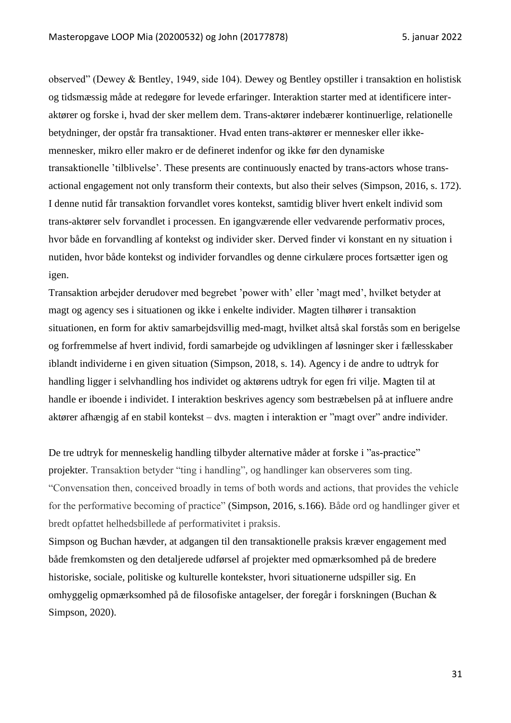observed" (Dewey & Bentley, 1949, side 104). Dewey og Bentley opstiller i transaktion en holistisk og tidsmæssig måde at redegøre for levede erfaringer. Interaktion starter med at identificere interaktører og forske i, hvad der sker mellem dem. Trans-aktører indebærer kontinuerlige, relationelle betydninger, der opstår fra transaktioner. Hvad enten trans-aktører er mennesker eller ikkemennesker, mikro eller makro er de defineret indenfor og ikke før den dynamiske transaktionelle 'tilblivelse'. These presents are continuously enacted by trans-actors whose transactional engagement not only transform their contexts, but also their selves (Simpson, 2016, s. 172). I denne nutid får transaktion forvandlet vores kontekst, samtidig bliver hvert enkelt individ som trans-aktører selv forvandlet i processen. En igangværende eller vedvarende performativ proces, hvor både en forvandling af kontekst og individer sker. Derved finder vi konstant en ny situation i nutiden, hvor både kontekst og individer forvandles og denne cirkulære proces fortsætter igen og igen.

Transaktion arbejder derudover med begrebet 'power with' eller 'magt med', hvilket betyder at magt og agency ses i situationen og ikke i enkelte individer. Magten tilhører i transaktion situationen, en form for aktiv samarbejdsvillig med-magt, hvilket altså skal forstås som en berigelse og forfremmelse af hvert individ, fordi samarbejde og udviklingen af løsninger sker i fællesskaber iblandt individerne i en given situation (Simpson, 2018, s. 14). Agency i de andre to udtryk for handling ligger i selvhandling hos individet og aktørens udtryk for egen fri vilje. Magten til at handle er iboende i individet. I interaktion beskrives agency som bestræbelsen på at influere andre aktører afhængig af en stabil kontekst – dvs. magten i interaktion er "magt over" andre individer.

De tre udtryk for menneskelig handling tilbyder alternative måder at forske i "as-practice" projekter. Transaktion betyder "ting i handling", og handlinger kan observeres som ting. "Convensation then, conceived broadly in tems of both words and actions, that provides the vehicle for the performative becoming of practice" (Simpson, 2016, s.166). Både ord og handlinger giver et bredt opfattet helhedsbillede af performativitet i praksis.

Simpson og Buchan hævder, at adgangen til den transaktionelle praksis kræver engagement med både fremkomsten og den detaljerede udførsel af projekter med opmærksomhed på de bredere historiske, sociale, politiske og kulturelle kontekster, hvori situationerne udspiller sig. En omhyggelig opmærksomhed på de filosofiske antagelser, der foregår i forskningen (Buchan & Simpson, 2020).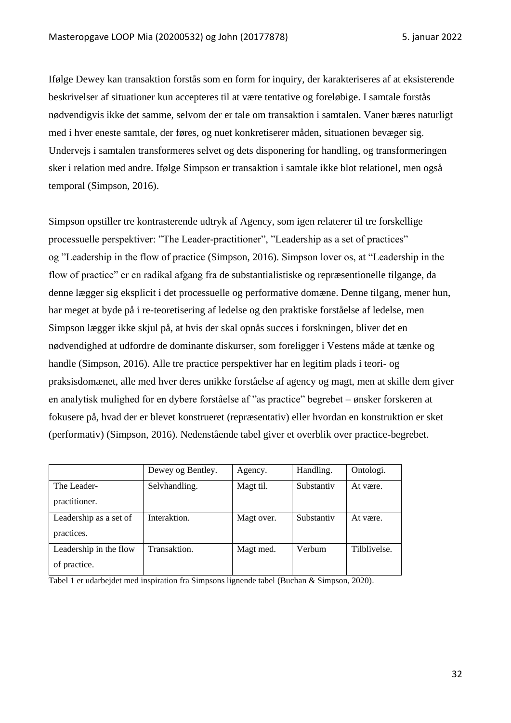Ifølge Dewey kan transaktion forstås som en form for inquiry, der karakteriseres af at eksisterende beskrivelser af situationer kun accepteres til at være tentative og foreløbige. I samtale forstås nødvendigvis ikke det samme, selvom der er tale om transaktion i samtalen. Vaner bæres naturligt med i hver eneste samtale, der føres, og nuet konkretiserer måden, situationen bevæger sig. Undervejs i samtalen transformeres selvet og dets disponering for handling, og transformeringen sker i relation med andre. Ifølge Simpson er transaktion i samtale ikke blot relationel, men også temporal (Simpson, 2016).

Simpson opstiller tre kontrasterende udtryk af Agency, som igen relaterer til tre forskellige processuelle perspektiver: "The Leader-practitioner", "Leadership as a set of practices" og "Leadership in the flow of practice (Simpson, 2016). Simpson lover os, at "Leadership in the flow of practice" er en radikal afgang fra de substantialistiske og repræsentionelle tilgange, da denne lægger sig eksplicit i det processuelle og performative domæne. Denne tilgang, mener hun, har meget at byde på i re-teoretisering af ledelse og den praktiske forståelse af ledelse, men Simpson lægger ikke skjul på, at hvis der skal opnås succes i forskningen, bliver det en nødvendighed at udfordre de dominante diskurser, som foreligger i Vestens måde at tænke og handle (Simpson, 2016). Alle tre practice perspektiver har en legitim plads i teori- og praksisdomænet, alle med hver deres unikke forståelse af agency og magt, men at skille dem giver en analytisk mulighed for en dybere forståelse af "as practice" begrebet – ønsker forskeren at fokusere på, hvad der er blevet konstrueret (repræsentativ) eller hvordan en konstruktion er sket (performativ) (Simpson, 2016). Nedenstående tabel giver et overblik over practice-begrebet.

|                        | Dewey og Bentley. | Agency.    | Handling.  | Ontologi.    |
|------------------------|-------------------|------------|------------|--------------|
| The Leader-            | Selvhandling.     | Magt til.  | Substantiv | At være.     |
| practitioner.          |                   |            |            |              |
| Leadership as a set of | Interaktion.      | Magt over. | Substantiv | At være.     |
| practices.             |                   |            |            |              |
| Leadership in the flow | Transaktion.      | Magt med.  | Verbum     | Tilblivelse. |
| of practice.           |                   |            |            |              |

Tabel 1 er udarbejdet med inspiration fra Simpsons lignende tabel (Buchan & Simpson, 2020).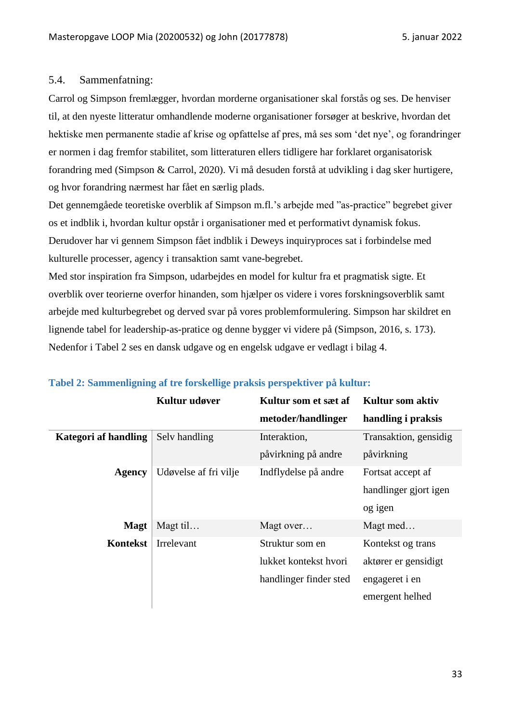#### <span id="page-32-0"></span>5.4. Sammenfatning:

Carrol og Simpson fremlægger, hvordan morderne organisationer skal forstås og ses. De henviser til, at den nyeste litteratur omhandlende moderne organisationer forsøger at beskrive, hvordan det hektiske men permanente stadie af krise og opfattelse af pres, må ses som 'det nye', og forandringer er normen i dag fremfor stabilitet, som litteraturen ellers tidligere har forklaret organisatorisk forandring med (Simpson & Carrol, 2020). Vi må desuden forstå at udvikling i dag sker hurtigere, og hvor forandring nærmest har fået en særlig plads.

Det gennemgåede teoretiske overblik af Simpson m.fl.'s arbejde med "as-practice" begrebet giver os et indblik i, hvordan kultur opstår i organisationer med et performativt dynamisk fokus. Derudover har vi gennem Simpson fået indblik i Deweys inquiryproces sat i forbindelse med kulturelle processer, agency i transaktion samt vane-begrebet.

Med stor inspiration fra Simpson, udarbejdes en model for kultur fra et pragmatisk sigte. Et overblik over teorierne overfor hinanden, som hjælper os videre i vores forskningsoverblik samt arbejde med kulturbegrebet og derved svar på vores problemformulering. Simpson har skildret en lignende tabel for leadership-as-pratice og denne bygger vi videre på (Simpson, 2016, s. 173). Nedenfor i Tabel 2 ses en dansk udgave og en engelsk udgave er vedlagt i bilag 4.

| Kultur udøver         | Kultur som et sæt af   | Kultur som aktiv      |
|-----------------------|------------------------|-----------------------|
|                       | metoder/handlinger     | handling i praksis    |
| Selv handling         | Interaktion,           | Transaktion, gensidig |
|                       | påvirkning på andre    | påvirkning            |
| Udøvelse af fri vilje | Indflydelse på andre   | Fortsat accept af     |
|                       |                        | handlinger gjort igen |
|                       |                        | og igen               |
| Magt til              | Magt over              | Magt med              |
| Irrelevant            | Struktur som en        | Kontekst og trans     |
|                       | lukket kontekst hvori  | aktører er gensidigt  |
|                       | handlinger finder sted | engageret i en        |
|                       |                        | emergent helhed       |
|                       |                        |                       |

### **Tabel 2: Sammenligning af tre forskellige praksis perspektiver på kultur:**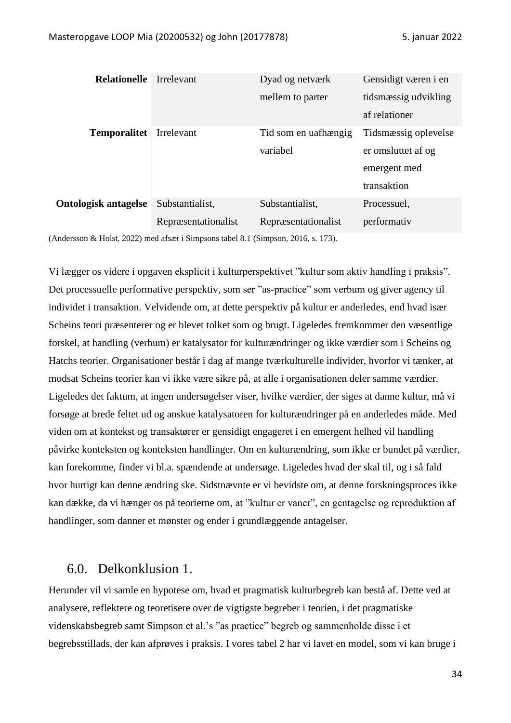| <b>Relationelle</b>         | Irrelevant          | Dyad og netværk      | Gensidigt væren i en |
|-----------------------------|---------------------|----------------------|----------------------|
|                             |                     | mellem to parter     | tidsmæssig udvikling |
|                             |                     |                      | af relationer        |
| <b>Temporalitet</b>         | Irrelevant          | Tid som en uafhængig | Tidsmæssig oplevelse |
|                             |                     | variabel             | er omsluttet af og   |
|                             |                     |                      | emergent med         |
|                             |                     |                      | transaktion          |
| <b>Ontologisk antagelse</b> | Substantialist.     | Substantialist,      | Processuel,          |
|                             | Repræsentationalist | Repræsentationalist  | performativ          |
|                             |                     |                      |                      |

(Andersson & Holst, 2022) med afsæt i Simpsons tabel 8.1 (Simpson, 2016, s. 173).

Vi lægger os videre i opgaven eksplicit i kulturperspektivet "kultur som aktiv handling i praksis". Det processuelle performative perspektiv, som ser "as-practice" som verbum og giver agency til individet i transaktion. Velvidende om, at dette perspektiv på kultur er anderledes, end hvad især Scheins teori præsenterer og er blevet tolket som og brugt. Ligeledes fremkommer den væsentlige forskel, at handling (verbum) er katalysator for kulturændringer og ikke værdier som i Scheins og Hatchs teorier. Organisationer består i dag af mange tværkulturelle individer, hvorfor vi tænker, at modsat Scheins teorier kan vi ikke være sikre på, at alle i organisationen deler samme værdier. Ligeledes det faktum, at ingen undersøgelser viser, hvilke værdier, der siges at danne kultur, må vi forsøge at brede feltet ud og anskue katalysatoren for kulturændringer på en anderledes måde. Med viden om at kontekst og transaktører er gensidigt engageret i en emergent helhed vil handling påvirke konteksten og konteksten handlinger. Om en kulturændring, som ikke er bundet på værdier, kan forekomme, finder vi bl.a. spændende at undersøge. Ligeledes hvad der skal til, og i så fald hvor hurtigt kan denne ændring ske. Sidstnævnte er vi bevidste om, at denne forskningsproces ikke kan dække, da vi hænger os på teorierne om, at "kultur er vaner", en gentagelse og reproduktion af handlinger, som danner et mønster og ender i grundlæggende antagelser.

## <span id="page-33-0"></span>6.0. Delkonklusion 1.

Herunder vil vi samle en hypotese om, hvad et pragmatisk kulturbegreb kan bestå af. Dette ved at analysere, reflektere og teoretisere over de vigtigste begreber i teorien, i det pragmatiske videnskabsbegreb samt Simpson et al.'s "as practice" begreb og sammenholde disse i et begrebsstillads, der kan afprøves i praksis. I vores tabel 2 har vi lavet en model, som vi kan bruge i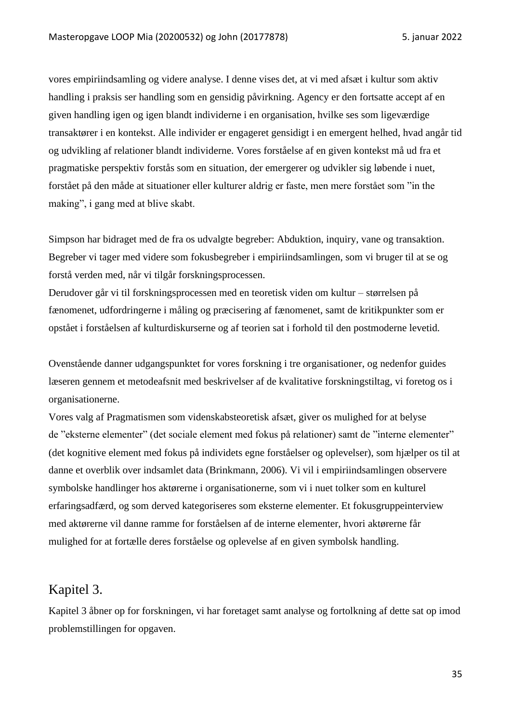vores empiriindsamling og videre analyse. I denne vises det, at vi med afsæt i kultur som aktiv handling i praksis ser handling som en gensidig påvirkning. Agency er den fortsatte accept af en given handling igen og igen blandt individerne i en organisation, hvilke ses som ligeværdige transaktører i en kontekst. Alle individer er engageret gensidigt i en emergent helhed, hvad angår tid og udvikling af relationer blandt individerne. Vores forståelse af en given kontekst må ud fra et pragmatiske perspektiv forstås som en situation, der emergerer og udvikler sig løbende i nuet, forstået på den måde at situationer eller kulturer aldrig er faste, men mere forstået som "in the making", i gang med at blive skabt.

Simpson har bidraget med de fra os udvalgte begreber: Abduktion, inquiry, vane og transaktion. Begreber vi tager med videre som fokusbegreber i empiriindsamlingen, som vi bruger til at se og forstå verden med, når vi tilgår forskningsprocessen.

Derudover går vi til forskningsprocessen med en teoretisk viden om kultur – størrelsen på fænomenet, udfordringerne i måling og præcisering af fænomenet, samt de kritikpunkter som er opstået i forståelsen af kulturdiskurserne og af teorien sat i forhold til den postmoderne levetid.

Ovenstående danner udgangspunktet for vores forskning i tre organisationer, og nedenfor guides læseren gennem et metodeafsnit med beskrivelser af de kvalitative forskningstiltag, vi foretog os i organisationerne.

Vores valg af Pragmatismen som videnskabsteoretisk afsæt, giver os mulighed for at belyse de "eksterne elementer" (det sociale element med fokus på relationer) samt de "interne elementer" (det kognitive element med fokus på individets egne forståelser og oplevelser), som hjælper os til at danne et overblik over indsamlet data (Brinkmann, 2006). Vi vil i empiriindsamlingen observere symbolske handlinger hos aktørerne i organisationerne, som vi i nuet tolker som en kulturel erfaringsadfærd, og som derved kategoriseres som eksterne elementer. Et fokusgruppeinterview med aktørerne vil danne ramme for forståelsen af de interne elementer, hvori aktørerne får mulighed for at fortælle deres forståelse og oplevelse af en given symbolsk handling.

## <span id="page-34-0"></span>Kapitel 3.

Kapitel 3 åbner op for forskningen, vi har foretaget samt analyse og fortolkning af dette sat op imod problemstillingen for opgaven.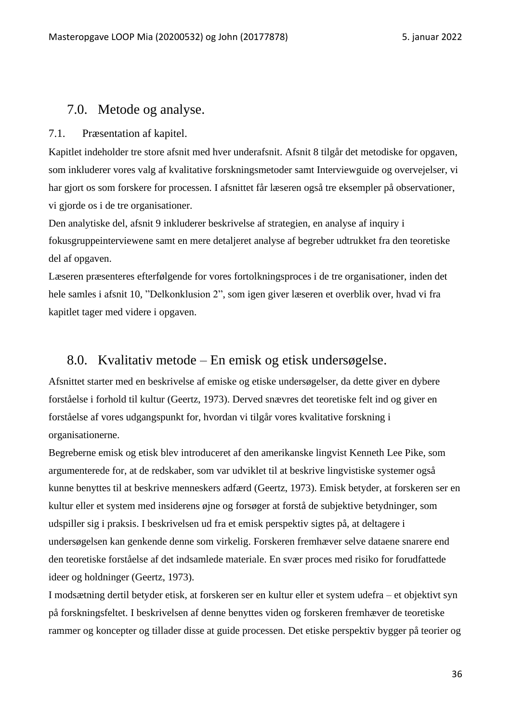### <span id="page-35-1"></span><span id="page-35-0"></span>7.0. Metode og analyse.

#### 7.1. Præsentation af kapitel.

Kapitlet indeholder tre store afsnit med hver underafsnit. Afsnit 8 tilgår det metodiske for opgaven, som inkluderer vores valg af kvalitative forskningsmetoder samt Interviewguide og overvejelser, vi har gjort os som forskere for processen. I afsnittet får læseren også tre eksempler på observationer, vi gjorde os i de tre organisationer.

Den analytiske del, afsnit 9 inkluderer beskrivelse af strategien, en analyse af inquiry i fokusgruppeinterviewene samt en mere detaljeret analyse af begreber udtrukket fra den teoretiske del af opgaven.

Læseren præsenteres efterfølgende for vores fortolkningsproces i de tre organisationer, inden det hele samles i afsnit 10, "Delkonklusion 2", som igen giver læseren et overblik over, hvad vi fra kapitlet tager med videre i opgaven.

### <span id="page-35-2"></span>8.0. Kvalitativ metode – En emisk og etisk undersøgelse.

Afsnittet starter med en beskrivelse af emiske og etiske undersøgelser, da dette giver en dybere forståelse i forhold til kultur (Geertz, 1973). Derved snævres det teoretiske felt ind og giver en forståelse af vores udgangspunkt for, hvordan vi tilgår vores kvalitative forskning i organisationerne.

Begreberne emisk og etisk blev introduceret af den amerikanske lingvist Kenneth Lee Pike, som argumenterede for, at de redskaber, som var udviklet til at beskrive lingvistiske systemer også kunne benyttes til at beskrive menneskers adfærd (Geertz, 1973). Emisk betyder, at forskeren ser en kultur eller et system med insiderens øjne og forsøger at forstå de subjektive betydninger, som udspiller sig i praksis. I beskrivelsen ud fra et emisk perspektiv sigtes på, at deltagere i undersøgelsen kan genkende denne som virkelig. Forskeren fremhæver selve dataene snarere end den teoretiske forståelse af det indsamlede materiale. En svær proces med risiko for forudfattede ideer og holdninger (Geertz, 1973).

I modsætning dertil betyder etisk, at forskeren ser en kultur eller et system udefra – et objektivt syn på forskningsfeltet. I beskrivelsen af denne benyttes viden og forskeren fremhæver de teoretiske rammer og koncepter og tillader disse at guide processen. Det etiske perspektiv bygger på teorier og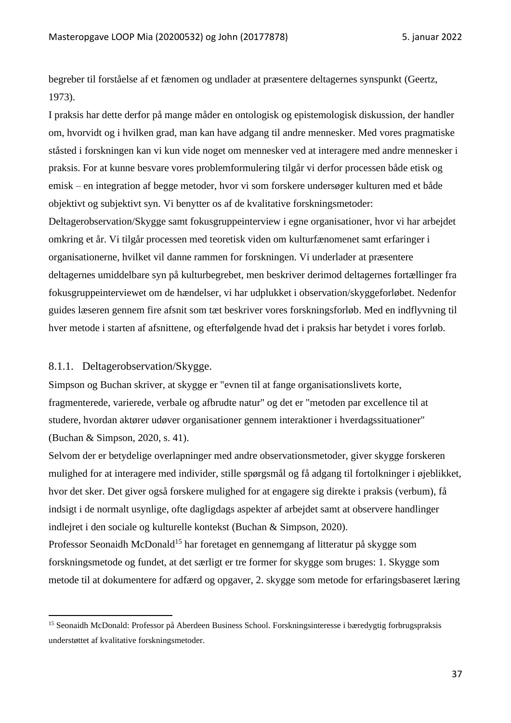begreber til forståelse af et fænomen og undlader at præsentere deltagernes synspunkt (Geertz, 1973).

I praksis har dette derfor på mange måder en ontologisk og epistemologisk diskussion, der handler om, hvorvidt og i hvilken grad, man kan have adgang til andre mennesker. Med vores pragmatiske ståsted i forskningen kan vi kun vide noget om mennesker ved at interagere med andre mennesker i praksis. For at kunne besvare vores problemformulering tilgår vi derfor processen både etisk og emisk – en integration af begge metoder, hvor vi som forskere undersøger kulturen med et både objektivt og subjektivt syn. Vi benytter os af de kvalitative forskningsmetoder: Deltagerobservation/Skygge samt fokusgruppeinterview i egne organisationer, hvor vi har arbejdet omkring et år. Vi tilgår processen med teoretisk viden om kulturfænomenet samt erfaringer i organisationerne, hvilket vil danne rammen for forskningen. Vi underlader at præsentere deltagernes umiddelbare syn på kulturbegrebet, men beskriver derimod deltagernes fortællinger fra fokusgruppeinterviewet om de hændelser, vi har udplukket i observation/skyggeforløbet. Nedenfor guides læseren gennem fire afsnit som tæt beskriver vores forskningsforløb. Med en indflyvning til hver metode i starten af afsnittene, og efterfølgende hvad det i praksis har betydet i vores forløb.

# 8.1.1. Deltagerobservation/Skygge.

Simpson og Buchan skriver, at skygge er "evnen til at fange organisationslivets korte, fragmenterede, varierede, verbale og afbrudte natur" og det er "metoden par excellence til at studere, hvordan aktører udøver organisationer gennem interaktioner i hverdagssituationer" (Buchan & Simpson, 2020, s. 41).

Selvom der er betydelige overlapninger med andre observationsmetoder, giver skygge forskeren mulighed for at interagere med individer, stille spørgsmål og få adgang til fortolkninger i øjeblikket, hvor det sker. Det giver også forskere mulighed for at engagere sig direkte i praksis (verbum), få indsigt i de normalt usynlige, ofte dagligdags aspekter af arbejdet samt at observere handlinger indlejret i den sociale og kulturelle kontekst (Buchan & Simpson, 2020).

Professor Seonaidh McDonald<sup>15</sup> har foretaget en gennemgang af litteratur på skygge som forskningsmetode og fundet, at det særligt er tre former for skygge som bruges: 1. Skygge som metode til at dokumentere for adfærd og opgaver, 2. skygge som metode for erfaringsbaseret læring

<sup>15</sup> Seonaidh McDonald: Professor på Aberdeen Business School. Forskningsinteresse i bæredygtig forbrugspraksis understøttet af kvalitative forskningsmetoder.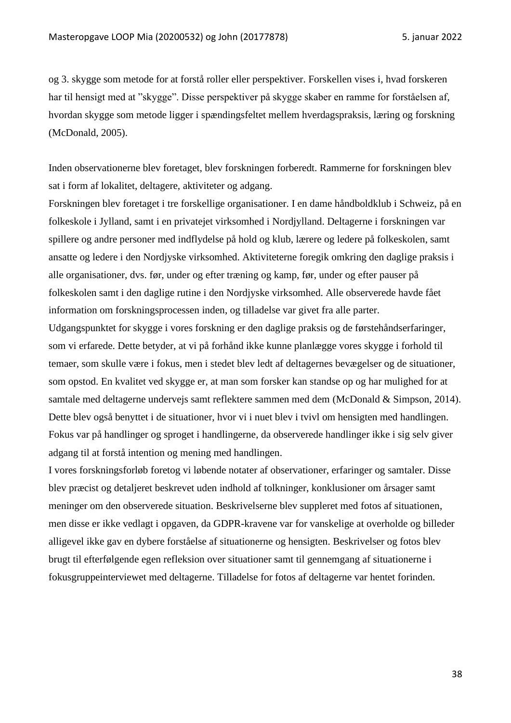og 3. skygge som metode for at forstå roller eller perspektiver. Forskellen vises i, hvad forskeren har til hensigt med at "skygge". Disse perspektiver på skygge skaber en ramme for forståelsen af, hvordan skygge som metode ligger i spændingsfeltet mellem hverdagspraksis, læring og forskning (McDonald, 2005).

Inden observationerne blev foretaget, blev forskningen forberedt. Rammerne for forskningen blev sat i form af lokalitet, deltagere, aktiviteter og adgang.

Forskningen blev foretaget i tre forskellige organisationer. I en dame håndboldklub i Schweiz, på en folkeskole i Jylland, samt i en privatejet virksomhed i Nordjylland. Deltagerne i forskningen var spillere og andre personer med indflydelse på hold og klub, lærere og ledere på folkeskolen, samt ansatte og ledere i den Nordjyske virksomhed. Aktiviteterne foregik omkring den daglige praksis i alle organisationer, dvs. før, under og efter træning og kamp, før, under og efter pauser på folkeskolen samt i den daglige rutine i den Nordjyske virksomhed. Alle observerede havde fået information om forskningsprocessen inden, og tilladelse var givet fra alle parter.

Udgangspunktet for skygge i vores forskning er den daglige praksis og de førstehåndserfaringer, som vi erfarede. Dette betyder, at vi på forhånd ikke kunne planlægge vores skygge i forhold til temaer, som skulle være i fokus, men i stedet blev ledt af deltagernes bevægelser og de situationer, som opstod. En kvalitet ved skygge er, at man som forsker kan standse op og har mulighed for at samtale med deltagerne undervejs samt reflektere sammen med dem (McDonald & Simpson, 2014). Dette blev også benyttet i de situationer, hvor vi i nuet blev i tvivl om hensigten med handlingen. Fokus var på handlinger og sproget i handlingerne, da observerede handlinger ikke i sig selv giver adgang til at forstå intention og mening med handlingen.

I vores forskningsforløb foretog vi løbende notater af observationer, erfaringer og samtaler. Disse blev præcist og detaljeret beskrevet uden indhold af tolkninger, konklusioner om årsager samt meninger om den observerede situation. Beskrivelserne blev suppleret med fotos af situationen, men disse er ikke vedlagt i opgaven, da GDPR-kravene var for vanskelige at overholde og billeder alligevel ikke gav en dybere forståelse af situationerne og hensigten. Beskrivelser og fotos blev brugt til efterfølgende egen refleksion over situationer samt til gennemgang af situationerne i fokusgruppeinterviewet med deltagerne. Tilladelse for fotos af deltagerne var hentet forinden.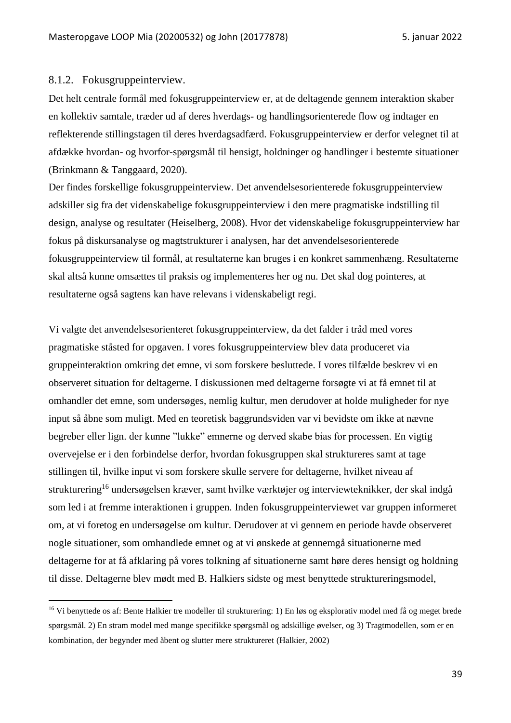#### 8.1.2. Fokusgruppeinterview.

Det helt centrale formål med fokusgruppeinterview er, at de deltagende gennem interaktion skaber en kollektiv samtale, træder ud af deres hverdags- og handlingsorienterede flow og indtager en reflekterende stillingstagen til deres hverdagsadfærd. Fokusgruppeinterview er derfor velegnet til at afdække hvordan- og hvorfor-spørgsmål til hensigt, holdninger og handlinger i bestemte situationer (Brinkmann & Tanggaard, 2020).

Der findes forskellige fokusgruppeinterview. Det anvendelsesorienterede fokusgruppeinterview adskiller sig fra det videnskabelige fokusgruppeinterview i den mere pragmatiske indstilling til design, analyse og resultater (Heiselberg, 2008). Hvor det videnskabelige fokusgruppeinterview har fokus på diskursanalyse og magtstrukturer i analysen, har det anvendelsesorienterede fokusgruppeinterview til formål, at resultaterne kan bruges i en konkret sammenhæng. Resultaterne skal altså kunne omsættes til praksis og implementeres her og nu. Det skal dog pointeres, at resultaterne også sagtens kan have relevans i videnskabeligt regi.

Vi valgte det anvendelsesorienteret fokusgruppeinterview, da det falder i tråd med vores pragmatiske ståsted for opgaven. I vores fokusgruppeinterview blev data produceret via gruppeinteraktion omkring det emne, vi som forskere besluttede. I vores tilfælde beskrev vi en observeret situation for deltagerne. I diskussionen med deltagerne forsøgte vi at få emnet til at omhandler det emne, som undersøges, nemlig kultur, men derudover at holde muligheder for nye input så åbne som muligt. Med en teoretisk baggrundsviden var vi bevidste om ikke at nævne begreber eller lign. der kunne "lukke" emnerne og derved skabe bias for processen. En vigtig overvejelse er i den forbindelse derfor, hvordan fokusgruppen skal struktureres samt at tage stillingen til, hvilke input vi som forskere skulle servere for deltagerne, hvilket niveau af strukturering<sup>16</sup> undersøgelsen kræver, samt hvilke værktøjer og interviewteknikker, der skal indgå som led i at fremme interaktionen i gruppen. Inden fokusgruppeinterviewet var gruppen informeret om, at vi foretog en undersøgelse om kultur. Derudover at vi gennem en periode havde observeret nogle situationer, som omhandlede emnet og at vi ønskede at gennemgå situationerne med deltagerne for at få afklaring på vores tolkning af situationerne samt høre deres hensigt og holdning til disse. Deltagerne blev mødt med B. Halkiers sidste og mest benyttede struktureringsmodel,

<sup>16</sup> Vi benyttede os af: Bente Halkier tre modeller til strukturering: 1) En løs og eksplorativ model med få og meget brede spørgsmål. 2) En stram model med mange specifikke spørgsmål og adskillige øvelser, og 3) Tragtmodellen, som er en kombination, der begynder med åbent og slutter mere struktureret (Halkier, 2002)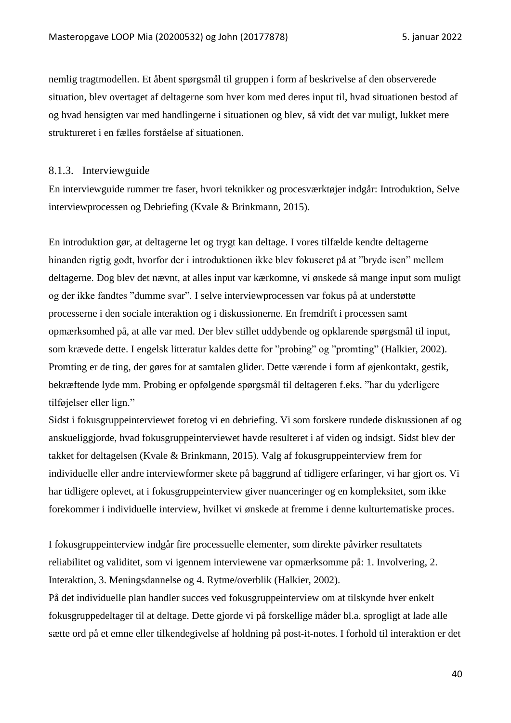nemlig tragtmodellen. Et åbent spørgsmål til gruppen i form af beskrivelse af den observerede situation, blev overtaget af deltagerne som hver kom med deres input til, hvad situationen bestod af og hvad hensigten var med handlingerne i situationen og blev, så vidt det var muligt, lukket mere struktureret i en fælles forståelse af situationen.

# 8.1.3. Interviewguide

En interviewguide rummer tre faser, hvori teknikker og procesværktøjer indgår: Introduktion, Selve interviewprocessen og Debriefing (Kvale & Brinkmann, 2015).

En introduktion gør, at deltagerne let og trygt kan deltage. I vores tilfælde kendte deltagerne hinanden rigtig godt, hvorfor der i introduktionen ikke blev fokuseret på at "bryde isen" mellem deltagerne. Dog blev det nævnt, at alles input var kærkomne, vi ønskede så mange input som muligt og der ikke fandtes "dumme svar". I selve interviewprocessen var fokus på at understøtte processerne i den sociale interaktion og i diskussionerne. En fremdrift i processen samt opmærksomhed på, at alle var med. Der blev stillet uddybende og opklarende spørgsmål til input, som krævede dette. I engelsk litteratur kaldes dette for "probing" og "promting" (Halkier, 2002). Promting er de ting, der gøres for at samtalen glider. Dette værende i form af øjenkontakt, gestik, bekræftende lyde mm. Probing er opfølgende spørgsmål til deltageren f.eks. "har du yderligere tilføjelser eller lign."

Sidst i fokusgruppeinterviewet foretog vi en debriefing. Vi som forskere rundede diskussionen af og anskueliggjorde, hvad fokusgruppeinterviewet havde resulteret i af viden og indsigt. Sidst blev der takket for deltagelsen (Kvale & Brinkmann, 2015). Valg af fokusgruppeinterview frem for individuelle eller andre interviewformer skete på baggrund af tidligere erfaringer, vi har gjort os. Vi har tidligere oplevet, at i fokusgruppeinterview giver nuanceringer og en kompleksitet, som ikke forekommer i individuelle interview, hvilket vi ønskede at fremme i denne kulturtematiske proces.

I fokusgruppeinterview indgår fire processuelle elementer, som direkte påvirker resultatets reliabilitet og validitet, som vi igennem interviewene var opmærksomme på: 1. Involvering, 2. Interaktion, 3. Meningsdannelse og 4. Rytme/overblik (Halkier, 2002).

På det individuelle plan handler succes ved fokusgruppeinterview om at tilskynde hver enkelt fokusgruppedeltager til at deltage. Dette gjorde vi på forskellige måder bl.a. sprogligt at lade alle sætte ord på et emne eller tilkendegivelse af holdning på post-it-notes. I forhold til interaktion er det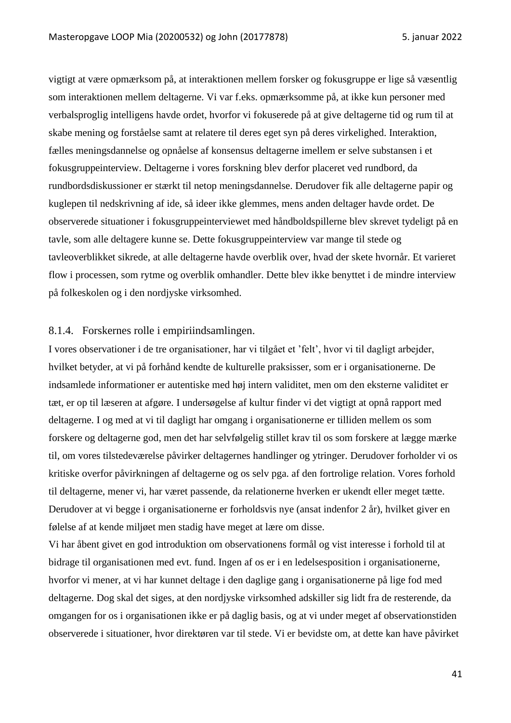vigtigt at være opmærksom på, at interaktionen mellem forsker og fokusgruppe er lige så væsentlig som interaktionen mellem deltagerne. Vi var f.eks. opmærksomme på, at ikke kun personer med verbalsproglig intelligens havde ordet, hvorfor vi fokuserede på at give deltagerne tid og rum til at skabe mening og forståelse samt at relatere til deres eget syn på deres virkelighed. Interaktion, fælles meningsdannelse og opnåelse af konsensus deltagerne imellem er selve substansen i et fokusgruppeinterview. Deltagerne i vores forskning blev derfor placeret ved rundbord, da rundbordsdiskussioner er stærkt til netop meningsdannelse. Derudover fik alle deltagerne papir og kuglepen til nedskrivning af ide, så ideer ikke glemmes, mens anden deltager havde ordet. De observerede situationer i fokusgruppeinterviewet med håndboldspillerne blev skrevet tydeligt på en tavle, som alle deltagere kunne se. Dette fokusgruppeinterview var mange til stede og tavleoverblikket sikrede, at alle deltagerne havde overblik over, hvad der skete hvornår. Et varieret flow i processen, som rytme og overblik omhandler. Dette blev ikke benyttet i de mindre interview på folkeskolen og i den nordjyske virksomhed.

#### 8.1.4. Forskernes rolle i empiriindsamlingen.

I vores observationer i de tre organisationer, har vi tilgået et 'felt', hvor vi til dagligt arbejder, hvilket betyder, at vi på forhånd kendte de kulturelle praksisser, som er i organisationerne. De indsamlede informationer er autentiske med høj intern validitet, men om den eksterne validitet er tæt, er op til læseren at afgøre. I undersøgelse af kultur finder vi det vigtigt at opnå rapport med deltagerne. I og med at vi til dagligt har omgang i organisationerne er tilliden mellem os som forskere og deltagerne god, men det har selvfølgelig stillet krav til os som forskere at lægge mærke til, om vores tilstedeværelse påvirker deltagernes handlinger og ytringer. Derudover forholder vi os kritiske overfor påvirkningen af deltagerne og os selv pga. af den fortrolige relation. Vores forhold til deltagerne, mener vi, har været passende, da relationerne hverken er ukendt eller meget tætte. Derudover at vi begge i organisationerne er forholdsvis nye (ansat indenfor 2 år), hvilket giver en følelse af at kende miljøet men stadig have meget at lære om disse.

Vi har åbent givet en god introduktion om observationens formål og vist interesse i forhold til at bidrage til organisationen med evt. fund. Ingen af os er i en ledelsesposition i organisationerne, hvorfor vi mener, at vi har kunnet deltage i den daglige gang i organisationerne på lige fod med deltagerne. Dog skal det siges, at den nordjyske virksomhed adskiller sig lidt fra de resterende, da omgangen for os i organisationen ikke er på daglig basis, og at vi under meget af observationstiden observerede i situationer, hvor direktøren var til stede. Vi er bevidste om, at dette kan have påvirket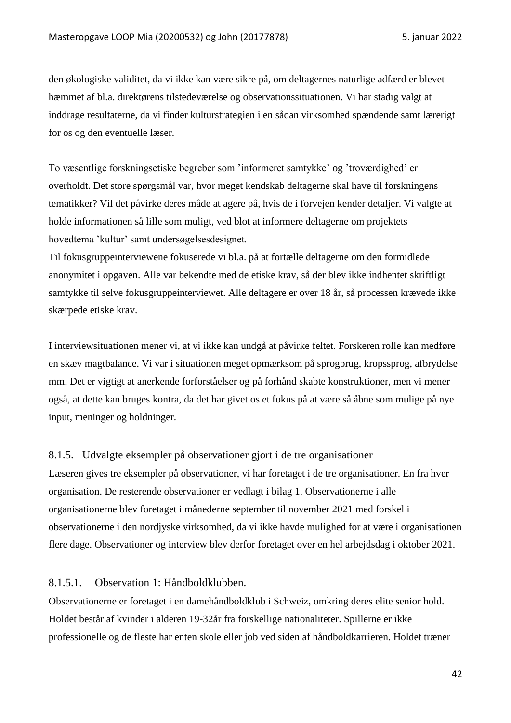den økologiske validitet, da vi ikke kan være sikre på, om deltagernes naturlige adfærd er blevet hæmmet af bl.a. direktørens tilstedeværelse og observationssituationen. Vi har stadig valgt at inddrage resultaterne, da vi finder kulturstrategien i en sådan virksomhed spændende samt lærerigt for os og den eventuelle læser.

To væsentlige forskningsetiske begreber som 'informeret samtykke' og 'troværdighed' er overholdt. Det store spørgsmål var, hvor meget kendskab deltagerne skal have til forskningens tematikker? Vil det påvirke deres måde at agere på, hvis de i forvejen kender detaljer. Vi valgte at holde informationen så lille som muligt, ved blot at informere deltagerne om projektets hovedtema 'kultur' samt undersøgelsesdesignet.

Til fokusgruppeinterviewene fokuserede vi bl.a. på at fortælle deltagerne om den formidlede anonymitet i opgaven. Alle var bekendte med de etiske krav, så der blev ikke indhentet skriftligt samtykke til selve fokusgruppeinterviewet. Alle deltagere er over 18 år, så processen krævede ikke skærpede etiske krav.

I interviewsituationen mener vi, at vi ikke kan undgå at påvirke feltet. Forskeren rolle kan medføre en skæv magtbalance. Vi var i situationen meget opmærksom på sprogbrug, kropssprog, afbrydelse mm. Det er vigtigt at anerkende forforståelser og på forhånd skabte konstruktioner, men vi mener også, at dette kan bruges kontra, da det har givet os et fokus på at være så åbne som mulige på nye input, meninger og holdninger.

## 8.1.5. Udvalgte eksempler på observationer gjort i de tre organisationer

Læseren gives tre eksempler på observationer, vi har foretaget i de tre organisationer. En fra hver organisation. De resterende observationer er vedlagt i bilag 1. Observationerne i alle organisationerne blev foretaget i månederne september til november 2021 med forskel i observationerne i den nordjyske virksomhed, da vi ikke havde mulighed for at være i organisationen flere dage. Observationer og interview blev derfor foretaget over en hel arbejdsdag i oktober 2021.

## 8.1.5.1. Observation 1: Håndboldklubben.

Observationerne er foretaget i en damehåndboldklub i Schweiz, omkring deres elite senior hold. Holdet består af kvinder i alderen 19-32år fra forskellige nationaliteter. Spillerne er ikke professionelle og de fleste har enten skole eller job ved siden af håndboldkarrieren. Holdet træner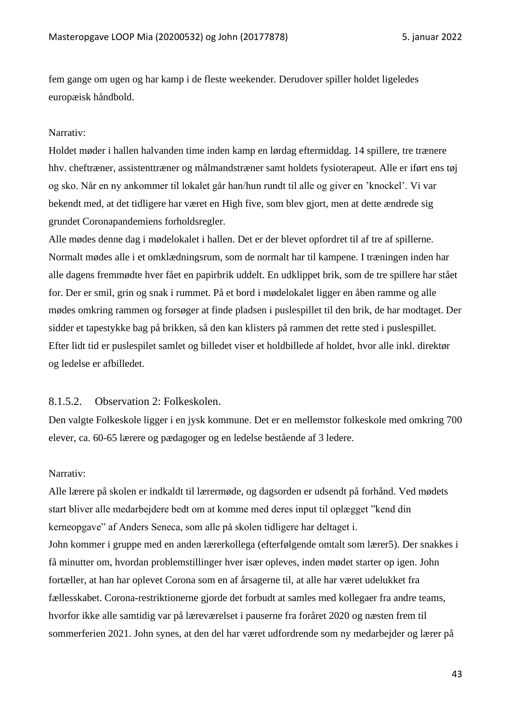fem gange om ugen og har kamp i de fleste weekender. Derudover spiller holdet ligeledes europæisk håndbold.

#### Narrativ:

Holdet møder i hallen halvanden time inden kamp en lørdag eftermiddag. 14 spillere, tre trænere hhv. cheftræner, assistenttræner og målmandstræner samt holdets fysioterapeut. Alle er iført ens tøj og sko. Når en ny ankommer til lokalet går han/hun rundt til alle og giver en 'knockel'. Vi var bekendt med, at det tidligere har været en High five, som blev gjort, men at dette ændrede sig grundet Coronapandemiens forholdsregler.

Alle mødes denne dag i mødelokalet i hallen. Det er der blevet opfordret til af tre af spillerne. Normalt mødes alle i et omklædningsrum, som de normalt har til kampene. I træningen inden har alle dagens fremmødte hver fået en papirbrik uddelt. En udklippet brik, som de tre spillere har stået for. Der er smil, grin og snak i rummet. På et bord i mødelokalet ligger en åben ramme og alle mødes omkring rammen og forsøger at finde pladsen i puslespillet til den brik, de har modtaget. Der sidder et tapestykke bag på brikken, så den kan klisters på rammen det rette sted i puslespillet. Efter lidt tid er puslespilet samlet og billedet viser et holdbillede af holdet, hvor alle inkl. direktør og ledelse er afbilledet.

# 8.1.5.2. Observation 2: Folkeskolen.

Den valgte Folkeskole ligger i en jysk kommune. Det er en mellemstor folkeskole med omkring 700 elever, ca. 60-65 lærere og pædagoger og en ledelse bestående af 3 ledere.

#### Narrativ:

Alle lærere på skolen er indkaldt til lærermøde, og dagsorden er udsendt på forhånd. Ved mødets start bliver alle medarbejdere bedt om at komme med deres input til oplægget "kend din kerneopgave" af Anders Seneca, som alle på skolen tidligere har deltaget i. John kommer i gruppe med en anden lærerkollega (efterfølgende omtalt som lærer5). Der snakkes i få minutter om, hvordan problemstillinger hver især opleves, inden mødet starter op igen. John fortæller, at han har oplevet Corona som en af årsagerne til, at alle har været udelukket fra fællesskabet. Corona-restriktionerne gjorde det forbudt at samles med kollegaer fra andre teams, hvorfor ikke alle samtidig var på læreværelset i pauserne fra foråret 2020 og næsten frem til sommerferien 2021. John synes, at den del har været udfordrende som ny medarbejder og lærer på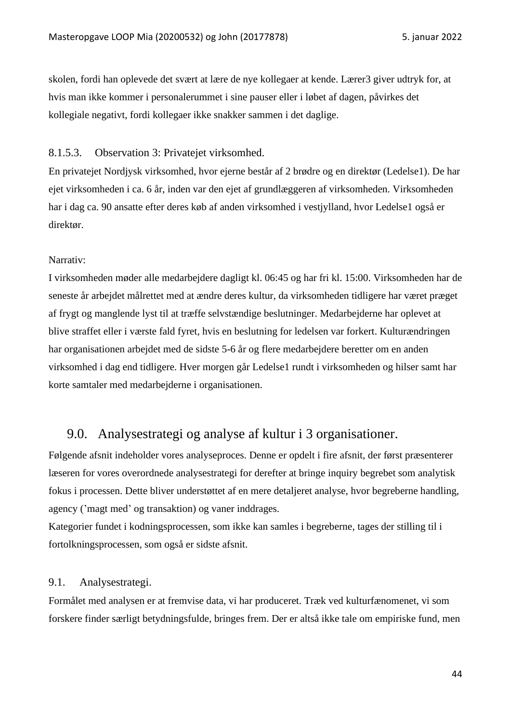skolen, fordi han oplevede det svært at lære de nye kollegaer at kende. Lærer3 giver udtryk for, at hvis man ikke kommer i personalerummet i sine pauser eller i løbet af dagen, påvirkes det kollegiale negativt, fordi kollegaer ikke snakker sammen i det daglige.

#### 8.1.5.3. Observation 3: Privatejet virksomhed.

En privatejet Nordjysk virksomhed, hvor ejerne består af 2 brødre og en direktør (Ledelse1). De har ejet virksomheden i ca. 6 år, inden var den ejet af grundlæggeren af virksomheden. Virksomheden har i dag ca. 90 ansatte efter deres køb af anden virksomhed i vestjylland, hvor Ledelse1 også er direktør.

## Narrativ:

I virksomheden møder alle medarbejdere dagligt kl. 06:45 og har fri kl. 15:00. Virksomheden har de seneste år arbejdet målrettet med at ændre deres kultur, da virksomheden tidligere har været præget af frygt og manglende lyst til at træffe selvstændige beslutninger. Medarbejderne har oplevet at blive straffet eller i værste fald fyret, hvis en beslutning for ledelsen var forkert. Kulturændringen har organisationen arbejdet med de sidste 5-6 år og flere medarbejdere beretter om en anden virksomhed i dag end tidligere. Hver morgen går Ledelse1 rundt i virksomheden og hilser samt har korte samtaler med medarbejderne i organisationen.

# 9.0. Analysestrategi og analyse af kultur i 3 organisationer.

Følgende afsnit indeholder vores analyseproces. Denne er opdelt i fire afsnit, der først præsenterer læseren for vores overordnede analysestrategi for derefter at bringe inquiry begrebet som analytisk fokus i processen. Dette bliver understøttet af en mere detaljeret analyse, hvor begreberne handling, agency ('magt med' og transaktion) og vaner inddrages.

Kategorier fundet i kodningsprocessen, som ikke kan samles i begreberne, tages der stilling til i fortolkningsprocessen, som også er sidste afsnit.

## 9.1. Analysestrategi.

Formålet med analysen er at fremvise data, vi har produceret. Træk ved kulturfænomenet, vi som forskere finder særligt betydningsfulde, bringes frem. Der er altså ikke tale om empiriske fund, men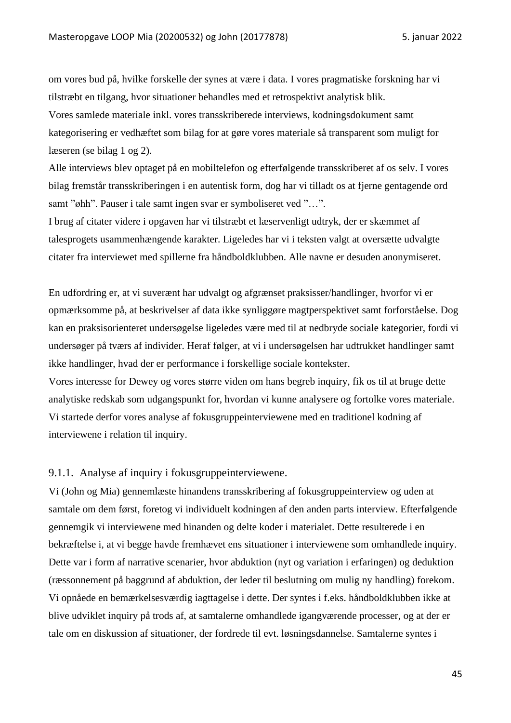om vores bud på, hvilke forskelle der synes at være i data. I vores pragmatiske forskning har vi tilstræbt en tilgang, hvor situationer behandles med et retrospektivt analytisk blik. Vores samlede materiale inkl. vores transskriberede interviews, kodningsdokument samt kategorisering er vedhæftet som bilag for at gøre vores materiale så transparent som muligt for læseren (se bilag 1 og 2).

Alle interviews blev optaget på en mobiltelefon og efterfølgende transskriberet af os selv. I vores bilag fremstår transskriberingen i en autentisk form, dog har vi tilladt os at fjerne gentagende ord samt "øhh". Pauser i tale samt ingen svar er symboliseret ved "…".

I brug af citater videre i opgaven har vi tilstræbt et læservenligt udtryk, der er skæmmet af talesprogets usammenhængende karakter. Ligeledes har vi i teksten valgt at oversætte udvalgte citater fra interviewet med spillerne fra håndboldklubben. Alle navne er desuden anonymiseret.

En udfordring er, at vi suverænt har udvalgt og afgrænset praksisser/handlinger, hvorfor vi er opmærksomme på, at beskrivelser af data ikke synliggøre magtperspektivet samt forforståelse. Dog kan en praksisorienteret undersøgelse ligeledes være med til at nedbryde sociale kategorier, fordi vi undersøger på tværs af individer. Heraf følger, at vi i undersøgelsen har udtrukket handlinger samt ikke handlinger, hvad der er performance i forskellige sociale kontekster.

Vores interesse for Dewey og vores større viden om hans begreb inquiry, fik os til at bruge dette analytiske redskab som udgangspunkt for, hvordan vi kunne analysere og fortolke vores materiale. Vi startede derfor vores analyse af fokusgruppeinterviewene med en traditionel kodning af interviewene i relation til inquiry.

#### 9.1.1. Analyse af inquiry i fokusgruppeinterviewene.

Vi (John og Mia) gennemlæste hinandens transskribering af fokusgruppeinterview og uden at samtale om dem først, foretog vi individuelt kodningen af den anden parts interview. Efterfølgende gennemgik vi interviewene med hinanden og delte koder i materialet. Dette resulterede i en bekræftelse i, at vi begge havde fremhævet ens situationer i interviewene som omhandlede inquiry. Dette var i form af narrative scenarier, hvor abduktion (nyt og variation i erfaringen) og deduktion (ræssonnement på baggrund af abduktion, der leder til beslutning om mulig ny handling) forekom. Vi opnåede en bemærkelsesværdig iagttagelse i dette. Der syntes i f.eks. håndboldklubben ikke at blive udviklet inquiry på trods af, at samtalerne omhandlede igangværende processer, og at der er tale om en diskussion af situationer, der fordrede til evt. løsningsdannelse. Samtalerne syntes i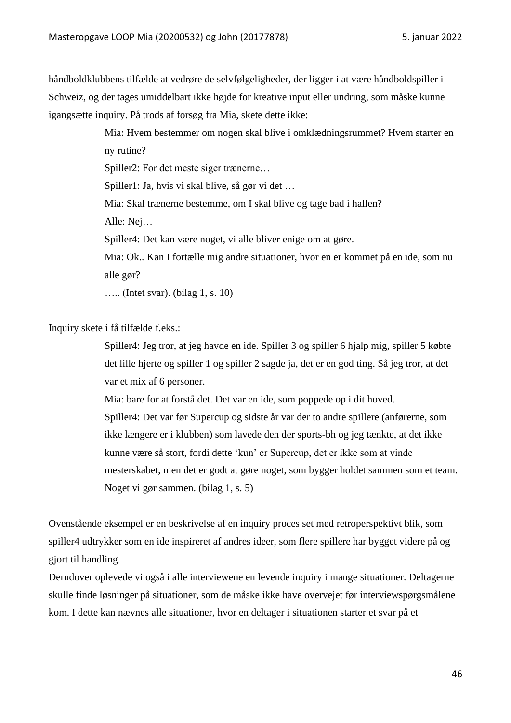håndboldklubbens tilfælde at vedrøre de selvfølgeligheder, der ligger i at være håndboldspiller i Schweiz, og der tages umiddelbart ikke højde for kreative input eller undring, som måske kunne igangsætte inquiry. På trods af forsøg fra Mia, skete dette ikke:

> Mia: Hvem bestemmer om nogen skal blive i omklædningsrummet? Hvem starter en ny rutine?

Spiller2: For det meste siger trænerne…

Spiller1: Ja, hvis vi skal blive, så gør vi det …

Mia: Skal trænerne bestemme, om I skal blive og tage bad i hallen?

Alle: Nej…

Spiller4: Det kan være noget, vi alle bliver enige om at gøre.

Mia: Ok.. Kan I fortælle mig andre situationer, hvor en er kommet på en ide, som nu alle gør?

….. (Intet svar). (bilag 1, s. 10)

Inquiry skete i få tilfælde f.eks.:

Spiller4: Jeg tror, at jeg havde en ide. Spiller 3 og spiller 6 hjalp mig, spiller 5 købte det lille hjerte og spiller 1 og spiller 2 sagde ja, det er en god ting. Så jeg tror, at det var et mix af 6 personer.

Mia: bare for at forstå det. Det var en ide, som poppede op i dit hoved.

Spiller4: Det var før Supercup og sidste år var der to andre spillere (anførerne, som ikke længere er i klubben) som lavede den der sports-bh og jeg tænkte, at det ikke kunne være så stort, fordi dette 'kun' er Supercup, det er ikke som at vinde mesterskabet, men det er godt at gøre noget, som bygger holdet sammen som et team. Noget vi gør sammen. (bilag 1, s. 5)

Ovenstående eksempel er en beskrivelse af en inquiry proces set med retroperspektivt blik, som spiller4 udtrykker som en ide inspireret af andres ideer, som flere spillere har bygget videre på og gjort til handling.

Derudover oplevede vi også i alle interviewene en levende inquiry i mange situationer. Deltagerne skulle finde løsninger på situationer, som de måske ikke have overvejet før interviewspørgsmålene kom. I dette kan nævnes alle situationer, hvor en deltager i situationen starter et svar på et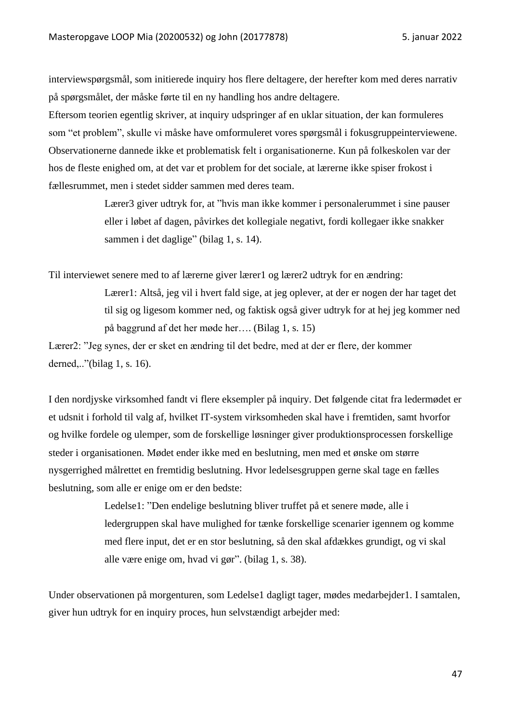interviewspørgsmål, som initierede inquiry hos flere deltagere, der herefter kom med deres narrativ på spørgsmålet, der måske førte til en ny handling hos andre deltagere.

Eftersom teorien egentlig skriver, at inquiry udspringer af en uklar situation, der kan formuleres som "et problem", skulle vi måske have omformuleret vores spørgsmål i fokusgruppeinterviewene. Observationerne dannede ikke et problematisk felt i organisationerne. Kun på folkeskolen var der hos de fleste enighed om, at det var et problem for det sociale, at lærerne ikke spiser frokost i fællesrummet, men i stedet sidder sammen med deres team.

> Lærer3 giver udtryk for, at "hvis man ikke kommer i personalerummet i sine pauser eller i løbet af dagen, påvirkes det kollegiale negativt, fordi kollegaer ikke snakker sammen i det daglige" (bilag 1, s. 14).

Til interviewet senere med to af lærerne giver lærer1 og lærer2 udtryk for en ændring:

Lærer1: Altså, jeg vil i hvert fald sige, at jeg oplever, at der er nogen der har taget det til sig og ligesom kommer ned, og faktisk også giver udtryk for at hej jeg kommer ned på baggrund af det her møde her…. (Bilag 1, s. 15)

Lærer2: "Jeg synes, der er sket en ændring til det bedre, med at der er flere, der kommer derned,.."(bilag 1, s. 16).

I den nordjyske virksomhed fandt vi flere eksempler på inquiry. Det følgende citat fra ledermødet er et udsnit i forhold til valg af, hvilket IT-system virksomheden skal have i fremtiden, samt hvorfor og hvilke fordele og ulemper, som de forskellige løsninger giver produktionsprocessen forskellige steder i organisationen. Mødet ender ikke med en beslutning, men med et ønske om større nysgerrighed målrettet en fremtidig beslutning. Hvor ledelsesgruppen gerne skal tage en fælles beslutning, som alle er enige om er den bedste:

> Ledelse1: "Den endelige beslutning bliver truffet på et senere møde, alle i ledergruppen skal have mulighed for tænke forskellige scenarier igennem og komme med flere input, det er en stor beslutning, så den skal afdækkes grundigt, og vi skal alle være enige om, hvad vi gør". (bilag 1, s. 38).

Under observationen på morgenturen, som Ledelse1 dagligt tager, mødes medarbejder1. I samtalen, giver hun udtryk for en inquiry proces, hun selvstændigt arbejder med: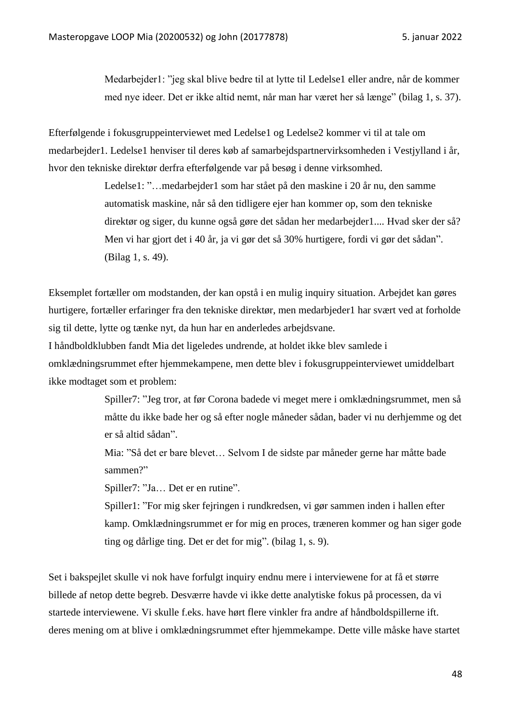Medarbejder1: "jeg skal blive bedre til at lytte til Ledelse1 eller andre, når de kommer med nye ideer. Det er ikke altid nemt, når man har været her så længe" (bilag 1, s. 37).

Efterfølgende i fokusgruppeinterviewet med Ledelse1 og Ledelse2 kommer vi til at tale om medarbejder1. Ledelse1 henviser til deres køb af samarbejdspartnervirksomheden i Vestjylland i år, hvor den tekniske direktør derfra efterfølgende var på besøg i denne virksomhed.

> Ledelse1: "…medarbejder1 som har stået på den maskine i 20 år nu, den samme automatisk maskine, når så den tidligere ejer han kommer op, som den tekniske direktør og siger, du kunne også gøre det sådan her medarbejder1.... Hvad sker der så? Men vi har gjort det i 40 år, ja vi gør det så 30% hurtigere, fordi vi gør det sådan". (Bilag 1, s. 49).

Eksemplet fortæller om modstanden, der kan opstå i en mulig inquiry situation. Arbejdet kan gøres hurtigere, fortæller erfaringer fra den tekniske direktør, men medarbjeder1 har svært ved at forholde sig til dette, lytte og tænke nyt, da hun har en anderledes arbejdsvane.

I håndboldklubben fandt Mia det ligeledes undrende, at holdet ikke blev samlede i omklædningsrummet efter hjemmekampene, men dette blev i fokusgruppeinterviewet umiddelbart ikke modtaget som et problem:

> Spiller7: "Jeg tror, at før Corona badede vi meget mere i omklædningsrummet, men så måtte du ikke bade her og så efter nogle måneder sådan, bader vi nu derhjemme og det er så altid sådan".

Mia: "Så det er bare blevet… Selvom I de sidste par måneder gerne har måtte bade sammen?"

Spiller7: "Ja… Det er en rutine".

Spiller1: "For mig sker fejringen i rundkredsen, vi gør sammen inden i hallen efter kamp. Omklædningsrummet er for mig en proces, træneren kommer og han siger gode ting og dårlige ting. Det er det for mig". (bilag 1, s. 9).

Set i bakspejlet skulle vi nok have forfulgt inquiry endnu mere i interviewene for at få et større billede af netop dette begreb. Desværre havde vi ikke dette analytiske fokus på processen, da vi startede interviewene. Vi skulle f.eks. have hørt flere vinkler fra andre af håndboldspillerne ift. deres mening om at blive i omklædningsrummet efter hjemmekampe. Dette ville måske have startet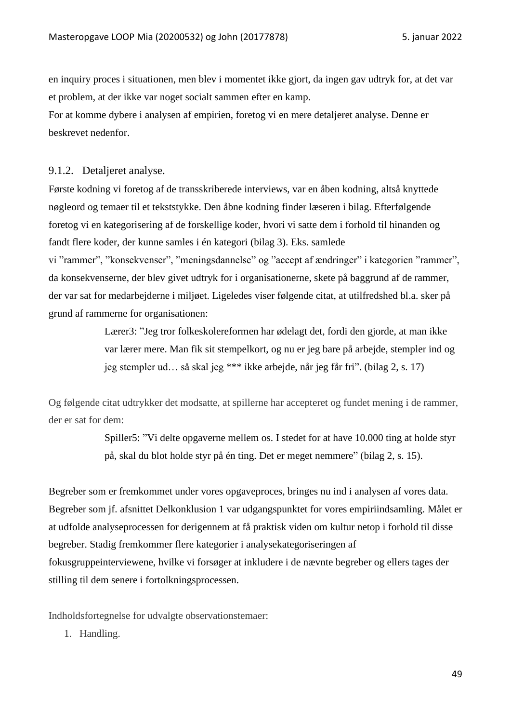en inquiry proces i situationen, men blev i momentet ikke gjort, da ingen gav udtryk for, at det var et problem, at der ikke var noget socialt sammen efter en kamp.

For at komme dybere i analysen af empirien, foretog vi en mere detaljeret analyse. Denne er beskrevet nedenfor.

#### 9.1.2. Detaljeret analyse.

Første kodning vi foretog af de transskriberede interviews, var en åben kodning, altså knyttede nøgleord og temaer til et tekststykke. Den åbne kodning finder læseren i bilag. Efterfølgende foretog vi en kategorisering af de forskellige koder, hvori vi satte dem i forhold til hinanden og fandt flere koder, der kunne samles i én kategori (bilag 3). Eks. samlede

vi "rammer", "konsekvenser", "meningsdannelse" og "accept af ændringer" i kategorien "rammer", da konsekvenserne, der blev givet udtryk for i organisationerne, skete på baggrund af de rammer, der var sat for medarbejderne i miljøet. Ligeledes viser følgende citat, at utilfredshed bl.a. sker på grund af rammerne for organisationen:

> Lærer3: "Jeg tror folkeskolereformen har ødelagt det, fordi den gjorde, at man ikke var lærer mere. Man fik sit stempelkort, og nu er jeg bare på arbejde, stempler ind og jeg stempler ud… så skal jeg \*\*\* ikke arbejde, når jeg får fri". (bilag 2, s. 17)

Og følgende citat udtrykker det modsatte, at spillerne har accepteret og fundet mening i de rammer, der er sat for dem:

> Spiller5: "Vi delte opgaverne mellem os. I stedet for at have 10.000 ting at holde styr på, skal du blot holde styr på én ting. Det er meget nemmere" (bilag 2, s. 15).

Begreber som er fremkommet under vores opgaveproces, bringes nu ind i analysen af vores data. Begreber som jf. afsnittet Delkonklusion 1 var udgangspunktet for vores empiriindsamling. Målet er at udfolde analyseprocessen for derigennem at få praktisk viden om kultur netop i forhold til disse begreber. Stadig fremkommer flere kategorier i analysekategoriseringen af fokusgruppeinterviewene, hvilke vi forsøger at inkludere i de nævnte begreber og ellers tages der stilling til dem senere i fortolkningsprocessen.

Indholdsfortegnelse for udvalgte observationstemaer:

1. Handling.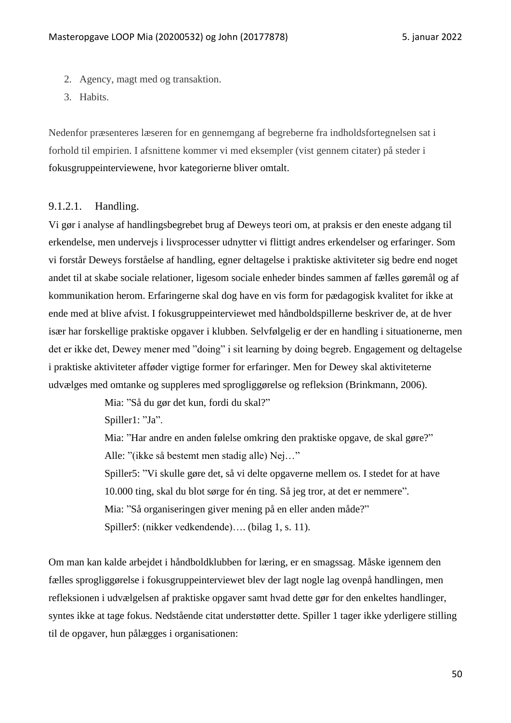- 2. Agency, magt med og transaktion.
- 3. Habits.

Nedenfor præsenteres læseren for en gennemgang af begreberne fra indholdsfortegnelsen sat i forhold til empirien. I afsnittene kommer vi med eksempler (vist gennem citater) på steder i fokusgruppeinterviewene, hvor kategorierne bliver omtalt.

# 9.1.2.1. Handling.

Vi gør i analyse af handlingsbegrebet brug af Deweys teori om, at praksis er den eneste adgang til erkendelse, men undervejs i livsprocesser udnytter vi flittigt andres erkendelser og erfaringer. Som vi forstår Deweys forståelse af handling, egner deltagelse i praktiske aktiviteter sig bedre end noget andet til at skabe sociale relationer, ligesom sociale enheder bindes sammen af fælles gøremål og af kommunikation herom. Erfaringerne skal dog have en vis form for pædagogisk kvalitet for ikke at ende med at blive afvist. I fokusgruppeinterviewet med håndboldspillerne beskriver de, at de hver især har forskellige praktiske opgaver i klubben. Selvfølgelig er der en handling i situationerne, men det er ikke det, Dewey mener med "doing" i sit learning by doing begreb. Engagement og deltagelse i praktiske aktiviteter afføder vigtige former for erfaringer. Men for Dewey skal aktiviteterne udvælges med omtanke og suppleres med sprogliggørelse og refleksion (Brinkmann, 2006).

Mia: "Så du gør det kun, fordi du skal?"

Spiller1: "Ja".

Mia: "Har andre en anden følelse omkring den praktiske opgave, de skal gøre?" Alle: "(ikke så bestemt men stadig alle) Nej…"

Spiller5: "Vi skulle gøre det, så vi delte opgaverne mellem os. I stedet for at have 10.000 ting, skal du blot sørge for én ting. Så jeg tror, at det er nemmere". Mia: "Så organiseringen giver mening på en eller anden måde?" Spiller5: (nikker vedkendende)…. (bilag 1, s. 11).

Om man kan kalde arbejdet i håndboldklubben for læring, er en smagssag. Måske igennem den fælles sprogliggørelse i fokusgruppeinterviewet blev der lagt nogle lag ovenpå handlingen, men refleksionen i udvælgelsen af praktiske opgaver samt hvad dette gør for den enkeltes handlinger, syntes ikke at tage fokus. Nedstående citat understøtter dette. Spiller 1 tager ikke yderligere stilling til de opgaver, hun pålægges i organisationen: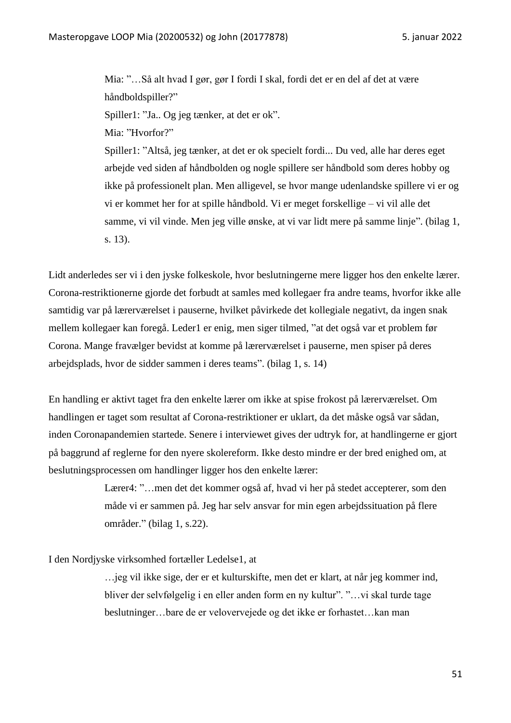Mia: "…Så alt hvad I gør, gør I fordi I skal, fordi det er en del af det at være håndboldspiller?" Spiller1: "Ja.. Og jeg tænker, at det er ok". Mia: "Hvorfor?" Spiller1: "Altså, jeg tænker, at det er ok specielt fordi... Du ved, alle har deres eget arbejde ved siden af håndbolden og nogle spillere ser håndbold som deres hobby og ikke på professionelt plan. Men alligevel, se hvor mange udenlandske spillere vi er og vi er kommet her for at spille håndbold. Vi er meget forskellige – vi vil alle det samme, vi vil vinde. Men jeg ville ønske, at vi var lidt mere på samme linje". (bilag 1, s. 13).

Lidt anderledes ser vi i den jyske folkeskole, hvor beslutningerne mere ligger hos den enkelte lærer. Corona-restriktionerne gjorde det forbudt at samles med kollegaer fra andre teams, hvorfor ikke alle samtidig var på lærerværelset i pauserne, hvilket påvirkede det kollegiale negativt, da ingen snak mellem kollegaer kan foregå. Leder1 er enig, men siger tilmed, "at det også var et problem før Corona. Mange fravælger bevidst at komme på lærerværelset i pauserne, men spiser på deres arbejdsplads, hvor de sidder sammen i deres teams". (bilag 1, s. 14)

En handling er aktivt taget fra den enkelte lærer om ikke at spise frokost på lærerværelset. Om handlingen er taget som resultat af Corona-restriktioner er uklart, da det måske også var sådan, inden Coronapandemien startede. Senere i interviewet gives der udtryk for, at handlingerne er gjort på baggrund af reglerne for den nyere skolereform. Ikke desto mindre er der bred enighed om, at beslutningsprocessen om handlinger ligger hos den enkelte lærer:

> Lærer4: "...men det det kommer også af, hvad vi her på stedet accepterer, som den måde vi er sammen på. Jeg har selv ansvar for min egen arbejdssituation på flere områder." (bilag 1, s.22).

I den Nordjyske virksomhed fortæller Ledelse1, at

…jeg vil ikke sige, der er et kulturskifte, men det er klart, at når jeg kommer ind, bliver der selvfølgelig i en eller anden form en ny kultur". "…vi skal turde tage beslutninger…bare de er velovervejede og det ikke er forhastet…kan man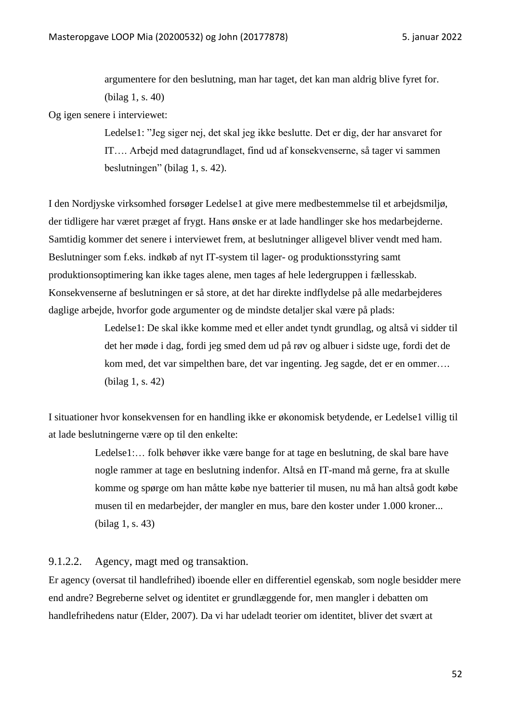argumentere for den beslutning, man har taget, det kan man aldrig blive fyret for. (bilag 1, s. 40)

Og igen senere i interviewet:

Ledelse1: "Jeg siger nej, det skal jeg ikke beslutte. Det er dig, der har ansvaret for IT…. Arbejd med datagrundlaget, find ud af konsekvenserne, så tager vi sammen beslutningen" (bilag 1, s. 42).

I den Nordjyske virksomhed forsøger Ledelse1 at give mere medbestemmelse til et arbejdsmiljø, der tidligere har været præget af frygt. Hans ønske er at lade handlinger ske hos medarbejderne. Samtidig kommer det senere i interviewet frem, at beslutninger alligevel bliver vendt med ham. Beslutninger som f.eks. indkøb af nyt IT-system til lager- og produktionsstyring samt produktionsoptimering kan ikke tages alene, men tages af hele ledergruppen i fællesskab. Konsekvenserne af beslutningen er så store, at det har direkte indflydelse på alle medarbejderes daglige arbejde, hvorfor gode argumenter og de mindste detaljer skal være på plads:

> Ledelse1: De skal ikke komme med et eller andet tyndt grundlag, og altså vi sidder til det her møde i dag, fordi jeg smed dem ud på røv og albuer i sidste uge, fordi det de kom med, det var simpelthen bare, det var ingenting. Jeg sagde, det er en ommer…. (bilag 1, s. 42)

I situationer hvor konsekvensen for en handling ikke er økonomisk betydende, er Ledelse1 villig til at lade beslutningerne være op til den enkelte:

> Ledelse1:… folk behøver ikke være bange for at tage en beslutning, de skal bare have nogle rammer at tage en beslutning indenfor. Altså en IT-mand må gerne, fra at skulle komme og spørge om han måtte købe nye batterier til musen, nu må han altså godt købe musen til en medarbejder, der mangler en mus, bare den koster under 1.000 kroner... (bilag 1, s. 43)

9.1.2.2. Agency, magt med og transaktion.

Er agency (oversat til handlefrihed) iboende eller en differentiel egenskab, som nogle besidder mere end andre? Begreberne selvet og identitet er grundlæggende for, men mangler i debatten om handlefrihedens natur (Elder, 2007). Da vi har udeladt teorier om identitet, bliver det svært at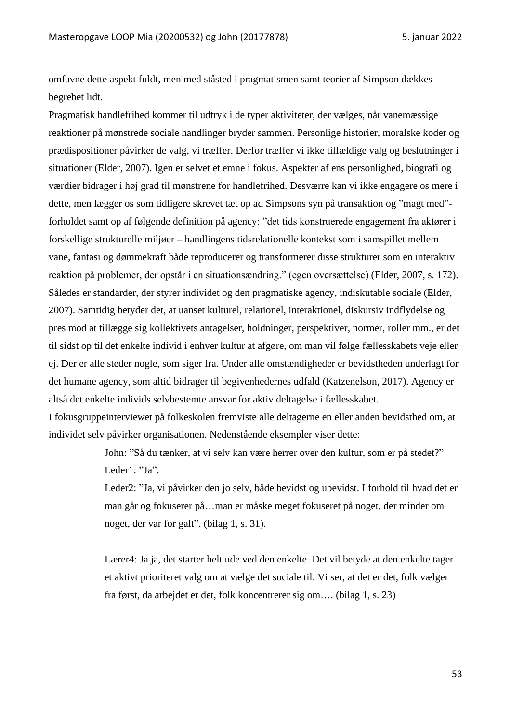omfavne dette aspekt fuldt, men med ståsted i pragmatismen samt teorier af Simpson dækkes begrebet lidt.

Pragmatisk handlefrihed kommer til udtryk i de typer aktiviteter, der vælges, når vanemæssige reaktioner på mønstrede sociale handlinger bryder sammen. Personlige historier, moralske koder og prædispositioner påvirker de valg, vi træffer. Derfor træffer vi ikke tilfældige valg og beslutninger i situationer (Elder, 2007). Igen er selvet et emne i fokus. Aspekter af ens personlighed, biografi og værdier bidrager i høj grad til mønstrene for handlefrihed. Desværre kan vi ikke engagere os mere i dette, men lægger os som tidligere skrevet tæt op ad Simpsons syn på transaktion og "magt med" forholdet samt op af følgende definition på agency: "det tids konstruerede engagement fra aktører i forskellige strukturelle miljøer – handlingens tidsrelationelle kontekst som i samspillet mellem vane, fantasi og dømmekraft både reproducerer og transformerer disse strukturer som en interaktiv reaktion på problemer, der opstår i en situationsændring." (egen oversættelse) (Elder, 2007, s. 172). Således er standarder, der styrer individet og den pragmatiske agency, indiskutable sociale (Elder, 2007). Samtidig betyder det, at uanset kulturel, relationel, interaktionel, diskursiv indflydelse og pres mod at tillægge sig kollektivets antagelser, holdninger, perspektiver, normer, roller mm., er det til sidst op til det enkelte individ i enhver kultur at afgøre, om man vil følge fællesskabets veje eller ej. Der er alle steder nogle, som siger fra. Under alle omstændigheder er bevidstheden underlagt for det humane agency, som altid bidrager til begivenhedernes udfald (Katzenelson, 2017). Agency er altså det enkelte individs selvbestemte ansvar for aktiv deltagelse i fællesskabet.

I fokusgruppeinterviewet på folkeskolen fremviste alle deltagerne en eller anden bevidsthed om, at individet selv påvirker organisationen. Nedenstående eksempler viser dette:

> John: "Så du tænker, at vi selv kan være herrer over den kultur, som er på stedet?" Leder1: "Ja".

Leder2: "Ja, vi påvirker den jo selv, både bevidst og ubevidst. I forhold til hvad det er man går og fokuserer på…man er måske meget fokuseret på noget, der minder om noget, der var for galt". (bilag 1, s. 31).

Lærer4: Ja ja, det starter helt ude ved den enkelte. Det vil betyde at den enkelte tager et aktivt prioriteret valg om at vælge det sociale til. Vi ser, at det er det, folk vælger fra først, da arbejdet er det, folk koncentrerer sig om…. (bilag 1, s. 23)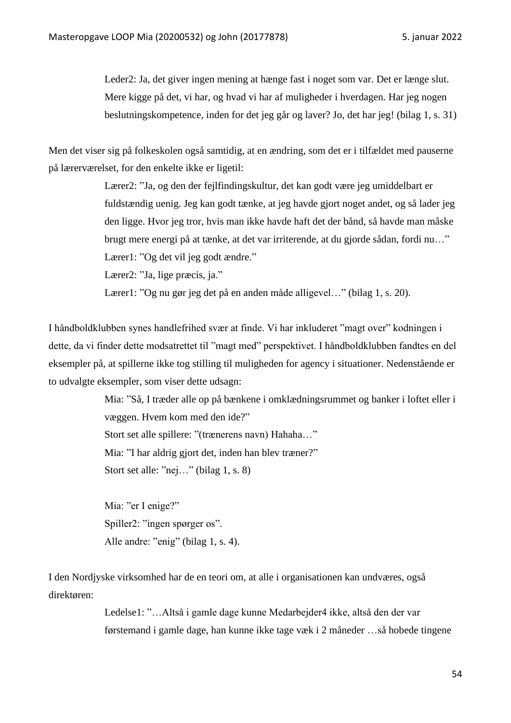Leder2: Ja, det giver ingen mening at hænge fast i noget som var. Det er længe slut. Mere kigge på det, vi har, og hvad vi har af muligheder i hverdagen. Har jeg nogen beslutningskompetence, inden for det jeg går og laver? Jo, det har jeg! (bilag 1, s. 31)

Men det viser sig på folkeskolen også samtidig, at en ændring, som det er i tilfældet med pauserne på lærerværelset, for den enkelte ikke er ligetil:

> Lærer2: "Ja, og den der fejlfindingskultur, det kan godt være jeg umiddelbart er fuldstændig uenig. Jeg kan godt tænke, at jeg havde gjort noget andet, og så lader jeg den ligge. Hvor jeg tror, hvis man ikke havde haft det der bånd, så havde man måske brugt mere energi på at tænke, at det var irriterende, at du gjorde sådan, fordi nu…" Lærer1: "Og det vil jeg godt ændre."

Lærer2: "Ja, lige præcis, ja."

Lærer1: "Og nu gør jeg det på en anden måde alligevel..." (bilag 1, s. 20).

I håndboldklubben synes handlefrihed svær at finde. Vi har inkluderet "magt over" kodningen i dette, da vi finder dette modsatrettet til "magt med" perspektivet. I håndboldklubben fandtes en del eksempler på, at spillerne ikke tog stilling til muligheden for agency i situationer. Nedenstående er to udvalgte eksempler, som viser dette udsagn:

> Mia: "Så, I træder alle op på bænkene i omklædningsrummet og banker i loftet eller i væggen. Hvem kom med den ide?"

Stort set alle spillere: "(trænerens navn) Hahaha…"

Mia: "I har aldrig gjort det, inden han blev træner?"

Stort set alle: "nej..." (bilag 1, s. 8)

Mia: "er I enige?" Spiller2: "ingen spørger os". Alle andre: "enig" (bilag 1, s. 4).

I den Nordjyske virksomhed har de en teori om, at alle i organisationen kan undværes, også direktøren:

> Ledelse1: "…Altså i gamle dage kunne Medarbejder4 ikke, altså den der var førstemand i gamle dage, han kunne ikke tage væk i 2 måneder …så hobede tingene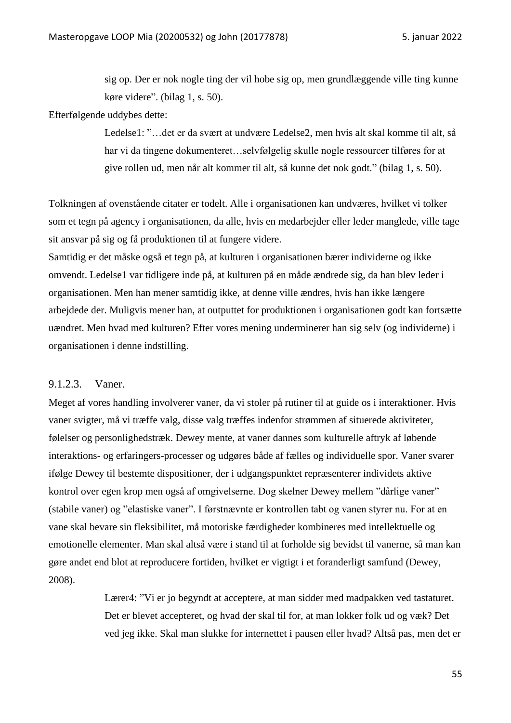sig op. Der er nok nogle ting der vil hobe sig op, men grundlæggende ville ting kunne køre videre". (bilag 1, s. 50).

#### Efterfølgende uddybes dette:

Ledelse1: "…det er da svært at undvære Ledelse2, men hvis alt skal komme til alt, så har vi da tingene dokumenteret…selvfølgelig skulle nogle ressourcer tilføres for at give rollen ud, men når alt kommer til alt, så kunne det nok godt." (bilag 1, s. 50).

Tolkningen af ovenstående citater er todelt. Alle i organisationen kan undværes, hvilket vi tolker som et tegn på agency i organisationen, da alle, hvis en medarbejder eller leder manglede, ville tage sit ansvar på sig og få produktionen til at fungere videre.

Samtidig er det måske også et tegn på, at kulturen i organisationen bærer individerne og ikke omvendt. Ledelse1 var tidligere inde på, at kulturen på en måde ændrede sig, da han blev leder i organisationen. Men han mener samtidig ikke, at denne ville ændres, hvis han ikke længere arbejdede der. Muligvis mener han, at outputtet for produktionen i organisationen godt kan fortsætte uændret. Men hvad med kulturen? Efter vores mening underminerer han sig selv (og individerne) i organisationen i denne indstilling.

### 9.1.2.3. Vaner.

Meget af vores handling involverer vaner, da vi stoler på rutiner til at guide os i interaktioner. Hvis vaner svigter, må vi træffe valg, disse valg træffes indenfor strømmen af situerede aktiviteter, følelser og personlighedstræk. Dewey mente, at vaner dannes som kulturelle aftryk af løbende interaktions- og erfaringers-processer og udgøres både af fælles og individuelle spor. Vaner svarer ifølge Dewey til bestemte dispositioner, der i udgangspunktet repræsenterer individets aktive kontrol over egen krop men også af omgivelserne. Dog skelner Dewey mellem "dårlige vaner" (stabile vaner) og "elastiske vaner". I førstnævnte er kontrollen tabt og vanen styrer nu. For at en vane skal bevare sin fleksibilitet, må motoriske færdigheder kombineres med intellektuelle og emotionelle elementer. Man skal altså være i stand til at forholde sig bevidst til vanerne, så man kan gøre andet end blot at reproducere fortiden, hvilket er vigtigt i et foranderligt samfund (Dewey, 2008).

> Lærer4: "Vi er jo begyndt at acceptere, at man sidder med madpakken ved tastaturet. Det er blevet accepteret, og hvad der skal til for, at man lokker folk ud og væk? Det ved jeg ikke. Skal man slukke for internettet i pausen eller hvad? Altså pas, men det er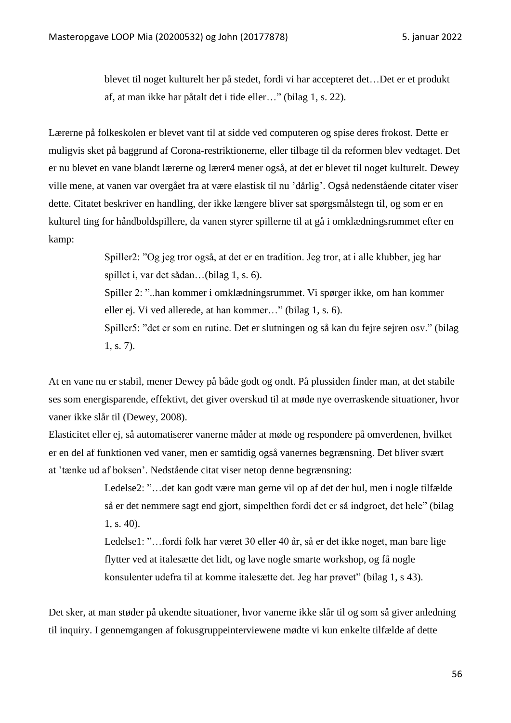blevet til noget kulturelt her på stedet, fordi vi har accepteret det…Det er et produkt af, at man ikke har påtalt det i tide eller…" (bilag 1, s. 22).

Lærerne på folkeskolen er blevet vant til at sidde ved computeren og spise deres frokost. Dette er muligvis sket på baggrund af Corona-restriktionerne, eller tilbage til da reformen blev vedtaget. Det er nu blevet en vane blandt lærerne og lærer4 mener også, at det er blevet til noget kulturelt. Dewey ville mene, at vanen var overgået fra at være elastisk til nu 'dårlig'. Også nedenstående citater viser dette. Citatet beskriver en handling, der ikke længere bliver sat spørgsmålstegn til, og som er en kulturel ting for håndboldspillere, da vanen styrer spillerne til at gå i omklædningsrummet efter en kamp:

> Spiller2: "Og jeg tror også, at det er en tradition. Jeg tror, at i alle klubber, jeg har spillet i, var det sådan…(bilag 1, s. 6). Spiller 2: "..han kommer i omklædningsrummet. Vi spørger ikke, om han kommer eller ej. Vi ved allerede, at han kommer…" (bilag 1, s. 6). Spiller5: "det er som en rutine. Det er slutningen og så kan du fejre sejren osv." (bilag 1, s. 7).

At en vane nu er stabil, mener Dewey på både godt og ondt. På plussiden finder man, at det stabile ses som energisparende, effektivt, det giver overskud til at møde nye overraskende situationer, hvor vaner ikke slår til (Dewey, 2008).

Elasticitet eller ej, så automatiserer vanerne måder at møde og respondere på omverdenen, hvilket er en del af funktionen ved vaner, men er samtidig også vanernes begrænsning. Det bliver svært at 'tænke ud af boksen'. Nedstående citat viser netop denne begrænsning:

> Ledelse2: "…det kan godt være man gerne vil op af det der hul, men i nogle tilfælde så er det nemmere sagt end gjort, simpelthen fordi det er så indgroet, det hele" (bilag 1, s. 40).

Ledelse1: "…fordi folk har været 30 eller 40 år, så er det ikke noget, man bare lige flytter ved at italesætte det lidt, og lave nogle smarte workshop, og få nogle konsulenter udefra til at komme italesætte det. Jeg har prøvet" (bilag 1, s 43).

Det sker, at man støder på ukendte situationer, hvor vanerne ikke slår til og som så giver anledning til inquiry. I gennemgangen af fokusgruppeinterviewene mødte vi kun enkelte tilfælde af dette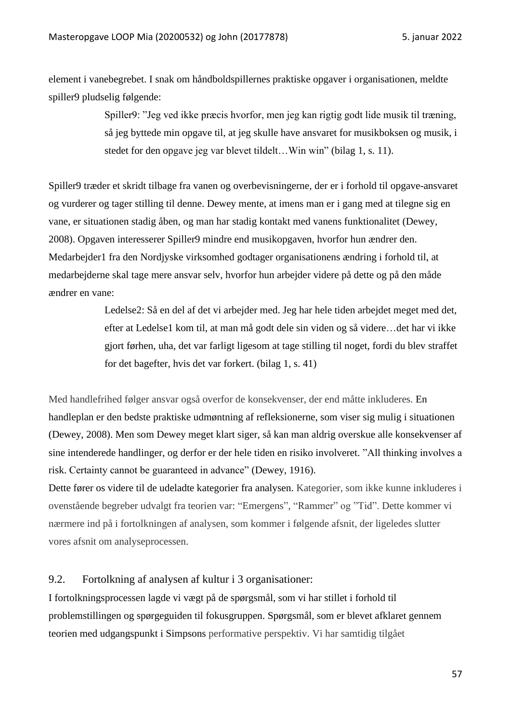element i vanebegrebet. I snak om håndboldspillernes praktiske opgaver i organisationen, meldte spiller9 pludselig følgende:

> Spiller9: "Jeg ved ikke præcis hvorfor, men jeg kan rigtig godt lide musik til træning, så jeg byttede min opgave til, at jeg skulle have ansvaret for musikboksen og musik, i stedet for den opgave jeg var blevet tildelt…Win win" (bilag 1, s. 11).

Spiller9 træder et skridt tilbage fra vanen og overbevisningerne, der er i forhold til opgave-ansvaret og vurderer og tager stilling til denne. Dewey mente, at imens man er i gang med at tilegne sig en vane, er situationen stadig åben, og man har stadig kontakt med vanens funktionalitet (Dewey, 2008). Opgaven interesserer Spiller9 mindre end musikopgaven, hvorfor hun ændrer den. Medarbejder1 fra den Nordjyske virksomhed godtager organisationens ændring i forhold til, at medarbejderne skal tage mere ansvar selv, hvorfor hun arbejder videre på dette og på den måde ændrer en vane:

> Ledelse2: Så en del af det vi arbejder med. Jeg har hele tiden arbejdet meget med det, efter at Ledelse1 kom til, at man må godt dele sin viden og så videre…det har vi ikke gjort førhen, uha, det var farligt ligesom at tage stilling til noget, fordi du blev straffet for det bagefter, hvis det var forkert. (bilag 1, s. 41)

Med handlefrihed følger ansvar også overfor de konsekvenser, der end måtte inkluderes. En handleplan er den bedste praktiske udmøntning af refleksionerne, som viser sig mulig i situationen (Dewey, 2008). Men som Dewey meget klart siger, så kan man aldrig overskue alle konsekvenser af sine intenderede handlinger, og derfor er der hele tiden en risiko involveret. "All thinking involves a risk. Certainty cannot be guaranteed in advance" (Dewey, 1916).

Dette fører os videre til de udeladte kategorier fra analysen. Kategorier, som ikke kunne inkluderes i ovenstående begreber udvalgt fra teorien var: "Emergens", "Rammer" og "Tid". Dette kommer vi nærmere ind på i fortolkningen af analysen, som kommer i følgende afsnit, der ligeledes slutter vores afsnit om analyseprocessen.

# 9.2. Fortolkning af analysen af kultur i 3 organisationer:

I fortolkningsprocessen lagde vi vægt på de spørgsmål, som vi har stillet i forhold til problemstillingen og spørgeguiden til fokusgruppen. Spørgsmål, som er blevet afklaret gennem teorien med udgangspunkt i Simpsons performative perspektiv. Vi har samtidig tilgået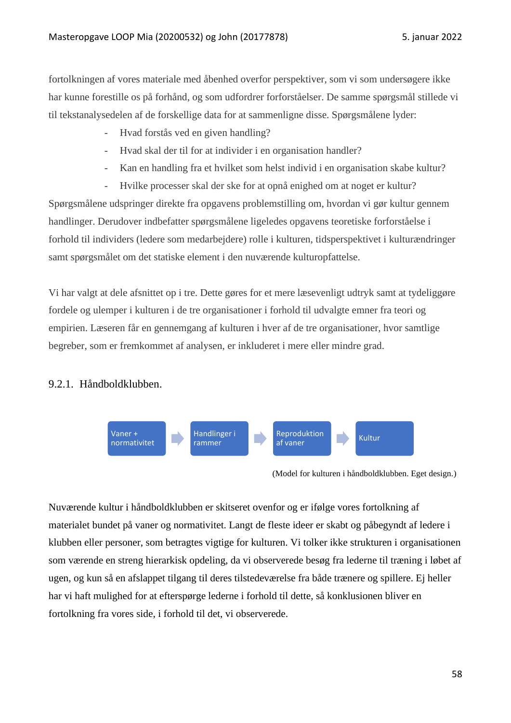fortolkningen af vores materiale med åbenhed overfor perspektiver, som vi som undersøgere ikke har kunne forestille os på forhånd, og som udfordrer forforståelser. De samme spørgsmål stillede vi til tekstanalysedelen af de forskellige data for at sammenligne disse. Spørgsmålene lyder:

- Hvad forstås ved en given handling?
- Hvad skal der til for at individer i en organisation handler?
- Kan en handling fra et hvilket som helst individ i en organisation skabe kultur?
- Hvilke processer skal der ske for at opnå enighed om at noget er kultur?

Spørgsmålene udspringer direkte fra opgavens problemstilling om, hvordan vi gør kultur gennem handlinger. Derudover indbefatter spørgsmålene ligeledes opgavens teoretiske forforståelse i forhold til individers (ledere som medarbejdere) rolle i kulturen, tidsperspektivet i kulturændringer samt spørgsmålet om det statiske element i den nuværende kulturopfattelse.

Vi har valgt at dele afsnittet op i tre. Dette gøres for et mere læsevenligt udtryk samt at tydeliggøre fordele og ulemper i kulturen i de tre organisationer i forhold til udvalgte emner fra teori og empirien. Læseren får en gennemgang af kulturen i hver af de tre organisationer, hvor samtlige begreber, som er fremkommet af analysen, er inkluderet i mere eller mindre grad.

# 9.2.1. Håndboldklubben.



(Model for kulturen i håndboldklubben. Eget design.)

Nuværende kultur i håndboldklubben er skitseret ovenfor og er ifølge vores fortolkning af materialet bundet på vaner og normativitet. Langt de fleste ideer er skabt og påbegyndt af ledere i klubben eller personer, som betragtes vigtige for kulturen. Vi tolker ikke strukturen i organisationen som værende en streng hierarkisk opdeling, da vi observerede besøg fra lederne til træning i løbet af ugen, og kun så en afslappet tilgang til deres tilstedeværelse fra både trænere og spillere. Ej heller har vi haft mulighed for at efterspørge lederne i forhold til dette, så konklusionen bliver en fortolkning fra vores side, i forhold til det, vi observerede.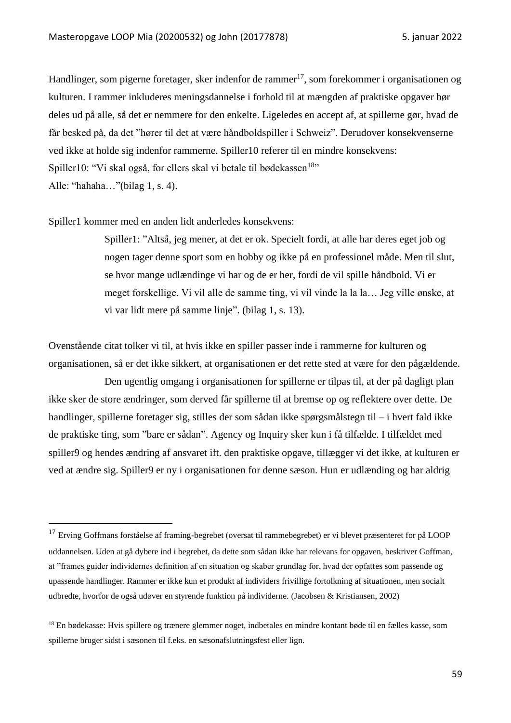Handlinger, som pigerne foretager, sker indenfor de rammer<sup>17</sup>, som forekommer i organisationen og kulturen. I rammer inkluderes meningsdannelse i forhold til at mængden af praktiske opgaver bør deles ud på alle, så det er nemmere for den enkelte. Ligeledes en accept af, at spillerne gør, hvad de får besked på, da det "hører til det at være håndboldspiller i Schweiz". Derudover konsekvenserne ved ikke at holde sig indenfor rammerne. Spiller10 referer til en mindre konsekvens: Spiller10: "Vi skal også, for ellers skal vi betale til bødekassen<sup>18</sup>" Alle: "hahaha…"(bilag 1, s. 4).

Spiller1 kommer med en anden lidt anderledes konsekvens:

Spiller1: "Altså, jeg mener, at det er ok. Specielt fordi, at alle har deres eget job og nogen tager denne sport som en hobby og ikke på en professionel måde. Men til slut, se hvor mange udlændinge vi har og de er her, fordi de vil spille håndbold. Vi er meget forskellige. Vi vil alle de samme ting, vi vil vinde la la la… Jeg ville ønske, at vi var lidt mere på samme linje". (bilag 1, s. 13).

Ovenstående citat tolker vi til, at hvis ikke en spiller passer inde i rammerne for kulturen og organisationen, så er det ikke sikkert, at organisationen er det rette sted at være for den pågældende.

Den ugentlig omgang i organisationen for spillerne er tilpas til, at der på dagligt plan ikke sker de store ændringer, som derved får spillerne til at bremse op og reflektere over dette. De handlinger, spillerne foretager sig, stilles der som sådan ikke spørgsmålstegn til – i hvert fald ikke de praktiske ting, som "bare er sådan". Agency og Inquiry sker kun i få tilfælde. I tilfældet med spiller9 og hendes ændring af ansvaret ift. den praktiske opgave, tillægger vi det ikke, at kulturen er ved at ændre sig. Spiller9 er ny i organisationen for denne sæson. Hun er udlænding og har aldrig

<sup>&</sup>lt;sup>17</sup> Erving Goffmans forståelse af framing-begrebet (oversat til rammebegrebet) er vi blevet præsenteret for på LOOP uddannelsen. Uden at gå dybere ind i begrebet, da dette som sådan ikke har relevans for opgaven, beskriver Goffman, at "frames guider individernes definition af en situation og skaber grundlag for, hvad der opfattes som passende og upassende handlinger. Rammer er ikke kun et produkt af individers frivillige fortolkning af situationen, men socialt udbredte, hvorfor de også udøver en styrende funktion på individerne. (Jacobsen & Kristiansen, 2002)

<sup>18</sup> En bødekasse: Hvis spillere og trænere glemmer noget, indbetales en mindre kontant bøde til en fælles kasse, som spillerne bruger sidst i sæsonen til f.eks. en sæsonafslutningsfest eller lign.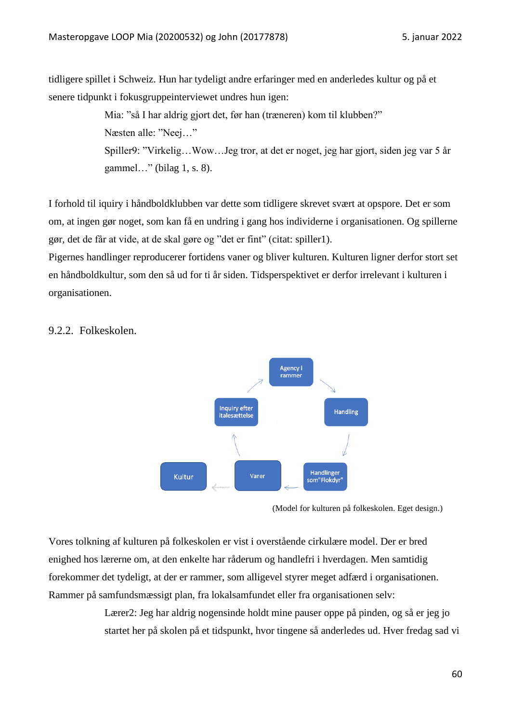tidligere spillet i Schweiz. Hun har tydeligt andre erfaringer med en anderledes kultur og på et senere tidpunkt i fokusgruppeinterviewet undres hun igen:

> Mia: "så I har aldrig gjort det, før han (træneren) kom til klubben?" Næsten alle: "Neej…" Spiller9: "Virkelig…Wow…Jeg tror, at det er noget, jeg har gjort, siden jeg var 5 år gammel…" (bilag 1, s. 8).

I forhold til iquiry i håndboldklubben var dette som tidligere skrevet svært at opspore. Det er som om, at ingen gør noget, som kan få en undring i gang hos individerne i organisationen. Og spillerne gør, det de får at vide, at de skal gøre og "det er fint" (citat: spiller1).

Pigernes handlinger reproducerer fortidens vaner og bliver kulturen. Kulturen ligner derfor stort set en håndboldkultur, som den så ud for ti år siden. Tidsperspektivet er derfor irrelevant i kulturen i organisationen.



# 9.2.2. Folkeskolen.

(Model for kulturen på folkeskolen. Eget design.)

Vores tolkning af kulturen på folkeskolen er vist i overstående cirkulære model. Der er bred enighed hos lærerne om, at den enkelte har råderum og handlefri i hverdagen. Men samtidig forekommer det tydeligt, at der er rammer, som alligevel styrer meget adfærd i organisationen. Rammer på samfundsmæssigt plan, fra lokalsamfundet eller fra organisationen selv:

> Lærer2: Jeg har aldrig nogensinde holdt mine pauser oppe på pinden, og så er jeg jo startet her på skolen på et tidspunkt, hvor tingene så anderledes ud. Hver fredag sad vi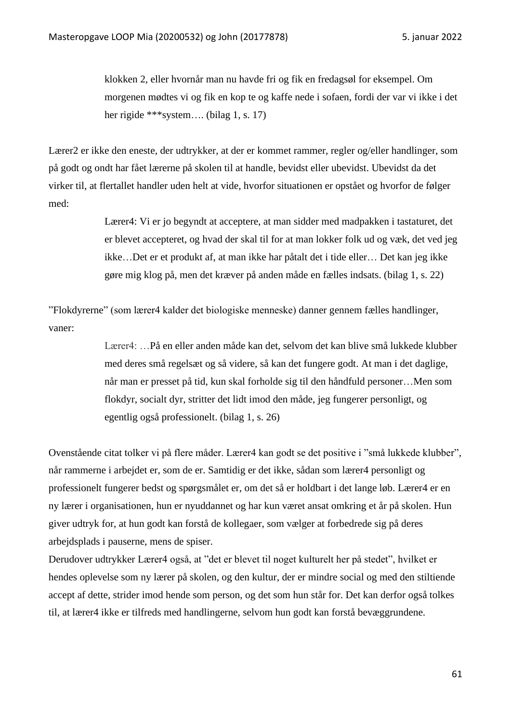klokken 2, eller hvornår man nu havde fri og fik en fredagsøl for eksempel. Om morgenen mødtes vi og fik en kop te og kaffe nede i sofaen, fordi der var vi ikke i det her rigide \*\*\*system.... (bilag 1, s. 17)

Lærer2 er ikke den eneste, der udtrykker, at der er kommet rammer, regler og/eller handlinger, som på godt og ondt har fået lærerne på skolen til at handle, bevidst eller ubevidst. Ubevidst da det virker til, at flertallet handler uden helt at vide, hvorfor situationen er opstået og hvorfor de følger med:

> Lærer4: Vi er jo begyndt at acceptere, at man sidder med madpakken i tastaturet, det er blevet accepteret, og hvad der skal til for at man lokker folk ud og væk, det ved jeg ikke…Det er et produkt af, at man ikke har påtalt det i tide eller… Det kan jeg ikke gøre mig klog på, men det kræver på anden måde en fælles indsats. (bilag 1, s. 22)

"Flokdyrerne" (som lærer4 kalder det biologiske menneske) danner gennem fælles handlinger, vaner:

> Lærer4: …På en eller anden måde kan det, selvom det kan blive små lukkede klubber med deres små regelsæt og så videre, så kan det fungere godt. At man i det daglige, når man er presset på tid, kun skal forholde sig til den håndfuld personer…Men som flokdyr, socialt dyr, stritter det lidt imod den måde, jeg fungerer personligt, og egentlig også professionelt. (bilag 1, s. 26)

Ovenstående citat tolker vi på flere måder. Lærer4 kan godt se det positive i "små lukkede klubber", når rammerne i arbejdet er, som de er. Samtidig er det ikke, sådan som lærer4 personligt og professionelt fungerer bedst og spørgsmålet er, om det så er holdbart i det lange løb. Lærer4 er en ny lærer i organisationen, hun er nyuddannet og har kun været ansat omkring et år på skolen. Hun giver udtryk for, at hun godt kan forstå de kollegaer, som vælger at forbedrede sig på deres arbejdsplads i pauserne, mens de spiser.

Derudover udtrykker Lærer4 også, at "det er blevet til noget kulturelt her på stedet", hvilket er hendes oplevelse som ny lærer på skolen, og den kultur, der er mindre social og med den stiltiende accept af dette, strider imod hende som person, og det som hun står for. Det kan derfor også tolkes til, at lærer4 ikke er tilfreds med handlingerne, selvom hun godt kan forstå bevæggrundene.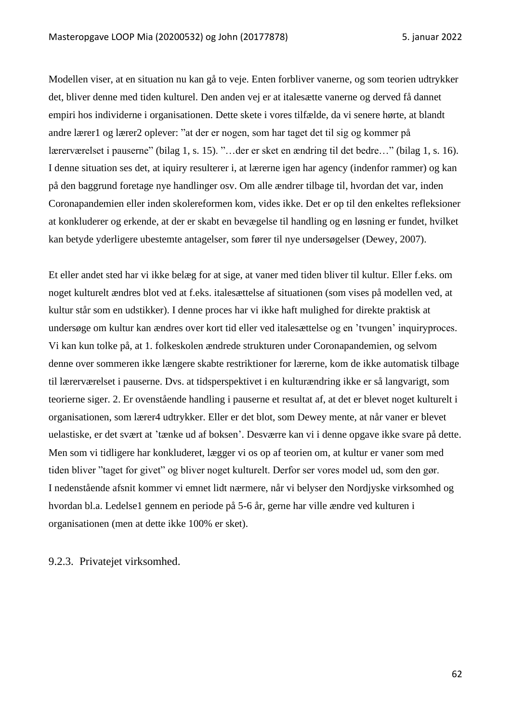Modellen viser, at en situation nu kan gå to veje. Enten forbliver vanerne, og som teorien udtrykker det, bliver denne med tiden kulturel. Den anden vej er at italesætte vanerne og derved få dannet empiri hos individerne i organisationen. Dette skete i vores tilfælde, da vi senere hørte, at blandt andre lærer1 og lærer2 oplever: "at der er nogen, som har taget det til sig og kommer på lærerværelset i pauserne" (bilag 1, s. 15). "…der er sket en ændring til det bedre…" (bilag 1, s. 16). I denne situation ses det, at iquiry resulterer i, at lærerne igen har agency (indenfor rammer) og kan på den baggrund foretage nye handlinger osv. Om alle ændrer tilbage til, hvordan det var, inden Coronapandemien eller inden skolereformen kom, vides ikke. Det er op til den enkeltes refleksioner at konkluderer og erkende, at der er skabt en bevægelse til handling og en løsning er fundet, hvilket kan betyde yderligere ubestemte antagelser, som fører til nye undersøgelser (Dewey, 2007).

Et eller andet sted har vi ikke belæg for at sige, at vaner med tiden bliver til kultur. Eller f.eks. om noget kulturelt ændres blot ved at f.eks. italesættelse af situationen (som vises på modellen ved, at kultur står som en udstikker). I denne proces har vi ikke haft mulighed for direkte praktisk at undersøge om kultur kan ændres over kort tid eller ved italesættelse og en 'tvungen' inquiryproces. Vi kan kun tolke på, at 1. folkeskolen ændrede strukturen under Coronapandemien, og selvom denne over sommeren ikke længere skabte restriktioner for lærerne, kom de ikke automatisk tilbage til lærerværelset i pauserne. Dvs. at tidsperspektivet i en kulturændring ikke er så langvarigt, som teorierne siger. 2. Er ovenstående handling i pauserne et resultat af, at det er blevet noget kulturelt i organisationen, som lærer4 udtrykker. Eller er det blot, som Dewey mente, at når vaner er blevet uelastiske, er det svært at 'tænke ud af boksen'. Desværre kan vi i denne opgave ikke svare på dette. Men som vi tidligere har konkluderet, lægger vi os op af teorien om, at kultur er vaner som med tiden bliver "taget for givet" og bliver noget kulturelt. Derfor ser vores model ud, som den gør. I nedenstående afsnit kommer vi emnet lidt nærmere, når vi belyser den Nordjyske virksomhed og hvordan bl.a. Ledelse1 gennem en periode på 5-6 år, gerne har ville ændre ved kulturen i organisationen (men at dette ikke 100% er sket).

# 9.2.3. Privatejet virksomhed.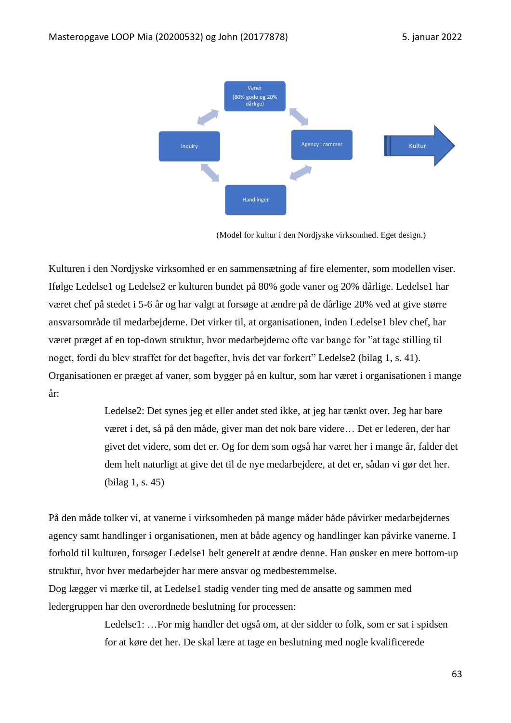

(Model for kultur i den Nordjyske virksomhed. Eget design.)

Kulturen i den Nordjyske virksomhed er en sammensætning af fire elementer, som modellen viser. Ifølge Ledelse1 og Ledelse2 er kulturen bundet på 80% gode vaner og 20% dårlige. Ledelse1 har været chef på stedet i 5-6 år og har valgt at forsøge at ændre på de dårlige 20% ved at give større ansvarsområde til medarbejderne. Det virker til, at organisationen, inden Ledelse1 blev chef, har været præget af en top-down struktur, hvor medarbejderne ofte var bange for "at tage stilling til noget, fordi du blev straffet for det bagefter, hvis det var forkert" Ledelse2 (bilag 1, s. 41). Organisationen er præget af vaner, som bygger på en kultur, som har været i organisationen i mange år:

> Ledelse2: Det synes jeg et eller andet sted ikke, at jeg har tænkt over. Jeg har bare været i det, så på den måde, giver man det nok bare videre… Det er lederen, der har givet det videre, som det er. Og for dem som også har været her i mange år, falder det dem helt naturligt at give det til de nye medarbejdere, at det er, sådan vi gør det her. (bilag 1, s. 45)

På den måde tolker vi, at vanerne i virksomheden på mange måder både påvirker medarbejdernes agency samt handlinger i organisationen, men at både agency og handlinger kan påvirke vanerne. I forhold til kulturen, forsøger Ledelse1 helt generelt at ændre denne. Han ønsker en mere bottom-up struktur, hvor hver medarbejder har mere ansvar og medbestemmelse.

Dog lægger vi mærke til, at Ledelse1 stadig vender ting med de ansatte og sammen med ledergruppen har den overordnede beslutning for processen:

> Ledelse1: …For mig handler det også om, at der sidder to folk, som er sat i spidsen for at køre det her. De skal lære at tage en beslutning med nogle kvalificerede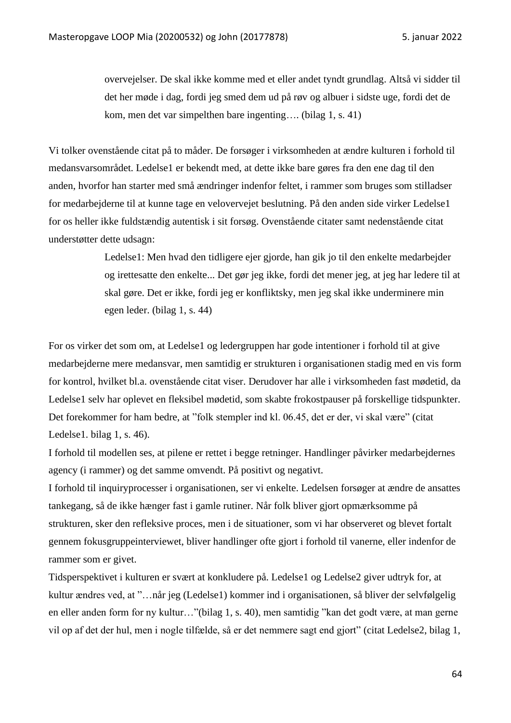overvejelser. De skal ikke komme med et eller andet tyndt grundlag. Altså vi sidder til det her møde i dag, fordi jeg smed dem ud på røv og albuer i sidste uge, fordi det de kom, men det var simpelthen bare ingenting…. (bilag 1, s. 41)

Vi tolker ovenstående citat på to måder. De forsøger i virksomheden at ændre kulturen i forhold til medansvarsområdet. Ledelse1 er bekendt med, at dette ikke bare gøres fra den ene dag til den anden, hvorfor han starter med små ændringer indenfor feltet, i rammer som bruges som stilladser for medarbejderne til at kunne tage en velovervejet beslutning. På den anden side virker Ledelse1 for os heller ikke fuldstændig autentisk i sit forsøg. Ovenstående citater samt nedenstående citat understøtter dette udsagn:

> Ledelse1: Men hvad den tidligere ejer gjorde, han gik jo til den enkelte medarbejder og irettesatte den enkelte... Det gør jeg ikke, fordi det mener jeg, at jeg har ledere til at skal gøre. Det er ikke, fordi jeg er konfliktsky, men jeg skal ikke underminere min egen leder. (bilag 1, s. 44)

For os virker det som om, at Ledelse1 og ledergruppen har gode intentioner i forhold til at give medarbejderne mere medansvar, men samtidig er strukturen i organisationen stadig med en vis form for kontrol, hvilket bl.a. ovenstående citat viser. Derudover har alle i virksomheden fast mødetid, da Ledelse1 selv har oplevet en fleksibel mødetid, som skabte frokostpauser på forskellige tidspunkter. Det forekommer for ham bedre, at "folk stempler ind kl. 06.45, det er der, vi skal være" (citat Ledelse1. bilag 1, s. 46).

I forhold til modellen ses, at pilene er rettet i begge retninger. Handlinger påvirker medarbejdernes agency (i rammer) og det samme omvendt. På positivt og negativt.

I forhold til inquiryprocesser i organisationen, ser vi enkelte. Ledelsen forsøger at ændre de ansattes tankegang, så de ikke hænger fast i gamle rutiner. Når folk bliver gjort opmærksomme på strukturen, sker den refleksive proces, men i de situationer, som vi har observeret og blevet fortalt gennem fokusgruppeinterviewet, bliver handlinger ofte gjort i forhold til vanerne, eller indenfor de rammer som er givet.

Tidsperspektivet i kulturen er svært at konkludere på. Ledelse1 og Ledelse2 giver udtryk for, at kultur ændres ved, at "…når jeg (Ledelse1) kommer ind i organisationen, så bliver der selvfølgelig en eller anden form for ny kultur…"(bilag 1, s. 40), men samtidig "kan det godt være, at man gerne vil op af det der hul, men i nogle tilfælde, så er det nemmere sagt end gjort" (citat Ledelse2, bilag 1,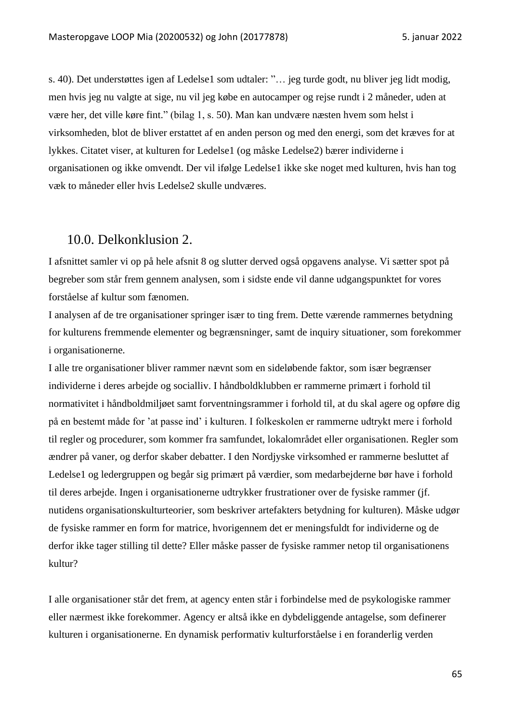s. 40). Det understøttes igen af Ledelse1 som udtaler: "… jeg turde godt, nu bliver jeg lidt modig, men hvis jeg nu valgte at sige, nu vil jeg købe en autocamper og rejse rundt i 2 måneder, uden at være her, det ville køre fint." (bilag 1, s. 50). Man kan undvære næsten hvem som helst i virksomheden, blot de bliver erstattet af en anden person og med den energi, som det kræves for at lykkes. Citatet viser, at kulturen for Ledelse1 (og måske Ledelse2) bærer individerne i organisationen og ikke omvendt. Der vil ifølge Ledelse1 ikke ske noget med kulturen, hvis han tog væk to måneder eller hvis Ledelse2 skulle undværes.

# 10.0. Delkonklusion 2.

I afsnittet samler vi op på hele afsnit 8 og slutter derved også opgavens analyse. Vi sætter spot på begreber som står frem gennem analysen, som i sidste ende vil danne udgangspunktet for vores forståelse af kultur som fænomen.

I analysen af de tre organisationer springer især to ting frem. Dette værende rammernes betydning for kulturens fremmende elementer og begrænsninger, samt de inquiry situationer, som forekommer i organisationerne.

I alle tre organisationer bliver rammer nævnt som en sideløbende faktor, som især begrænser individerne i deres arbejde og socialliv. I håndboldklubben er rammerne primært i forhold til normativitet i håndboldmiljøet samt forventningsrammer i forhold til, at du skal agere og opføre dig på en bestemt måde for 'at passe ind' i kulturen. I folkeskolen er rammerne udtrykt mere i forhold til regler og procedurer, som kommer fra samfundet, lokalområdet eller organisationen. Regler som ændrer på vaner, og derfor skaber debatter. I den Nordjyske virksomhed er rammerne besluttet af Ledelse1 og ledergruppen og begår sig primært på værdier, som medarbejderne bør have i forhold til deres arbejde. Ingen i organisationerne udtrykker frustrationer over de fysiske rammer (jf. nutidens organisationskulturteorier, som beskriver artefakters betydning for kulturen). Måske udgør de fysiske rammer en form for matrice, hvorigennem det er meningsfuldt for individerne og de derfor ikke tager stilling til dette? Eller måske passer de fysiske rammer netop til organisationens kultur?

I alle organisationer står det frem, at agency enten står i forbindelse med de psykologiske rammer eller nærmest ikke forekommer. Agency er altså ikke en dybdeliggende antagelse, som definerer kulturen i organisationerne. En dynamisk performativ kulturforståelse i en foranderlig verden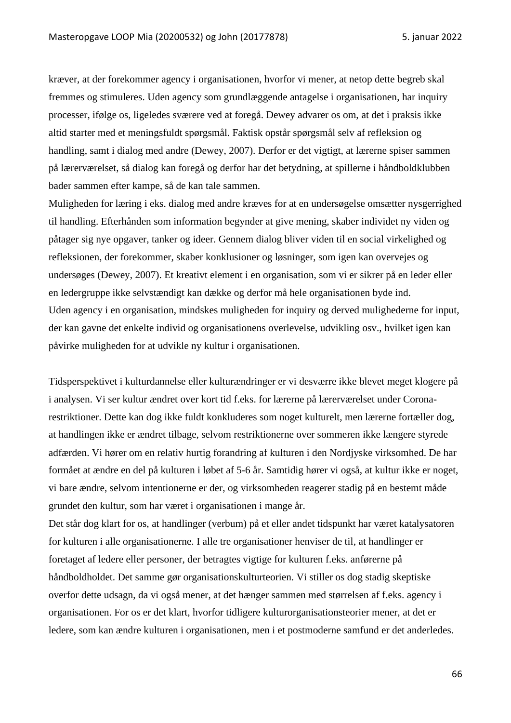kræver, at der forekommer agency i organisationen, hvorfor vi mener, at netop dette begreb skal fremmes og stimuleres. Uden agency som grundlæggende antagelse i organisationen, har inquiry processer, ifølge os, ligeledes sværere ved at foregå. Dewey advarer os om, at det i praksis ikke altid starter med et meningsfuldt spørgsmål. Faktisk opstår spørgsmål selv af refleksion og handling, samt i dialog med andre (Dewey, 2007). Derfor er det vigtigt, at lærerne spiser sammen på lærerværelset, så dialog kan foregå og derfor har det betydning, at spillerne i håndboldklubben bader sammen efter kampe, så de kan tale sammen.

Muligheden for læring i eks. dialog med andre kræves for at en undersøgelse omsætter nysgerrighed til handling. Efterhånden som information begynder at give mening, skaber individet ny viden og påtager sig nye opgaver, tanker og ideer. Gennem dialog bliver viden til en social virkelighed og refleksionen, der forekommer, skaber konklusioner og løsninger, som igen kan overvejes og undersøges (Dewey, 2007). Et kreativt element i en organisation, som vi er sikrer på en leder eller en ledergruppe ikke selvstændigt kan dække og derfor må hele organisationen byde ind. Uden agency i en organisation, mindskes muligheden for inquiry og derved mulighederne for input, der kan gavne det enkelte individ og organisationens overlevelse, udvikling osv., hvilket igen kan påvirke muligheden for at udvikle ny kultur i organisationen.

Tidsperspektivet i kulturdannelse eller kulturændringer er vi desværre ikke blevet meget klogere på i analysen. Vi ser kultur ændret over kort tid f.eks. for lærerne på lærerværelset under Coronarestriktioner. Dette kan dog ikke fuldt konkluderes som noget kulturelt, men lærerne fortæller dog, at handlingen ikke er ændret tilbage, selvom restriktionerne over sommeren ikke længere styrede adfærden. Vi hører om en relativ hurtig forandring af kulturen i den Nordjyske virksomhed. De har formået at ændre en del på kulturen i løbet af 5-6 år. Samtidig hører vi også, at kultur ikke er noget, vi bare ændre, selvom intentionerne er der, og virksomheden reagerer stadig på en bestemt måde grundet den kultur, som har været i organisationen i mange år.

Det står dog klart for os, at handlinger (verbum) på et eller andet tidspunkt har været katalysatoren for kulturen i alle organisationerne. I alle tre organisationer henviser de til, at handlinger er foretaget af ledere eller personer, der betragtes vigtige for kulturen f.eks. anførerne på håndboldholdet. Det samme gør organisationskulturteorien. Vi stiller os dog stadig skeptiske overfor dette udsagn, da vi også mener, at det hænger sammen med størrelsen af f.eks. agency i organisationen. For os er det klart, hvorfor tidligere kulturorganisationsteorier mener, at det er ledere, som kan ændre kulturen i organisationen, men i et postmoderne samfund er det anderledes.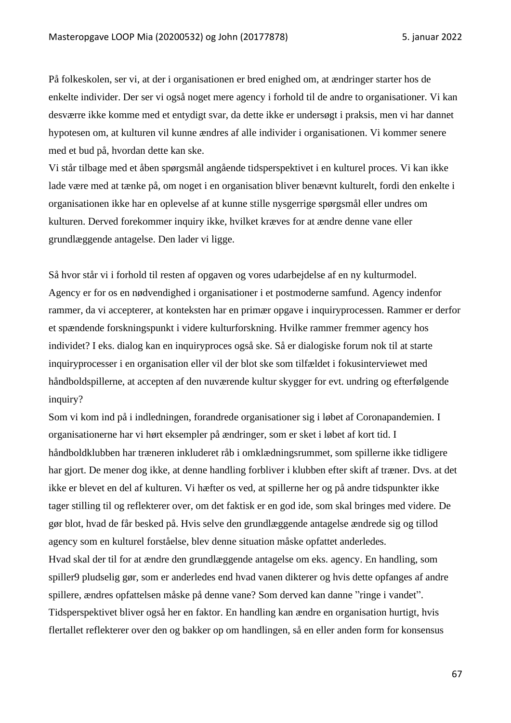På folkeskolen, ser vi, at der i organisationen er bred enighed om, at ændringer starter hos de enkelte individer. Der ser vi også noget mere agency i forhold til de andre to organisationer. Vi kan desværre ikke komme med et entydigt svar, da dette ikke er undersøgt i praksis, men vi har dannet hypotesen om, at kulturen vil kunne ændres af alle individer i organisationen. Vi kommer senere med et bud på, hvordan dette kan ske.

Vi står tilbage med et åben spørgsmål angående tidsperspektivet i en kulturel proces. Vi kan ikke lade være med at tænke på, om noget i en organisation bliver benævnt kulturelt, fordi den enkelte i organisationen ikke har en oplevelse af at kunne stille nysgerrige spørgsmål eller undres om kulturen. Derved forekommer inquiry ikke, hvilket kræves for at ændre denne vane eller grundlæggende antagelse. Den lader vi ligge.

Så hvor står vi i forhold til resten af opgaven og vores udarbejdelse af en ny kulturmodel. Agency er for os en nødvendighed i organisationer i et postmoderne samfund. Agency indenfor rammer, da vi accepterer, at konteksten har en primær opgave i inquiryprocessen. Rammer er derfor et spændende forskningspunkt i videre kulturforskning. Hvilke rammer fremmer agency hos individet? I eks. dialog kan en inquiryproces også ske. Så er dialogiske forum nok til at starte inquiryprocesser i en organisation eller vil der blot ske som tilfældet i fokusinterviewet med håndboldspillerne, at accepten af den nuværende kultur skygger for evt. undring og efterfølgende inquiry?

Som vi kom ind på i indledningen, forandrede organisationer sig i løbet af Coronapandemien. I organisationerne har vi hørt eksempler på ændringer, som er sket i løbet af kort tid. I håndboldklubben har træneren inkluderet råb i omklædningsrummet, som spillerne ikke tidligere har gjort. De mener dog ikke, at denne handling forbliver i klubben efter skift af træner. Dvs. at det ikke er blevet en del af kulturen. Vi hæfter os ved, at spillerne her og på andre tidspunkter ikke tager stilling til og reflekterer over, om det faktisk er en god ide, som skal bringes med videre. De gør blot, hvad de får besked på. Hvis selve den grundlæggende antagelse ændrede sig og tillod agency som en kulturel forståelse, blev denne situation måske opfattet anderledes.

Hvad skal der til for at ændre den grundlæggende antagelse om eks. agency. En handling, som spiller9 pludselig gør, som er anderledes end hvad vanen dikterer og hvis dette opfanges af andre spillere, ændres opfattelsen måske på denne vane? Som derved kan danne "ringe i vandet". Tidsperspektivet bliver også her en faktor. En handling kan ændre en organisation hurtigt, hvis flertallet reflekterer over den og bakker op om handlingen, så en eller anden form for konsensus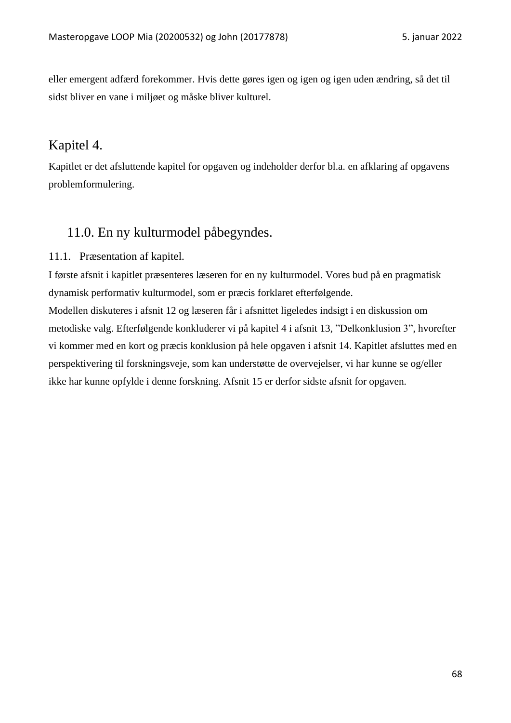eller emergent adfærd forekommer. Hvis dette gøres igen og igen og igen uden ændring, så det til sidst bliver en vane i miljøet og måske bliver kulturel.

# Kapitel 4.

Kapitlet er det afsluttende kapitel for opgaven og indeholder derfor bl.a. en afklaring af opgavens problemformulering.

# 11.0. En ny kulturmodel påbegyndes.

# 11.1. Præsentation af kapitel.

I første afsnit i kapitlet præsenteres læseren for en ny kulturmodel. Vores bud på en pragmatisk dynamisk performativ kulturmodel, som er præcis forklaret efterfølgende. Modellen diskuteres i afsnit 12 og læseren får i afsnittet ligeledes indsigt i en diskussion om metodiske valg. Efterfølgende konkluderer vi på kapitel 4 i afsnit 13, "Delkonklusion 3", hvorefter vi kommer med en kort og præcis konklusion på hele opgaven i afsnit 14. Kapitlet afsluttes med en perspektivering til forskningsveje, som kan understøtte de overvejelser, vi har kunne se og/eller ikke har kunne opfylde i denne forskning. Afsnit 15 er derfor sidste afsnit for opgaven.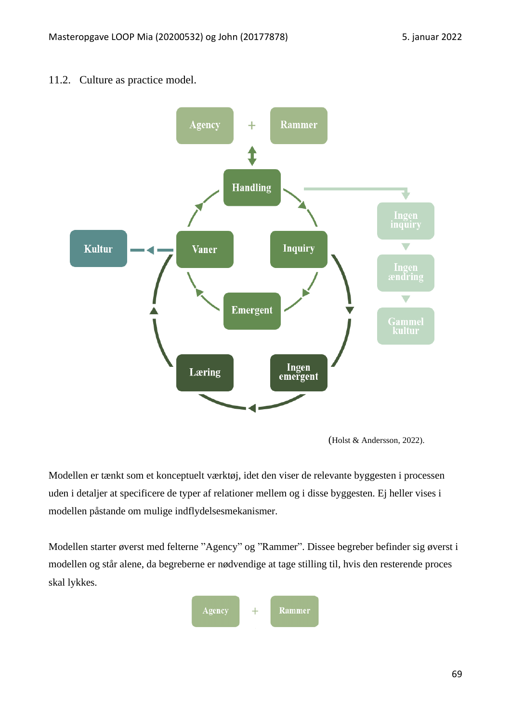# 11.2. Culture as practice model.



<sup>(</sup>Holst & Andersson, 2022).

Modellen er tænkt som et konceptuelt værktøj, idet den viser de relevante byggesten i processen uden i detaljer at specificere de typer af relationer mellem og i disse byggesten. Ej heller vises i modellen påstande om mulige indflydelsesmekanismer.

Modellen starter øverst med felterne "Agency" og "Rammer". Dissee begreber befinder sig øverst i modellen og står alene, da begreberne er nødvendige at tage stilling til, hvis den resterende proces skal lykkes.

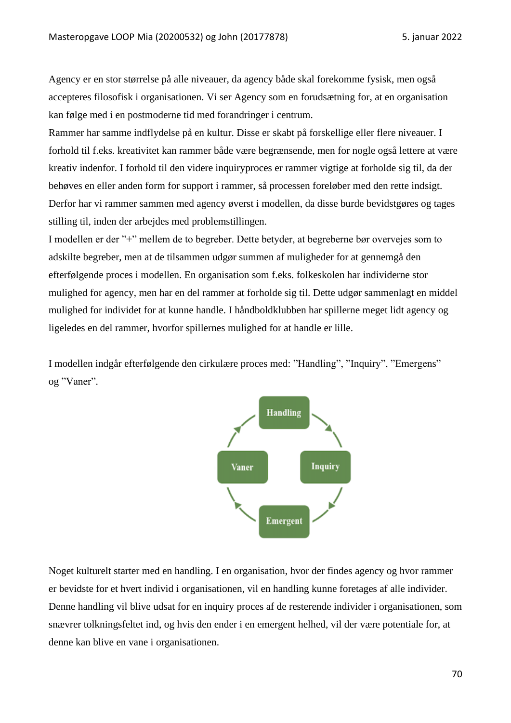Agency er en stor størrelse på alle niveauer, da agency både skal forekomme fysisk, men også accepteres filosofisk i organisationen. Vi ser Agency som en forudsætning for, at en organisation kan følge med i en postmoderne tid med forandringer i centrum.

Rammer har samme indflydelse på en kultur. Disse er skabt på forskellige eller flere niveauer. I forhold til f.eks. kreativitet kan rammer både være begrænsende, men for nogle også lettere at være kreativ indenfor. I forhold til den videre inquiryproces er rammer vigtige at forholde sig til, da der behøves en eller anden form for support i rammer, så processen foreløber med den rette indsigt. Derfor har vi rammer sammen med agency øverst i modellen, da disse burde bevidstgøres og tages stilling til, inden der arbejdes med problemstillingen.

I modellen er der "+" mellem de to begreber. Dette betyder, at begreberne bør overvejes som to adskilte begreber, men at de tilsammen udgør summen af muligheder for at gennemgå den efterfølgende proces i modellen. En organisation som f.eks. folkeskolen har individerne stor mulighed for agency, men har en del rammer at forholde sig til. Dette udgør sammenlagt en middel mulighed for individet for at kunne handle. I håndboldklubben har spillerne meget lidt agency og ligeledes en del rammer, hvorfor spillernes mulighed for at handle er lille.

I modellen indgår efterfølgende den cirkulære proces med: "Handling", "Inquiry", "Emergens" og "Vaner".



Noget kulturelt starter med en handling. I en organisation, hvor der findes agency og hvor rammer er bevidste for et hvert individ i organisationen, vil en handling kunne foretages af alle individer. Denne handling vil blive udsat for en inquiry proces af de resterende individer i organisationen, som snævrer tolkningsfeltet ind, og hvis den ender i en emergent helhed, vil der være potentiale for, at denne kan blive en vane i organisationen.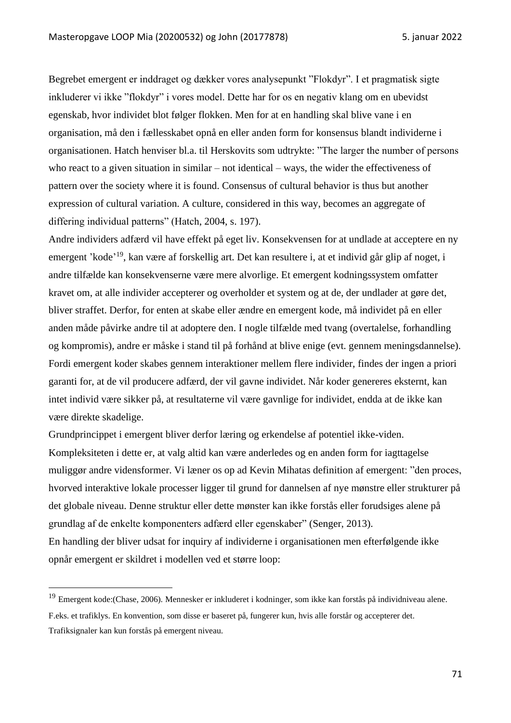Begrebet emergent er inddraget og dækker vores analysepunkt "Flokdyr". I et pragmatisk sigte inkluderer vi ikke "flokdyr" i vores model. Dette har for os en negativ klang om en ubevidst egenskab, hvor individet blot følger flokken. Men for at en handling skal blive vane i en organisation, må den i fællesskabet opnå en eller anden form for konsensus blandt individerne i organisationen. Hatch henviser bl.a. til Herskovits som udtrykte: "The larger the number of persons who react to a given situation in similar – not identical – ways, the wider the effectiveness of pattern over the society where it is found. Consensus of cultural behavior is thus but another expression of cultural variation. A culture, considered in this way, becomes an aggregate of differing individual patterns" (Hatch, 2004, s. 197).

Andre individers adfærd vil have effekt på eget liv. Konsekvensen for at undlade at acceptere en ny emergent 'kode'<sup>19</sup>, kan være af forskellig art. Det kan resultere i, at et individ går glip af noget, i andre tilfælde kan konsekvenserne være mere alvorlige. Et emergent kodningssystem omfatter kravet om, at alle individer accepterer og overholder et system og at de, der undlader at gøre det, bliver straffet. Derfor, for enten at skabe eller ændre en emergent kode, må individet på en eller anden måde påvirke andre til at adoptere den. I nogle tilfælde med tvang (overtalelse, forhandling og kompromis), andre er måske i stand til på forhånd at blive enige (evt. gennem meningsdannelse). Fordi emergent koder skabes gennem interaktioner mellem flere individer, findes der ingen a priori garanti for, at de vil producere adfærd, der vil gavne individet. Når koder genereres eksternt, kan intet individ være sikker på, at resultaterne vil være gavnlige for individet, endda at de ikke kan være direkte skadelige.

Grundprincippet i emergent bliver derfor læring og erkendelse af potentiel ikke-viden. Kompleksiteten i dette er, at valg altid kan være anderledes og en anden form for iagttagelse muliggør andre vidensformer. Vi læner os op ad Kevin Mihatas definition af emergent: "den proces, hvorved interaktive lokale processer ligger til grund for dannelsen af nye mønstre eller strukturer på det globale niveau. Denne struktur eller dette mønster kan ikke forstås eller forudsiges alene på grundlag af de enkelte komponenters adfærd eller egenskaber" (Senger, 2013). En handling der bliver udsat for inquiry af individerne i organisationen men efterfølgende ikke opnår emergent er skildret i modellen ved et større loop:

<sup>&</sup>lt;sup>19</sup> Emergent kode:(Chase, 2006). Mennesker er inkluderet i kodninger, som ikke kan forstås på individniveau alene. F.eks. et trafiklys. En konvention, som disse er baseret på, fungerer kun, hvis alle forstår og accepterer det. Trafiksignaler kan kun forstås på emergent niveau.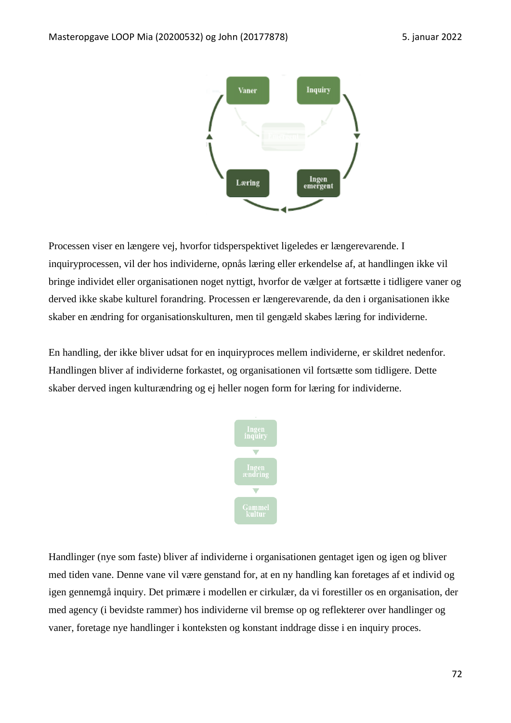

Processen viser en længere vej, hvorfor tidsperspektivet ligeledes er længerevarende. I inquiryprocessen, vil der hos individerne, opnås læring eller erkendelse af, at handlingen ikke vil bringe individet eller organisationen noget nyttigt, hvorfor de vælger at fortsætte i tidligere vaner og derved ikke skabe kulturel forandring. Processen er længerevarende, da den i organisationen ikke skaber en ændring for organisationskulturen, men til gengæld skabes læring for individerne.

En handling, der ikke bliver udsat for en inquiryproces mellem individerne, er skildret nedenfor. Handlingen bliver af individerne forkastet, og organisationen vil fortsætte som tidligere. Dette skaber derved ingen kulturændring og ej heller nogen form for læring for individerne.



Handlinger (nye som faste) bliver af individerne i organisationen gentaget igen og igen og bliver med tiden vane. Denne vane vil være genstand for, at en ny handling kan foretages af et individ og igen gennemgå inquiry. Det primære i modellen er cirkulær, da vi forestiller os en organisation, der med agency (i bevidste rammer) hos individerne vil bremse op og reflekterer over handlinger og vaner, foretage nye handlinger i konteksten og konstant inddrage disse i en inquiry proces.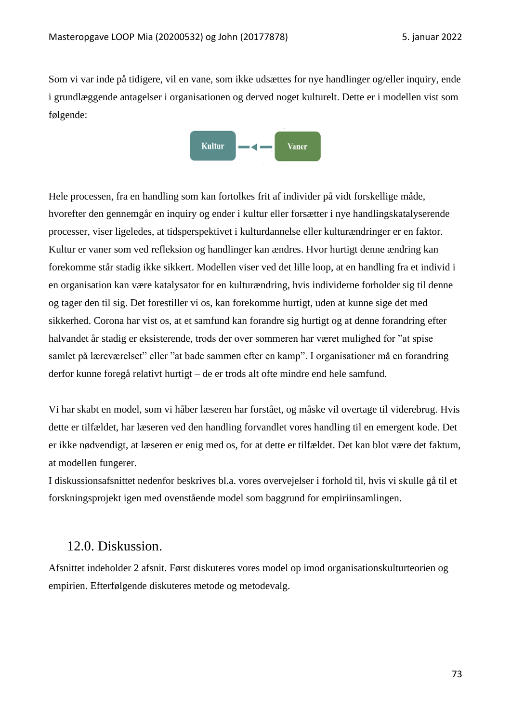Som vi var inde på tidigere, vil en vane, som ikke udsættes for nye handlinger og/eller inquiry, ende i grundlæggende antagelser i organisationen og derved noget kulturelt. Dette er i modellen vist som følgende:



Hele processen, fra en handling som kan fortolkes frit af individer på vidt forskellige måde, hvorefter den gennemgår en inquiry og ender i kultur eller forsætter i nye handlingskatalyserende processer, viser ligeledes, at tidsperspektivet i kulturdannelse eller kulturændringer er en faktor. Kultur er vaner som ved refleksion og handlinger kan ændres. Hvor hurtigt denne ændring kan forekomme står stadig ikke sikkert. Modellen viser ved det lille loop, at en handling fra et individ i en organisation kan være katalysator for en kulturændring, hvis individerne forholder sig til denne og tager den til sig. Det forestiller vi os, kan forekomme hurtigt, uden at kunne sige det med sikkerhed. Corona har vist os, at et samfund kan forandre sig hurtigt og at denne forandring efter halvandet år stadig er eksisterende, trods der over sommeren har været mulighed for "at spise samlet på læreværelset" eller "at bade sammen efter en kamp". I organisationer må en forandring derfor kunne foregå relativt hurtigt – de er trods alt ofte mindre end hele samfund.

Vi har skabt en model, som vi håber læseren har forstået, og måske vil overtage til viderebrug. Hvis dette er tilfældet, har læseren ved den handling forvandlet vores handling til en emergent kode. Det er ikke nødvendigt, at læseren er enig med os, for at dette er tilfældet. Det kan blot være det faktum, at modellen fungerer.

I diskussionsafsnittet nedenfor beskrives bl.a. vores overvejelser i forhold til, hvis vi skulle gå til et forskningsprojekt igen med ovenstående model som baggrund for empiriinsamlingen.

## 12.0. Diskussion.

Afsnittet indeholder 2 afsnit. Først diskuteres vores model op imod organisationskulturteorien og empirien. Efterfølgende diskuteres metode og metodevalg.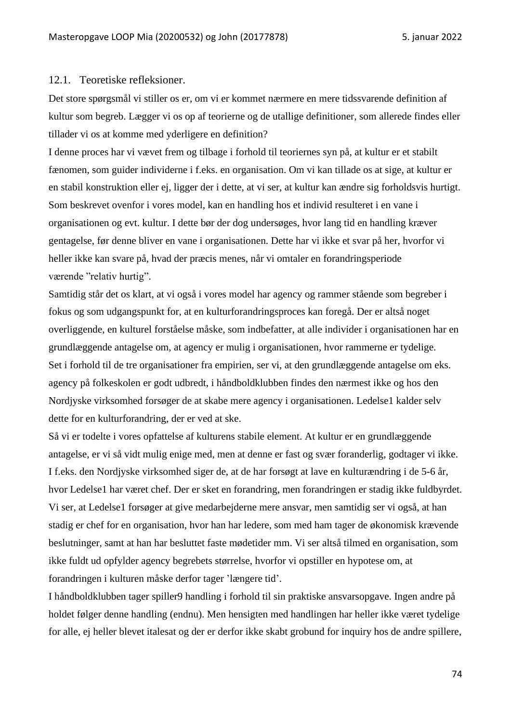#### 12.1. Teoretiske refleksioner.

Det store spørgsmål vi stiller os er, om vi er kommet nærmere en mere tidssvarende definition af kultur som begreb. Lægger vi os op af teorierne og de utallige definitioner, som allerede findes eller tillader vi os at komme med yderligere en definition?

I denne proces har vi vævet frem og tilbage i forhold til teoriernes syn på, at kultur er et stabilt fænomen, som guider individerne i f.eks. en organisation. Om vi kan tillade os at sige, at kultur er en stabil konstruktion eller ej, ligger der i dette, at vi ser, at kultur kan ændre sig forholdsvis hurtigt. Som beskrevet ovenfor i vores model, kan en handling hos et individ resulteret i en vane i organisationen og evt. kultur. I dette bør der dog undersøges, hvor lang tid en handling kræver gentagelse, før denne bliver en vane i organisationen. Dette har vi ikke et svar på her, hvorfor vi heller ikke kan svare på, hvad der præcis menes, når vi omtaler en forandringsperiode værende "relativ hurtig".

Samtidig står det os klart, at vi også i vores model har agency og rammer stående som begreber i fokus og som udgangspunkt for, at en kulturforandringsproces kan foregå. Der er altså noget overliggende, en kulturel forståelse måske, som indbefatter, at alle individer i organisationen har en grundlæggende antagelse om, at agency er mulig i organisationen, hvor rammerne er tydelige. Set i forhold til de tre organisationer fra empirien, ser vi, at den grundlæggende antagelse om eks. agency på folkeskolen er godt udbredt, i håndboldklubben findes den nærmest ikke og hos den Nordjyske virksomhed forsøger de at skabe mere agency i organisationen. Ledelse1 kalder selv dette for en kulturforandring, der er ved at ske.

Så vi er todelte i vores opfattelse af kulturens stabile element. At kultur er en grundlæggende antagelse, er vi så vidt mulig enige med, men at denne er fast og svær foranderlig, godtager vi ikke. I f.eks. den Nordjyske virksomhed siger de, at de har forsøgt at lave en kulturændring i de 5-6 år, hvor Ledelse1 har været chef. Der er sket en forandring, men forandringen er stadig ikke fuldbyrdet. Vi ser, at Ledelse1 forsøger at give medarbejderne mere ansvar, men samtidig ser vi også, at han stadig er chef for en organisation, hvor han har ledere, som med ham tager de økonomisk krævende beslutninger, samt at han har besluttet faste mødetider mm. Vi ser altså tilmed en organisation, som ikke fuldt ud opfylder agency begrebets størrelse, hvorfor vi opstiller en hypotese om, at forandringen i kulturen måske derfor tager 'længere tid'.

I håndboldklubben tager spiller9 handling i forhold til sin praktiske ansvarsopgave. Ingen andre på holdet følger denne handling (endnu). Men hensigten med handlingen har heller ikke været tydelige for alle, ej heller blevet italesat og der er derfor ikke skabt grobund for inquiry hos de andre spillere,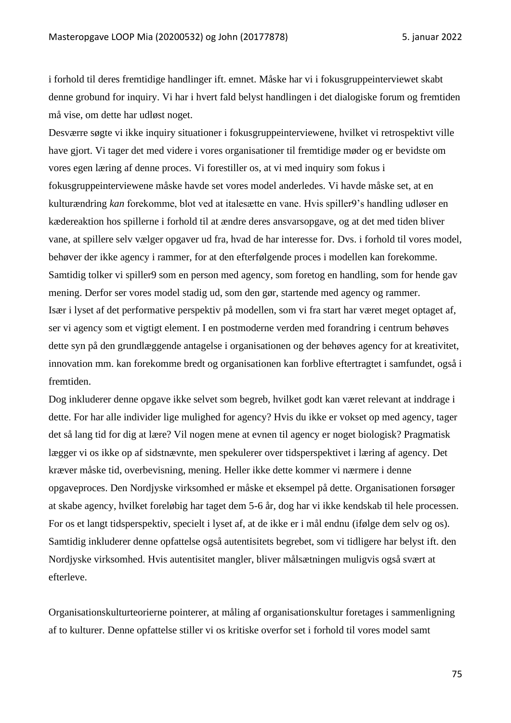i forhold til deres fremtidige handlinger ift. emnet. Måske har vi i fokusgruppeinterviewet skabt denne grobund for inquiry. Vi har i hvert fald belyst handlingen i det dialogiske forum og fremtiden må vise, om dette har udløst noget.

Desværre søgte vi ikke inquiry situationer i fokusgruppeinterviewene, hvilket vi retrospektivt ville have gjort. Vi tager det med videre i vores organisationer til fremtidige møder og er bevidste om vores egen læring af denne proces. Vi forestiller os, at vi med inquiry som fokus i fokusgruppeinterviewene måske havde set vores model anderledes. Vi havde måske set, at en kulturændring *kan* forekomme, blot ved at italesætte en vane. Hvis spiller9's handling udløser en kædereaktion hos spillerne i forhold til at ændre deres ansvarsopgave, og at det med tiden bliver vane, at spillere selv vælger opgaver ud fra, hvad de har interesse for. Dvs. i forhold til vores model, behøver der ikke agency i rammer, for at den efterfølgende proces i modellen kan forekomme. Samtidig tolker vi spiller9 som en person med agency, som foretog en handling, som for hende gav mening. Derfor ser vores model stadig ud, som den gør, startende med agency og rammer. Især i lyset af det performative perspektiv på modellen, som vi fra start har været meget optaget af, ser vi agency som et vigtigt element. I en postmoderne verden med forandring i centrum behøves dette syn på den grundlæggende antagelse i organisationen og der behøves agency for at kreativitet, innovation mm. kan forekomme bredt og organisationen kan forblive eftertragtet i samfundet, også i fremtiden.

Dog inkluderer denne opgave ikke selvet som begreb, hvilket godt kan været relevant at inddrage i dette. For har alle individer lige mulighed for agency? Hvis du ikke er vokset op med agency, tager det så lang tid for dig at lære? Vil nogen mene at evnen til agency er noget biologisk? Pragmatisk lægger vi os ikke op af sidstnævnte, men spekulerer over tidsperspektivet i læring af agency. Det kræver måske tid, overbevisning, mening. Heller ikke dette kommer vi nærmere i denne opgaveproces. Den Nordjyske virksomhed er måske et eksempel på dette. Organisationen forsøger at skabe agency, hvilket foreløbig har taget dem 5-6 år, dog har vi ikke kendskab til hele processen. For os et langt tidsperspektiv, specielt i lyset af, at de ikke er i mål endnu (ifølge dem selv og os). Samtidig inkluderer denne opfattelse også autentisitets begrebet, som vi tidligere har belyst ift. den Nordjyske virksomhed. Hvis autentisitet mangler, bliver målsætningen muligvis også svært at efterleve.

Organisationskulturteorierne pointerer, at måling af organisationskultur foretages i sammenligning af to kulturer. Denne opfattelse stiller vi os kritiske overfor set i forhold til vores model samt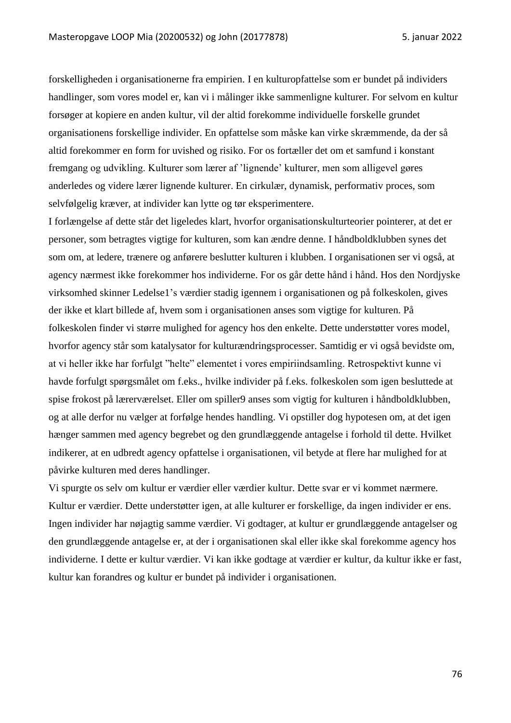forskelligheden i organisationerne fra empirien. I en kulturopfattelse som er bundet på individers handlinger, som vores model er, kan vi i målinger ikke sammenligne kulturer. For selvom en kultur forsøger at kopiere en anden kultur, vil der altid forekomme individuelle forskelle grundet organisationens forskellige individer. En opfattelse som måske kan virke skræmmende, da der så altid forekommer en form for uvished og risiko. For os fortæller det om et samfund i konstant fremgang og udvikling. Kulturer som lærer af 'lignende' kulturer, men som alligevel gøres anderledes og videre lærer lignende kulturer. En cirkulær, dynamisk, performativ proces, som selvfølgelig kræver, at individer kan lytte og tør eksperimentere.

I forlængelse af dette står det ligeledes klart, hvorfor organisationskulturteorier pointerer, at det er personer, som betragtes vigtige for kulturen, som kan ændre denne. I håndboldklubben synes det som om, at ledere, trænere og anførere beslutter kulturen i klubben. I organisationen ser vi også, at agency nærmest ikke forekommer hos individerne. For os går dette hånd i hånd. Hos den Nordjyske virksomhed skinner Ledelse1's værdier stadig igennem i organisationen og på folkeskolen, gives der ikke et klart billede af, hvem som i organisationen anses som vigtige for kulturen. På folkeskolen finder vi større mulighed for agency hos den enkelte. Dette understøtter vores model, hvorfor agency står som katalysator for kulturændringsprocesser. Samtidig er vi også bevidste om, at vi heller ikke har forfulgt "helte" elementet i vores empiriindsamling. Retrospektivt kunne vi havde forfulgt spørgsmålet om f.eks., hvilke individer på f.eks. folkeskolen som igen besluttede at spise frokost på lærerværelset. Eller om spiller9 anses som vigtig for kulturen i håndboldklubben, og at alle derfor nu vælger at forfølge hendes handling. Vi opstiller dog hypotesen om, at det igen hænger sammen med agency begrebet og den grundlæggende antagelse i forhold til dette. Hvilket indikerer, at en udbredt agency opfattelse i organisationen, vil betyde at flere har mulighed for at påvirke kulturen med deres handlinger.

Vi spurgte os selv om kultur er værdier eller værdier kultur. Dette svar er vi kommet nærmere. Kultur er værdier. Dette understøtter igen, at alle kulturer er forskellige, da ingen individer er ens. Ingen individer har nøjagtig samme værdier. Vi godtager, at kultur er grundlæggende antagelser og den grundlæggende antagelse er, at der i organisationen skal eller ikke skal forekomme agency hos individerne. I dette er kultur værdier. Vi kan ikke godtage at værdier er kultur, da kultur ikke er fast, kultur kan forandres og kultur er bundet på individer i organisationen.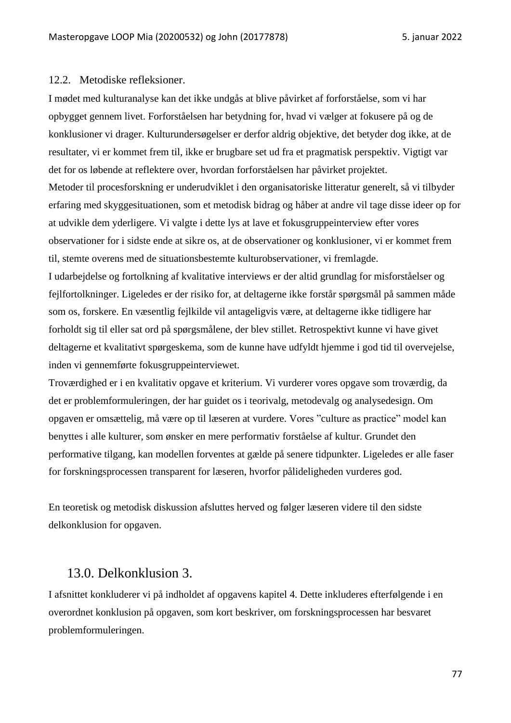#### 12.2. Metodiske refleksioner.

I mødet med kulturanalyse kan det ikke undgås at blive påvirket af forforståelse, som vi har opbygget gennem livet. Forforståelsen har betydning for, hvad vi vælger at fokusere på og de konklusioner vi drager. Kulturundersøgelser er derfor aldrig objektive, det betyder dog ikke, at de resultater, vi er kommet frem til, ikke er brugbare set ud fra et pragmatisk perspektiv. Vigtigt var det for os løbende at reflektere over, hvordan forforståelsen har påvirket projektet. Metoder til procesforskning er underudviklet i den organisatoriske litteratur generelt, så vi tilbyder erfaring med skyggesituationen, som et metodisk bidrag og håber at andre vil tage disse ideer op for at udvikle dem yderligere. Vi valgte i dette lys at lave et fokusgruppeinterview efter vores observationer for i sidste ende at sikre os, at de observationer og konklusioner, vi er kommet frem til, stemte overens med de situationsbestemte kulturobservationer, vi fremlagde. I udarbejdelse og fortolkning af kvalitative interviews er der altid grundlag for misforståelser og fejlfortolkninger. Ligeledes er der risiko for, at deltagerne ikke forstår spørgsmål på sammen måde

som os, forskere. En væsentlig fejlkilde vil antageligvis være, at deltagerne ikke tidligere har forholdt sig til eller sat ord på spørgsmålene, der blev stillet. Retrospektivt kunne vi have givet deltagerne et kvalitativt spørgeskema, som de kunne have udfyldt hjemme i god tid til overvejelse, inden vi gennemførte fokusgruppeinterviewet.

Troværdighed er i en kvalitativ opgave et kriterium. Vi vurderer vores opgave som troværdig, da det er problemformuleringen, der har guidet os i teorivalg, metodevalg og analysedesign. Om opgaven er omsættelig, må være op til læseren at vurdere. Vores "culture as practice" model kan benyttes i alle kulturer, som ønsker en mere performativ forståelse af kultur. Grundet den performative tilgang, kan modellen forventes at gælde på senere tidpunkter. Ligeledes er alle faser for forskningsprocessen transparent for læseren, hvorfor pålideligheden vurderes god.

En teoretisk og metodisk diskussion afsluttes herved og følger læseren videre til den sidste delkonklusion for opgaven.

### 13.0. Delkonklusion 3.

I afsnittet konkluderer vi på indholdet af opgavens kapitel 4. Dette inkluderes efterfølgende i en overordnet konklusion på opgaven, som kort beskriver, om forskningsprocessen har besvaret problemformuleringen.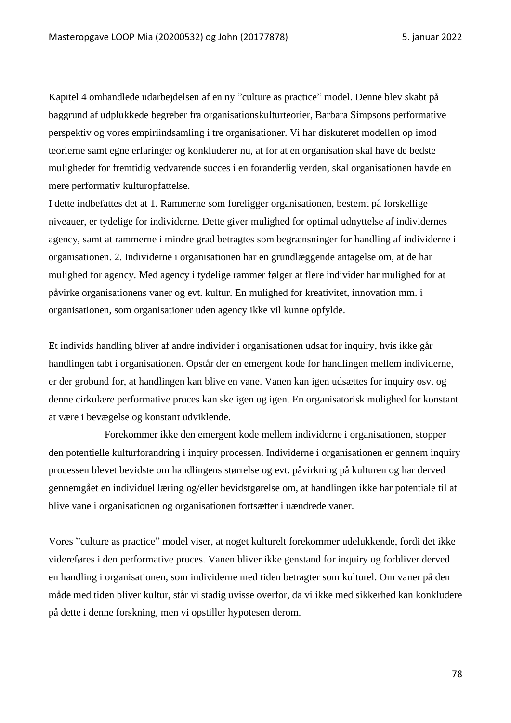Kapitel 4 omhandlede udarbejdelsen af en ny "culture as practice" model. Denne blev skabt på baggrund af udplukkede begreber fra organisationskulturteorier, Barbara Simpsons performative perspektiv og vores empiriindsamling i tre organisationer. Vi har diskuteret modellen op imod teorierne samt egne erfaringer og konkluderer nu, at for at en organisation skal have de bedste muligheder for fremtidig vedvarende succes i en foranderlig verden, skal organisationen havde en mere performativ kulturopfattelse.

I dette indbefattes det at 1. Rammerne som foreligger organisationen, bestemt på forskellige niveauer, er tydelige for individerne. Dette giver mulighed for optimal udnyttelse af individernes agency, samt at rammerne i mindre grad betragtes som begrænsninger for handling af individerne i organisationen. 2. Individerne i organisationen har en grundlæggende antagelse om, at de har mulighed for agency. Med agency i tydelige rammer følger at flere individer har mulighed for at påvirke organisationens vaner og evt. kultur. En mulighed for kreativitet, innovation mm. i organisationen, som organisationer uden agency ikke vil kunne opfylde.

Et individs handling bliver af andre individer i organisationen udsat for inquiry, hvis ikke går handlingen tabt i organisationen. Opstår der en emergent kode for handlingen mellem individerne, er der grobund for, at handlingen kan blive en vane. Vanen kan igen udsættes for inquiry osv. og denne cirkulære performative proces kan ske igen og igen. En organisatorisk mulighed for konstant at være i bevægelse og konstant udviklende.

Forekommer ikke den emergent kode mellem individerne i organisationen, stopper den potentielle kulturforandring i inquiry processen. Individerne i organisationen er gennem inquiry processen blevet bevidste om handlingens størrelse og evt. påvirkning på kulturen og har derved gennemgået en individuel læring og/eller bevidstgørelse om, at handlingen ikke har potentiale til at blive vane i organisationen og organisationen fortsætter i uændrede vaner.

Vores "culture as practice" model viser, at noget kulturelt forekommer udelukkende, fordi det ikke videreføres i den performative proces. Vanen bliver ikke genstand for inquiry og forbliver derved en handling i organisationen, som individerne med tiden betragter som kulturel. Om vaner på den måde med tiden bliver kultur, står vi stadig uvisse overfor, da vi ikke med sikkerhed kan konkludere på dette i denne forskning, men vi opstiller hypotesen derom.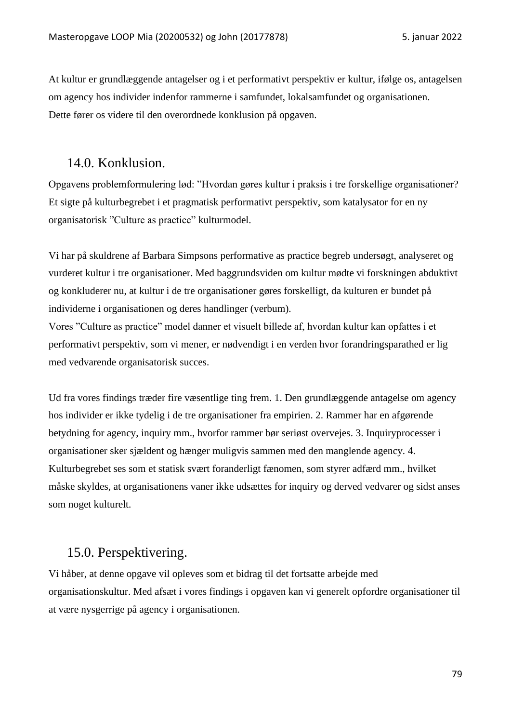At kultur er grundlæggende antagelser og i et performativt perspektiv er kultur, ifølge os, antagelsen om agency hos individer indenfor rammerne i samfundet, lokalsamfundet og organisationen. Dette fører os videre til den overordnede konklusion på opgaven.

## 14.0. Konklusion.

Opgavens problemformulering lød: "Hvordan gøres kultur i praksis i tre forskellige organisationer? Et sigte på kulturbegrebet i et pragmatisk performativt perspektiv, som katalysator for en ny organisatorisk "Culture as practice" kulturmodel.

Vi har på skuldrene af Barbara Simpsons performative as practice begreb undersøgt, analyseret og vurderet kultur i tre organisationer. Med baggrundsviden om kultur mødte vi forskningen abduktivt og konkluderer nu, at kultur i de tre organisationer gøres forskelligt, da kulturen er bundet på individerne i organisationen og deres handlinger (verbum).

Vores "Culture as practice" model danner et visuelt billede af, hvordan kultur kan opfattes i et performativt perspektiv, som vi mener, er nødvendigt i en verden hvor forandringsparathed er lig med vedvarende organisatorisk succes.

Ud fra vores findings træder fire væsentlige ting frem. 1. Den grundlæggende antagelse om agency hos individer er ikke tydelig i de tre organisationer fra empirien. 2. Rammer har en afgørende betydning for agency, inquiry mm., hvorfor rammer bør seriøst overvejes. 3. Inquiryprocesser i organisationer sker sjældent og hænger muligvis sammen med den manglende agency. 4. Kulturbegrebet ses som et statisk svært foranderligt fænomen, som styrer adfærd mm., hvilket måske skyldes, at organisationens vaner ikke udsættes for inquiry og derved vedvarer og sidst anses som noget kulturelt.

# 15.0. Perspektivering.

Vi håber, at denne opgave vil opleves som et bidrag til det fortsatte arbejde med organisationskultur. Med afsæt i vores findings i opgaven kan vi generelt opfordre organisationer til at være nysgerrige på agency i organisationen.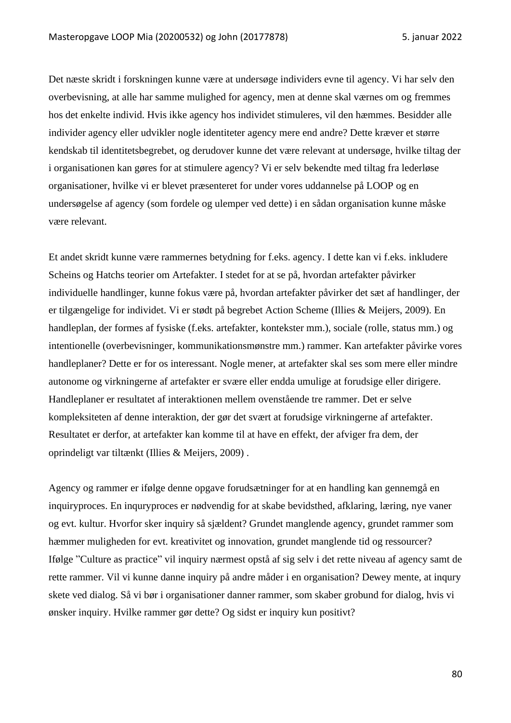Det næste skridt i forskningen kunne være at undersøge individers evne til agency. Vi har selv den overbevisning, at alle har samme mulighed for agency, men at denne skal værnes om og fremmes hos det enkelte individ. Hvis ikke agency hos individet stimuleres, vil den hæmmes. Besidder alle individer agency eller udvikler nogle identiteter agency mere end andre? Dette kræver et større kendskab til identitetsbegrebet, og derudover kunne det være relevant at undersøge, hvilke tiltag der i organisationen kan gøres for at stimulere agency? Vi er selv bekendte med tiltag fra lederløse organisationer, hvilke vi er blevet præsenteret for under vores uddannelse på LOOP og en undersøgelse af agency (som fordele og ulemper ved dette) i en sådan organisation kunne måske være relevant.

Et andet skridt kunne være rammernes betydning for f.eks. agency. I dette kan vi f.eks. inkludere Scheins og Hatchs teorier om Artefakter. I stedet for at se på, hvordan artefakter påvirker individuelle handlinger, kunne fokus være på, hvordan artefakter påvirker det sæt af handlinger, der er tilgængelige for individet. Vi er stødt på begrebet Action Scheme (Illies & Meijers, 2009). En handleplan, der formes af fysiske (f.eks. artefakter, kontekster mm.), sociale (rolle, status mm.) og intentionelle (overbevisninger, kommunikationsmønstre mm.) rammer. Kan artefakter påvirke vores handleplaner? Dette er for os interessant. Nogle mener, at artefakter skal ses som mere eller mindre autonome og virkningerne af artefakter er svære eller endda umulige at forudsige eller dirigere. Handleplaner er resultatet af interaktionen mellem ovenstående tre rammer. Det er selve kompleksiteten af denne interaktion, der gør det svært at forudsige virkningerne af artefakter. Resultatet er derfor, at artefakter kan komme til at have en effekt, der afviger fra dem, der oprindeligt var tiltænkt (Illies & Meijers, 2009) .

Agency og rammer er ifølge denne opgave forudsætninger for at en handling kan gennemgå en inquiryproces. En inquryproces er nødvendig for at skabe bevidsthed, afklaring, læring, nye vaner og evt. kultur. Hvorfor sker inquiry så sjældent? Grundet manglende agency, grundet rammer som hæmmer muligheden for evt. kreativitet og innovation, grundet manglende tid og ressourcer? Ifølge "Culture as practice" vil inquiry nærmest opstå af sig selv i det rette niveau af agency samt de rette rammer. Vil vi kunne danne inquiry på andre måder i en organisation? Dewey mente, at inqury skete ved dialog. Så vi bør i organisationer danner rammer, som skaber grobund for dialog, hvis vi ønsker inquiry. Hvilke rammer gør dette? Og sidst er inquiry kun positivt?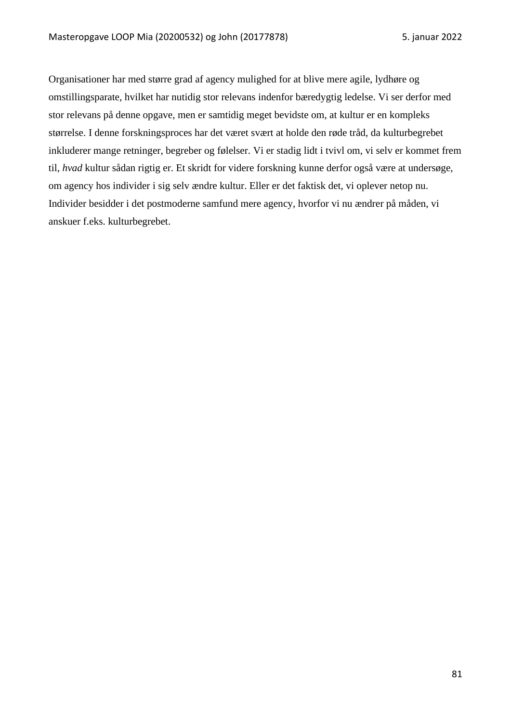Organisationer har med større grad af agency mulighed for at blive mere agile, lydhøre og omstillingsparate, hvilket har nutidig stor relevans indenfor bæredygtig ledelse. Vi ser derfor med stor relevans på denne opgave, men er samtidig meget bevidste om, at kultur er en kompleks størrelse. I denne forskningsproces har det været svært at holde den røde tråd, da kulturbegrebet inkluderer mange retninger, begreber og følelser. Vi er stadig lidt i tvivl om, vi selv er kommet frem til, *hvad* kultur sådan rigtig er. Et skridt for videre forskning kunne derfor også være at undersøge, om agency hos individer i sig selv ændre kultur. Eller er det faktisk det, vi oplever netop nu. Individer besidder i det postmoderne samfund mere agency, hvorfor vi nu ændrer på måden, vi anskuer f.eks. kulturbegrebet.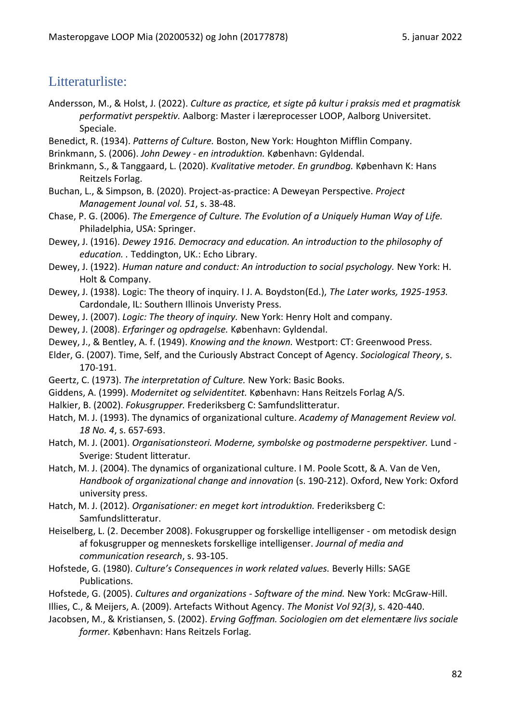# Litteraturliste:

- Andersson, M., & Holst, J. (2022). *Culture as practice, et sigte på kultur i praksis med et pragmatisk performativt perspektiv.* Aalborg: Master i læreprocesser LOOP, Aalborg Universitet. Speciale.
- Benedict, R. (1934). *Patterns of Culture.* Boston, New York: Houghton Mifflin Company.
- Brinkmann, S. (2006). *John Dewey - en introduktion.* København: Gyldendal.
- Brinkmann, S., & Tanggaard, L. (2020). *Kvalitative metoder. En grundbog.* København K: Hans Reitzels Forlag.
- Buchan, L., & Simpson, B. (2020). Project-as-practice: A Deweyan Perspective. *Project Management Jounal vol. 51*, s. 38-48.
- Chase, P. G. (2006). *The Emergence of Culture. The Evolution of a Uniquely Human Way of Life.* Philadelphia, USA: Springer.
- Dewey, J. (1916). *Dewey 1916. Democracy and education. An introduction to the philosophy of education. .* Teddington, UK.: Echo Library.
- Dewey, J. (1922). *Human nature and conduct: An introduction to social psychology.* New York: H. Holt & Company.
- Dewey, J. (1938). Logic: The theory of inquiry. I J. A. Boydston(Ed.), *The Later works, 1925-1953.* Cardondale, IL: Southern Illinois Unveristy Press.
- Dewey, J. (2007). *Logic: The theory of inquiry.* New York: Henry Holt and company.
- Dewey, J. (2008). *Erfaringer og opdragelse.* København: Gyldendal.
- Dewey, J., & Bentley, A. f. (1949). *Knowing and the known.* Westport: CT: Greenwood Press.
- Elder, G. (2007). Time, Self, and the Curiously Abstract Concept of Agency. *Sociological Theory*, s. 170-191.
- Geertz, C. (1973). *The interpretation of Culture.* New York: Basic Books.
- Giddens, A. (1999). *Modernitet og selvidentitet.* København: Hans Reitzels Forlag A/S.
- Halkier, B. (2002). *Fokusgrupper.* Frederiksberg C: Samfundslitteratur.
- Hatch, M. J. (1993). The dynamics of organizational culture. *Academy of Management Review vol. 18 No. 4*, s. 657-693.
- Hatch, M. J. (2001). *Organisationsteori. Moderne, symbolske og postmoderne perspektiver.* Lund Sverige: Student litteratur.
- Hatch, M. J. (2004). The dynamics of organizational culture. I M. Poole Scott, & A. Van de Ven, *Handbook of organizational change and innovation* (s. 190-212). Oxford, New York: Oxford university press.
- Hatch, M. J. (2012). *Organisationer: en meget kort introduktion.* Frederiksberg C: Samfundslitteratur.
- Heiselberg, L. (2. December 2008). Fokusgrupper og forskellige intelligenser om metodisk design af fokusgrupper og menneskets forskellige intelligenser. *Journal of media and communication research*, s. 93-105.
- Hofstede, G. (1980). *Culture's Consequences in work related values.* Beverly Hills: SAGE Publications.
- Hofstede, G. (2005). *Cultures and organizations - Software of the mind.* New York: McGraw-Hill.

Illies, C., & Meijers, A. (2009). Artefacts Without Agency. *The Monist Vol 92(3)*, s. 420-440.

Jacobsen, M., & Kristiansen, S. (2002). *Erving Goffman. Sociologien om det elementære livs sociale former.* København: Hans Reitzels Forlag.